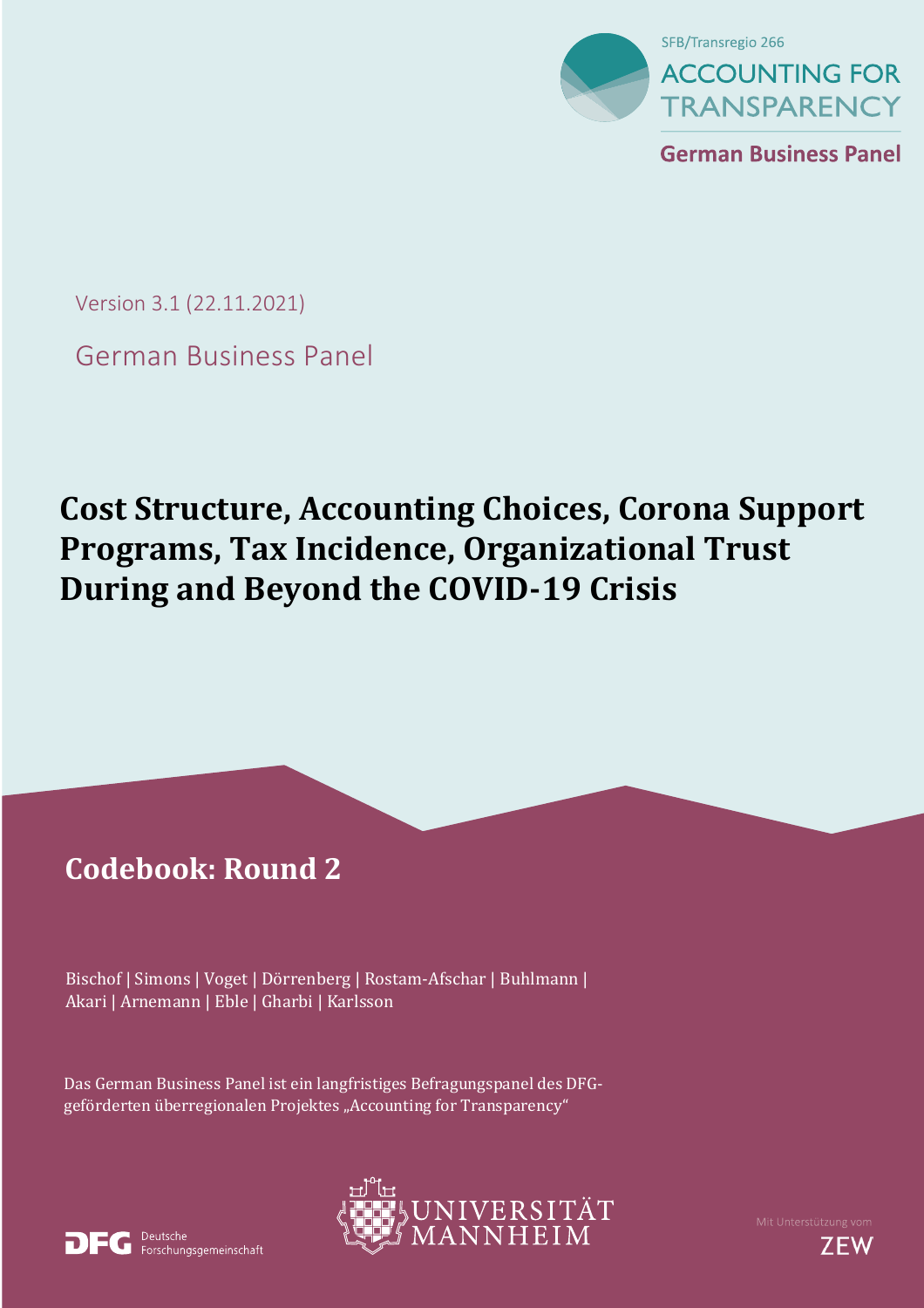

**German Business Panel** 

Version 3.1 (22.11.2021)

German Business Panel

# **Cost Structure, Accounting Choices, Corona Support Programs, Tax Incidence, Organizational Trust During and Beyond the COVID-19 Crisis**

í

# **Codebook: Round 2**

 Akari | Arnemann | Eble | Gharbi | Karlsson Bischof | Simons | Voget | Dörrenberg | Rostam-Afschar | Buhlmann |

Das German Business Panel ist ein langfristiges Befragungspanel des DFGgeförderten überregionalen Projektes "Accounting for Transparency"





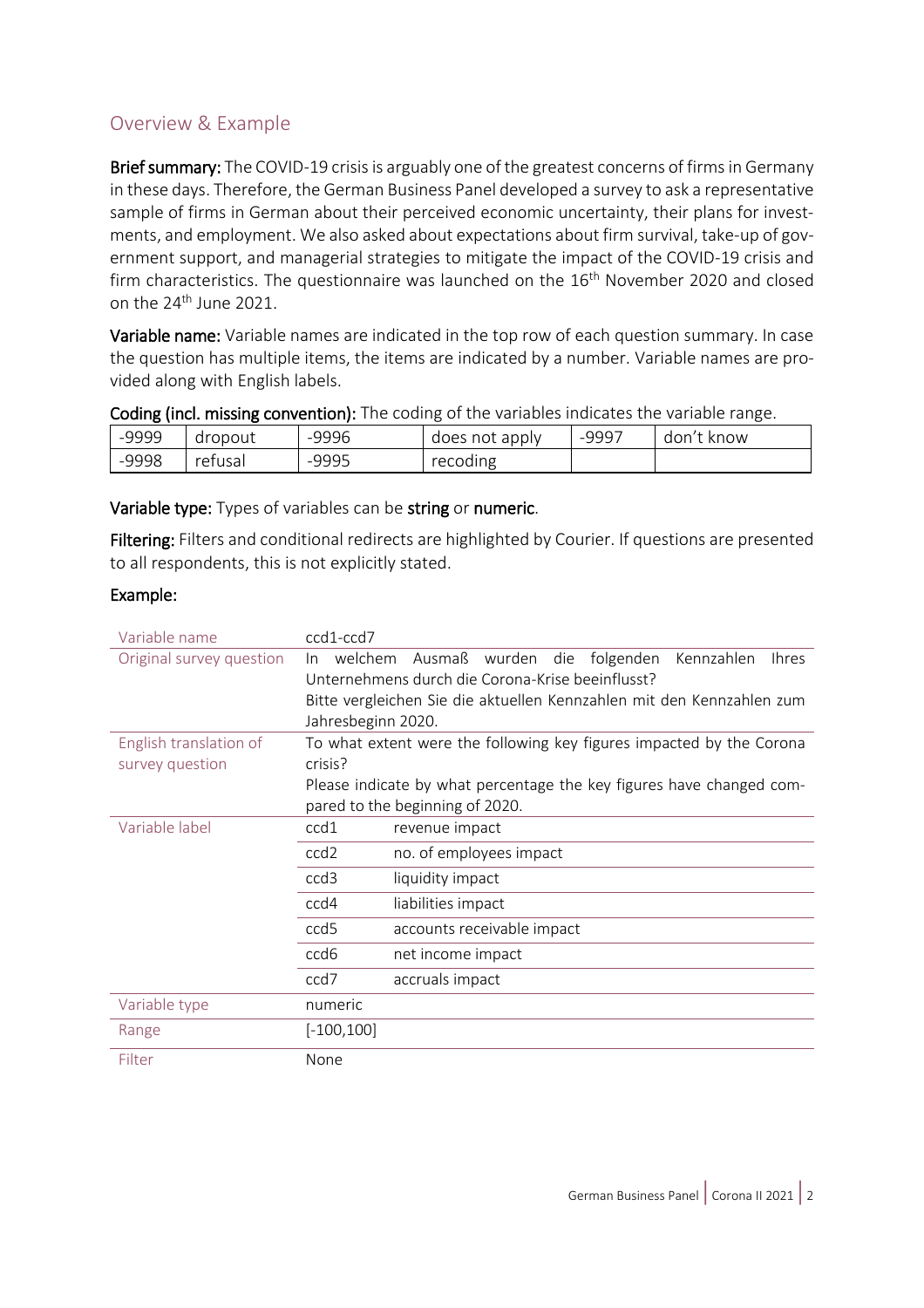#### <span id="page-1-0"></span>Overview & Example

Brief summary: The COVID-19 crisis is arguably one of the greatest concerns of firms in Germany in these days. Therefore, the German Business Panel developed a survey to ask a representative sample of firms in German about their perceived economic uncertainty, their plans for investments, and employment. We also asked about expectations about firm survival, take-up of government support, and managerial strategies to mitigate the impact of the COVID-19 crisis and firm characteristics. The questionnaire was launched on the 16<sup>th</sup> November 2020 and closed on the 24<sup>th</sup> June 2021.

Variable name: Variable names are indicated in the top row of each question summary. In case the question has multiple items, the items are indicated by a number. Variable names are provided along with English labels.

| <b>COUTING (INCITED)ING CONVENTION).</b> The country of the variables indicates the variable range. |         |       |                |       |            |
|-----------------------------------------------------------------------------------------------------|---------|-------|----------------|-------|------------|
| -9999                                                                                               | dropout | -9996 | does not apply | -9997 | don't know |
| -9998                                                                                               | refusal | -9995 | recoding       |       |            |

Coding (incl. missing convention): The coding of the variables indicates the variable range.

#### Variable type: Types of variables can be string or numeric.

Filtering: Filters and conditional redirects are highlighted by Courier. If questions are presented to all respondents, this is not explicitly stated.

#### Example:

| Variable name            | ccd1-ccd7          |                                                                       |  |
|--------------------------|--------------------|-----------------------------------------------------------------------|--|
| Original survey question | welchem<br>In.     | Ausmaß<br>wurden die folgenden<br>Kennzahlen<br><b>Ihres</b>          |  |
|                          |                    | Unternehmens durch die Corona-Krise beeinflusst?                      |  |
|                          |                    | Bitte vergleichen Sie die aktuellen Kennzahlen mit den Kennzahlen zum |  |
|                          | Jahresbeginn 2020. |                                                                       |  |
| English translation of   |                    | To what extent were the following key figures impacted by the Corona  |  |
| survey question          | crisis?            |                                                                       |  |
|                          |                    | Please indicate by what percentage the key figures have changed com-  |  |
|                          |                    | pared to the beginning of 2020.                                       |  |
| Variable label           | ccd1               | revenue impact                                                        |  |
|                          | ccd <sub>2</sub>   | no. of employees impact                                               |  |
|                          | ccd <sub>3</sub>   | liquidity impact                                                      |  |
|                          | ccd4               | liabilities impact                                                    |  |
|                          | ccd <sub>5</sub>   | accounts receivable impact                                            |  |
|                          | ccd6               | net income impact                                                     |  |
|                          | ccd7               | accruals impact                                                       |  |
| Variable type            | numeric            |                                                                       |  |
| Range                    | $[-100, 100]$      |                                                                       |  |
| Filter                   | None               |                                                                       |  |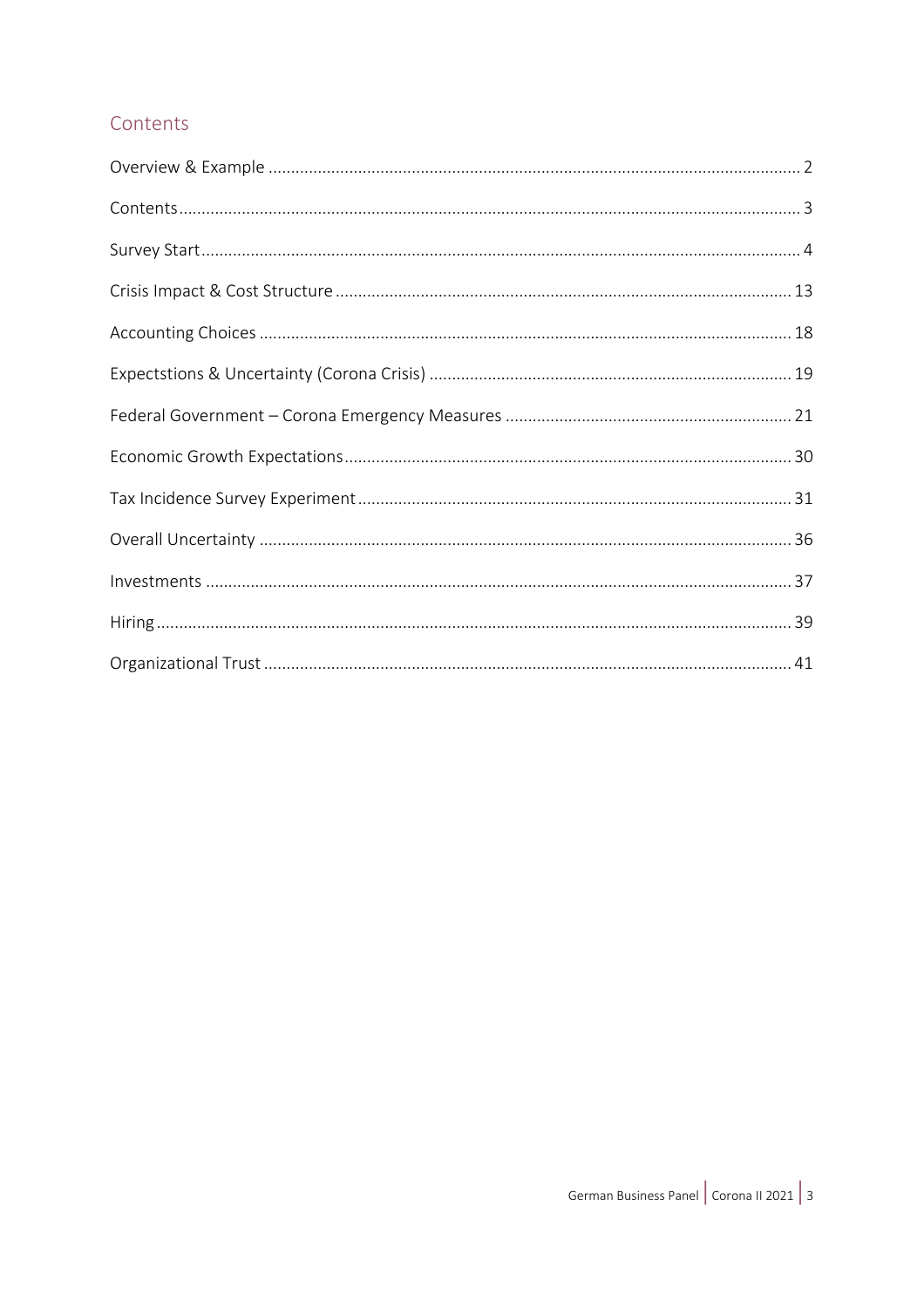#### <span id="page-2-0"></span>Contents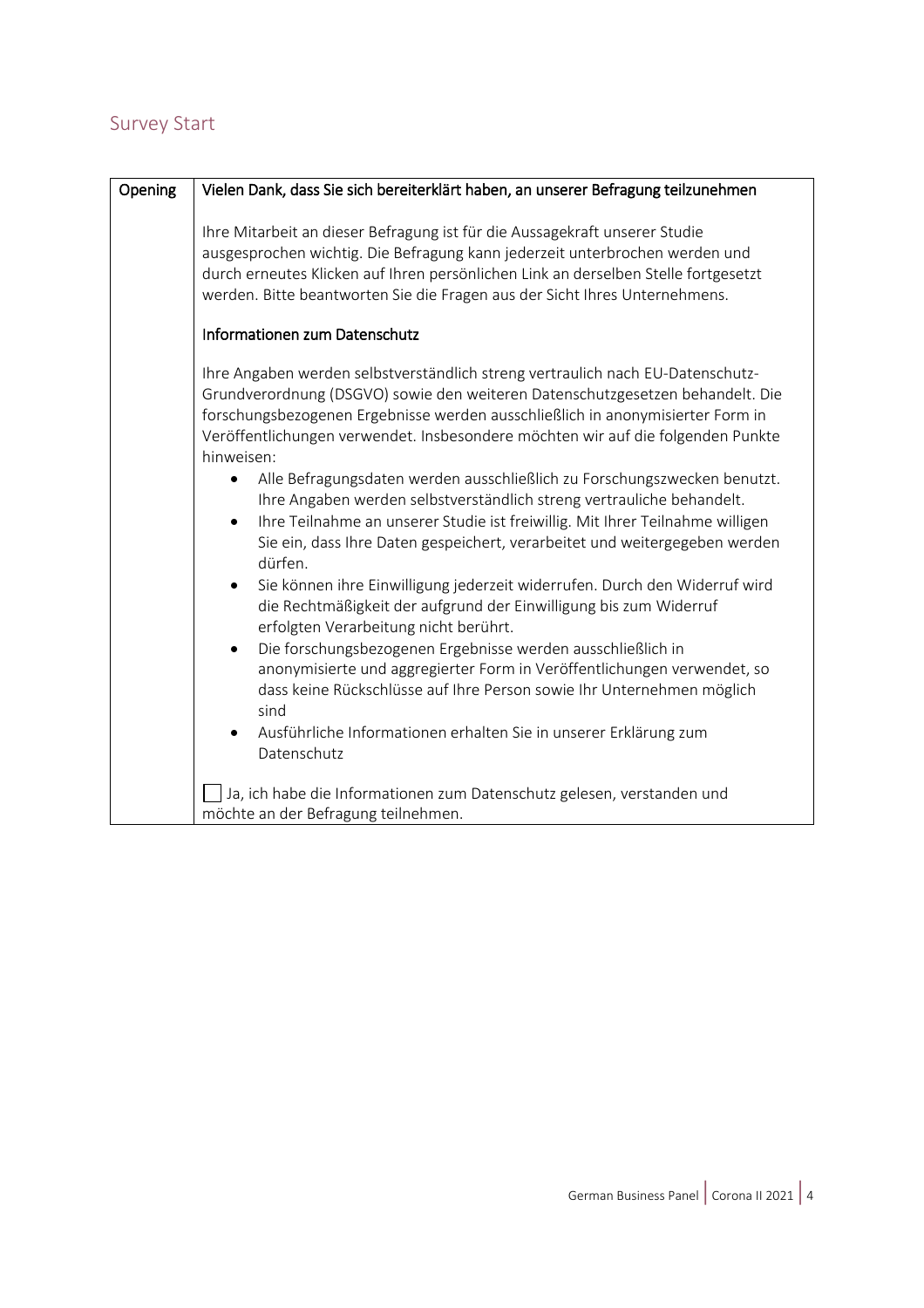#### <span id="page-3-0"></span>Survey Start

| Opening                                                                                                                                                                                                                                                                                                                                                                                                                                                                                                                                                                                                                                                                                                                                                                                                                                                                                                              | Vielen Dank, dass Sie sich bereiterklärt haben, an unserer Befragung teilzunehmen                                                                                                                                                                                                                                             |  |  |
|----------------------------------------------------------------------------------------------------------------------------------------------------------------------------------------------------------------------------------------------------------------------------------------------------------------------------------------------------------------------------------------------------------------------------------------------------------------------------------------------------------------------------------------------------------------------------------------------------------------------------------------------------------------------------------------------------------------------------------------------------------------------------------------------------------------------------------------------------------------------------------------------------------------------|-------------------------------------------------------------------------------------------------------------------------------------------------------------------------------------------------------------------------------------------------------------------------------------------------------------------------------|--|--|
|                                                                                                                                                                                                                                                                                                                                                                                                                                                                                                                                                                                                                                                                                                                                                                                                                                                                                                                      | Ihre Mitarbeit an dieser Befragung ist für die Aussagekraft unserer Studie<br>ausgesprochen wichtig. Die Befragung kann jederzeit unterbrochen werden und<br>durch erneutes Klicken auf Ihren persönlichen Link an derselben Stelle fortgesetzt<br>werden. Bitte beantworten Sie die Fragen aus der Sicht Ihres Unternehmens. |  |  |
|                                                                                                                                                                                                                                                                                                                                                                                                                                                                                                                                                                                                                                                                                                                                                                                                                                                                                                                      | Informationen zum Datenschutz                                                                                                                                                                                                                                                                                                 |  |  |
| Ihre Angaben werden selbstverständlich streng vertraulich nach EU-Datenschutz-<br>Grundverordnung (DSGVO) sowie den weiteren Datenschutzgesetzen behandelt. Die<br>forschungsbezogenen Ergebnisse werden ausschließlich in anonymisierter Form in<br>Veröffentlichungen verwendet. Insbesondere möchten wir auf die folgenden Punkte<br>hinweisen:<br>Alle Befragungsdaten werden ausschließlich zu Forschungszwecken benutzt.<br>$\bullet$<br>Ihre Angaben werden selbstverständlich streng vertrauliche behandelt.<br>Ihre Teilnahme an unserer Studie ist freiwillig. Mit Ihrer Teilnahme willigen<br>$\bullet$<br>Sie ein, dass Ihre Daten gespeichert, verarbeitet und weitergegeben werden<br>dürfen.<br>Sie können ihre Einwilligung jederzeit widerrufen. Durch den Widerruf wird<br>$\bullet$<br>die Rechtmäßigkeit der aufgrund der Einwilligung bis zum Widerruf<br>erfolgten Verarbeitung nicht berührt. |                                                                                                                                                                                                                                                                                                                               |  |  |
|                                                                                                                                                                                                                                                                                                                                                                                                                                                                                                                                                                                                                                                                                                                                                                                                                                                                                                                      | Die forschungsbezogenen Ergebnisse werden ausschließlich in<br>$\bullet$<br>anonymisierte und aggregierter Form in Veröffentlichungen verwendet, so<br>dass keine Rückschlüsse auf Ihre Person sowie Ihr Unternehmen möglich<br>sind                                                                                          |  |  |
|                                                                                                                                                                                                                                                                                                                                                                                                                                                                                                                                                                                                                                                                                                                                                                                                                                                                                                                      | Ausführliche Informationen erhalten Sie in unserer Erklärung zum<br>Datenschutz                                                                                                                                                                                                                                               |  |  |
|                                                                                                                                                                                                                                                                                                                                                                                                                                                                                                                                                                                                                                                                                                                                                                                                                                                                                                                      | Ja, ich habe die Informationen zum Datenschutz gelesen, verstanden und<br>möchte an der Befragung teilnehmen.                                                                                                                                                                                                                 |  |  |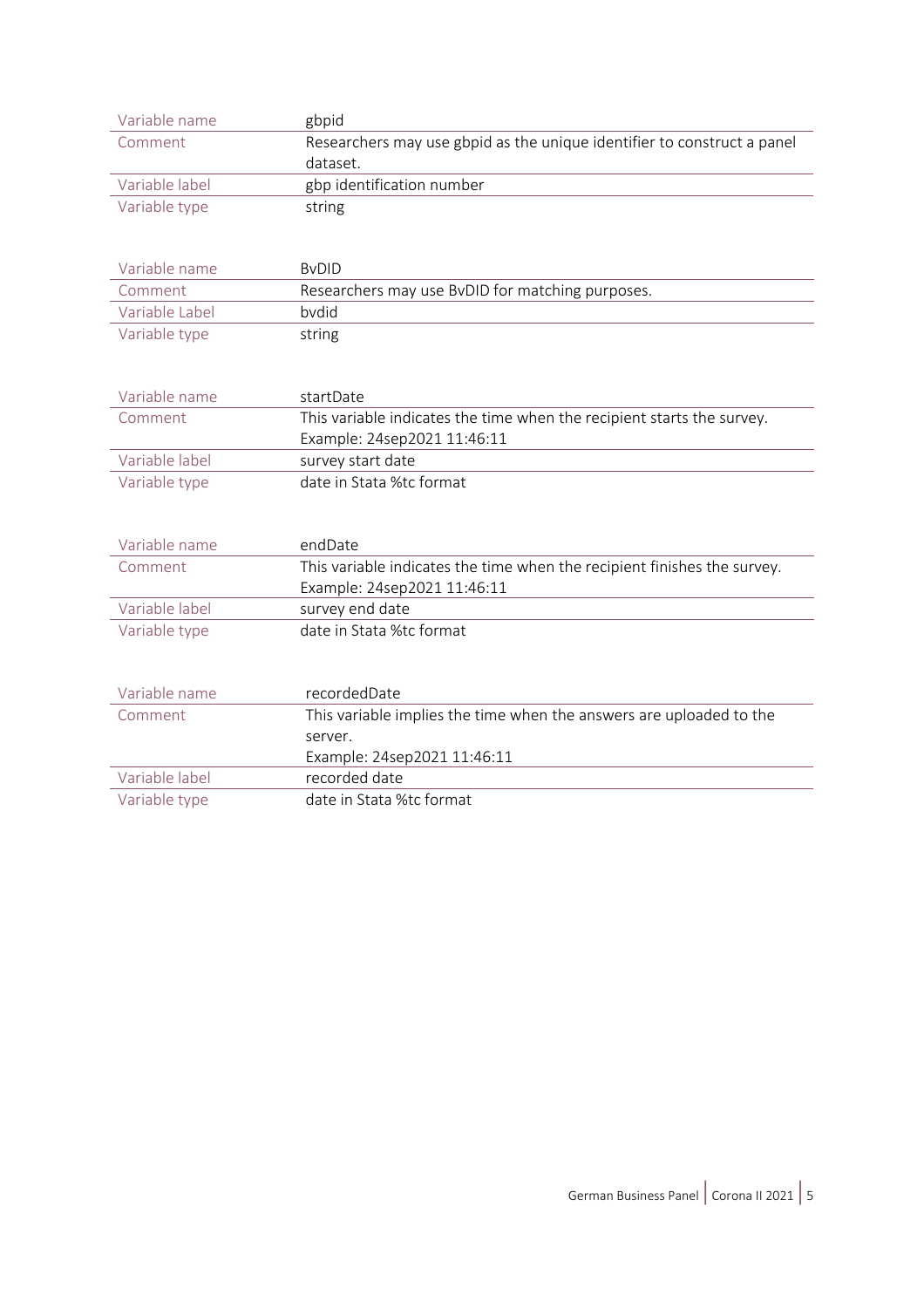| Variable name  | gbpid                                                                               |
|----------------|-------------------------------------------------------------------------------------|
| Comment        | Researchers may use gbpid as the unique identifier to construct a panel<br>dataset. |
| Variable label | gbp identification number                                                           |
| Variable type  | string                                                                              |
| Variable name  | <b>BVDID</b>                                                                        |
| Comment        | Researchers may use BvDID for matching purposes.                                    |
| Variable Label | bydid                                                                               |
| Variable type  | string                                                                              |
|                |                                                                                     |
| Variable name  | startDate                                                                           |
| Comment        | This variable indicates the time when the recipient starts the survey.              |
|                | Example: 24sep2021 11:46:11                                                         |
| Variable label | survey start date                                                                   |
| Variable type  | date in Stata %tc format                                                            |
|                |                                                                                     |
| Variable name  | endDate                                                                             |
| Comment        | This variable indicates the time when the recipient finishes the survey.            |
|                | Example: 24sep2021 11:46:11                                                         |
| Variable label | survey end date                                                                     |
| Variable type  | date in Stata %tc format                                                            |
|                |                                                                                     |
| Variable name  | recordedDate                                                                        |
| Comment        | This variable implies the time when the answers are uploaded to the                 |
|                | server.                                                                             |
|                | Example: 24sep2021 11:46:11                                                         |
| Variable label | recorded date                                                                       |
| Variable type  | date in Stata %tc format                                                            |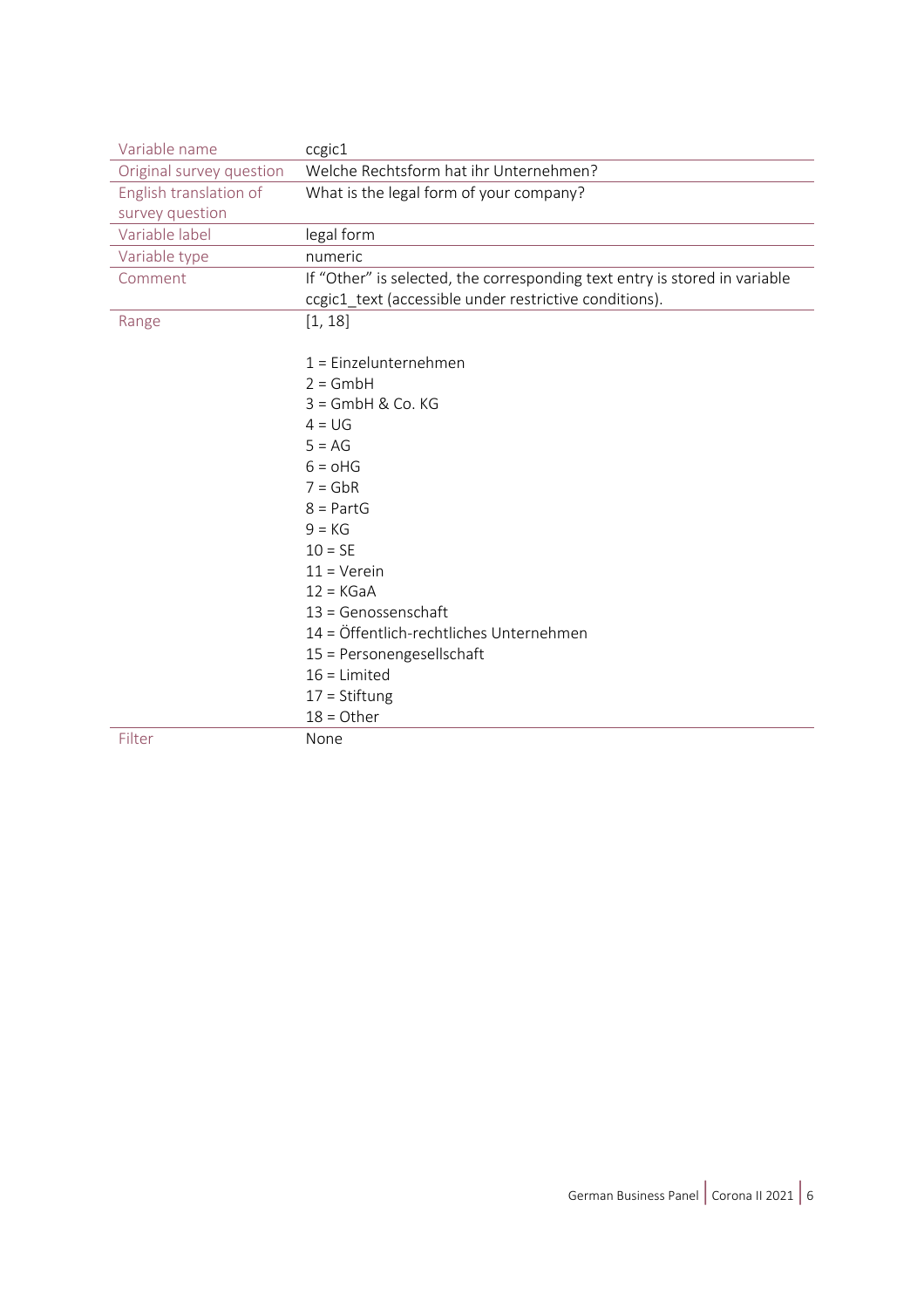| Variable name            | ccgic1                                                                     |
|--------------------------|----------------------------------------------------------------------------|
| Original survey question | Welche Rechtsform hat ihr Unternehmen?                                     |
| English translation of   | What is the legal form of your company?                                    |
| survey question          |                                                                            |
| Variable label           | legal form                                                                 |
| Variable type            | numeric                                                                    |
| Comment                  | If "Other" is selected, the corresponding text entry is stored in variable |
|                          | ccgic1_text (accessible under restrictive conditions).                     |
| Range                    | [1, 18]                                                                    |
|                          |                                                                            |
|                          | $1 =$ Einzelunternehmen                                                    |
|                          | $2 = GmbH$                                                                 |
|                          | $3 =$ GmbH & Co. KG                                                        |
|                          | $4 = UG$                                                                   |
|                          | $5 = AG$                                                                   |
|                          | $6 = oHG$                                                                  |
|                          | $7 = GbR$                                                                  |
|                          | $8 = PartG$                                                                |
|                          | $9 = KG$                                                                   |
|                          | $10 = SE$                                                                  |
|                          | $11 =$ Verein                                                              |
|                          | $12 = KGaA$                                                                |
|                          | $13 = Genossenschaft$                                                      |
|                          | 14 = Öffentlich-rechtliches Unternehmen                                    |
|                          | 15 = Personengesellschaft                                                  |
|                          | $16$ = Limited                                                             |
|                          | $17 = Stiftung$                                                            |
|                          | $18 =$ Other                                                               |
| Filter                   | None                                                                       |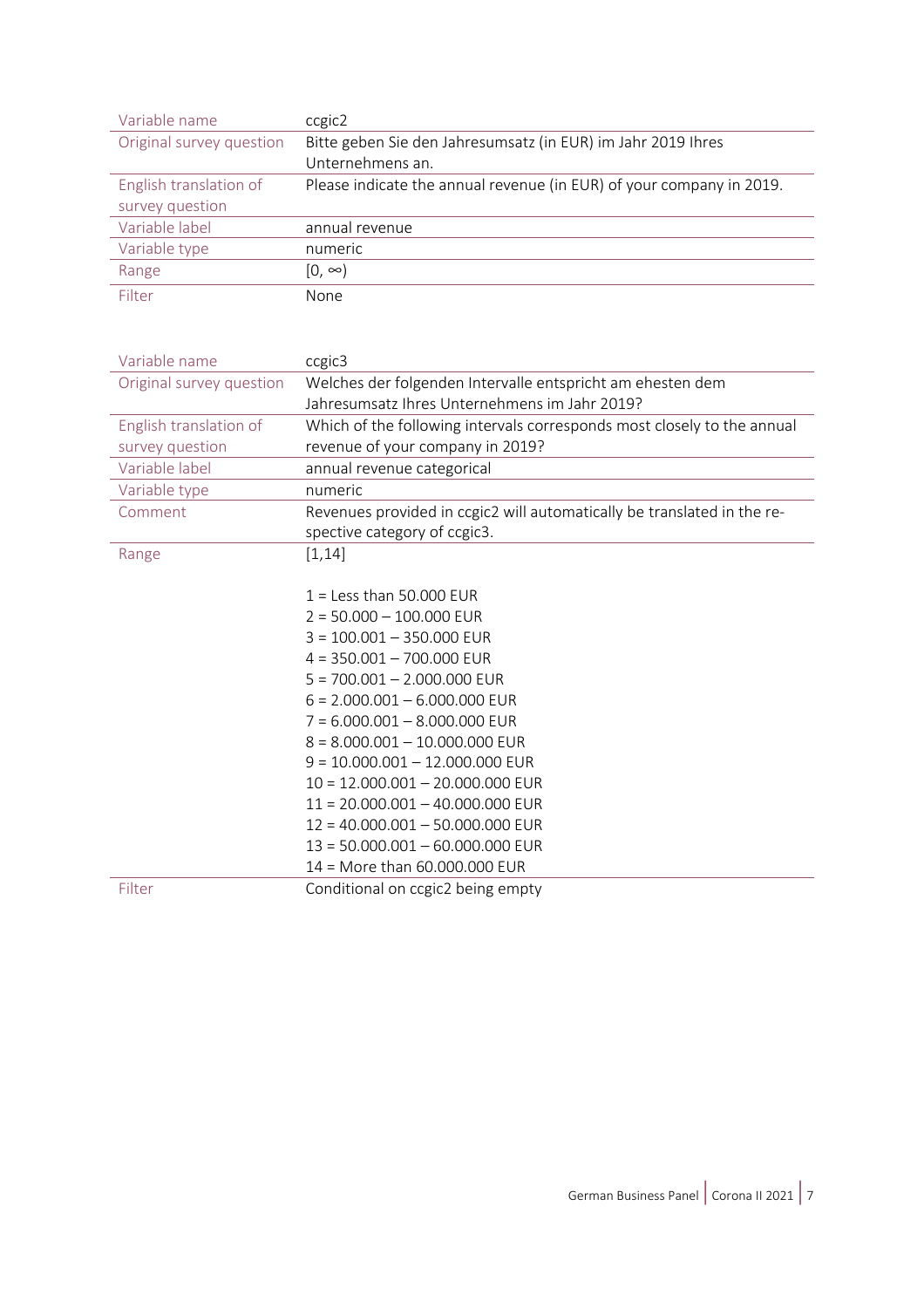| Variable name            | ccgic2                                                               |  |
|--------------------------|----------------------------------------------------------------------|--|
| Original survey question | Bitte geben Sie den Jahresumsatz (in EUR) im Jahr 2019 Ihres         |  |
|                          | Unternehmens an.                                                     |  |
| English translation of   | Please indicate the annual revenue (in EUR) of your company in 2019. |  |
| survey question          |                                                                      |  |
| Variable label           | annual revenue                                                       |  |
| Variable type            | numeric                                                              |  |
| Range                    | [0. ∞)                                                               |  |
| Filter                   | None                                                                 |  |

| Variable name            | ccgic3                                                                                                  |
|--------------------------|---------------------------------------------------------------------------------------------------------|
| Original survey question | Welches der folgenden Intervalle entspricht am ehesten dem                                              |
|                          | Jahresumsatz Ihres Unternehmens im Jahr 2019?                                                           |
| English translation of   | Which of the following intervals corresponds most closely to the annual                                 |
| survey question          | revenue of your company in 2019?                                                                        |
| Variable label           | annual revenue categorical                                                                              |
| Variable type            | numeric                                                                                                 |
| Comment                  | Revenues provided in ccgic2 will automatically be translated in the re-<br>spective category of ccgic3. |
| Range                    | [1, 14]                                                                                                 |
|                          |                                                                                                         |
|                          | $1 =$ Less than 50.000 EUR                                                                              |
|                          | $2 = 50.000 - 100.000$ EUR                                                                              |
|                          | $3 = 100.001 - 350.000$ EUR                                                                             |
|                          | $4 = 350.001 - 700.000$ EUR                                                                             |
|                          | $5 = 700.001 - 2.000.000$ EUR                                                                           |
|                          | $6 = 2.000.001 - 6.000.000$ EUR                                                                         |
|                          | $7 = 6.000.001 - 8.000.000$ EUR                                                                         |
|                          | $8 = 8.000.001 - 10.000.000$ EUR                                                                        |
|                          | $9 = 10.000.001 - 12.000.000$ EUR                                                                       |
|                          | $10 = 12.000.001 - 20.000.000$ EUR                                                                      |
|                          | $11 = 20.000.001 - 40.000.000$ EUR                                                                      |
|                          | $12 = 40.000.001 - 50.000.000$ EUR                                                                      |
|                          | $13 = 50.000.001 - 60.000.000$ EUR                                                                      |
|                          | 14 = More than 60.000.000 EUR                                                                           |
| Filter                   | Conditional on ccgic2 being empty                                                                       |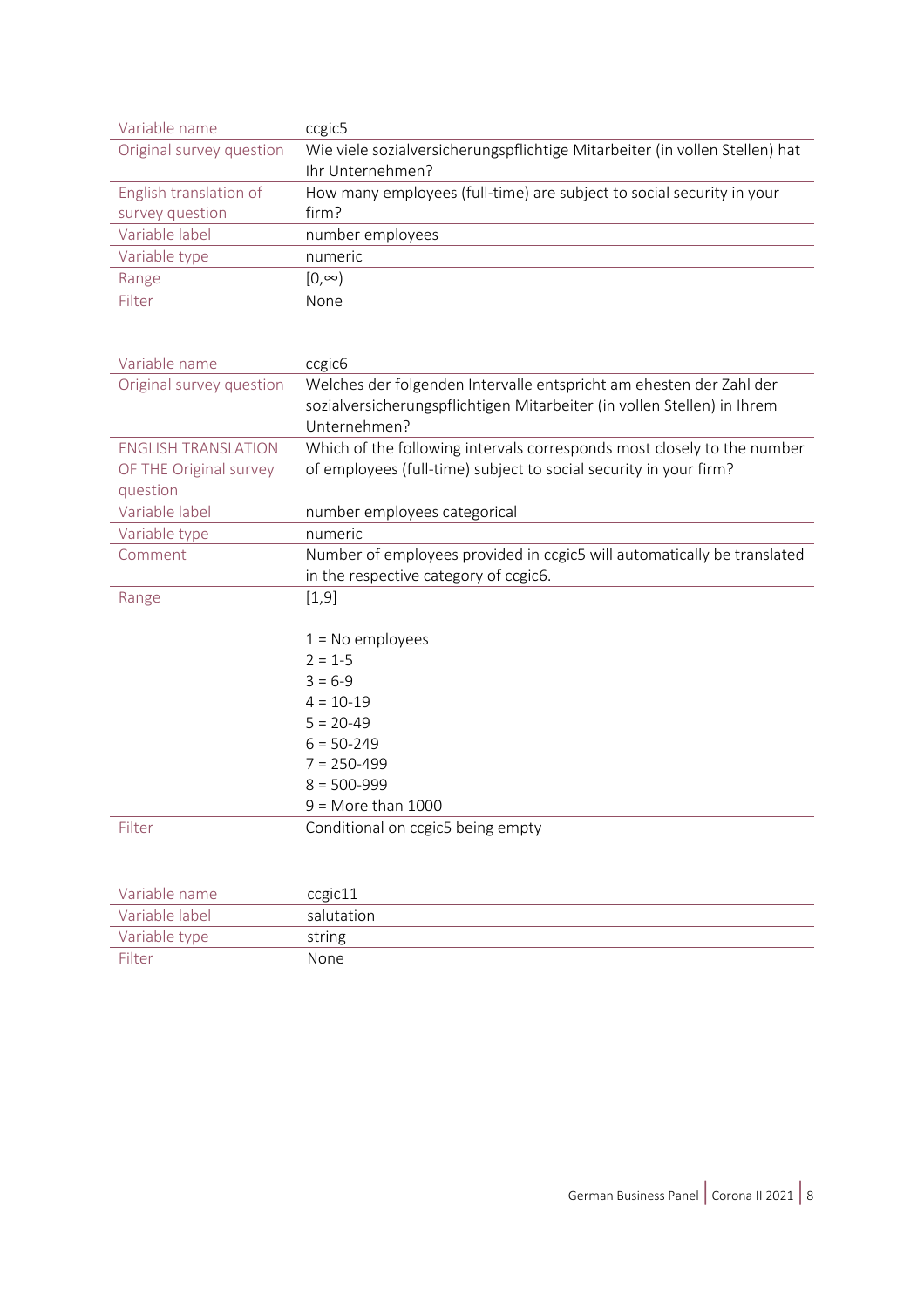| Variable name              | ccgic5                                                                      |
|----------------------------|-----------------------------------------------------------------------------|
| Original survey question   | Wie viele sozialversicherungspflichtige Mitarbeiter (in vollen Stellen) hat |
|                            | Ihr Unternehmen?                                                            |
| English translation of     | How many employees (full-time) are subject to social security in your       |
| survey question            | firm?                                                                       |
| Variable label             | number employees                                                            |
| Variable type              | numeric                                                                     |
| Range                      | $[0, \infty)$                                                               |
| Filter                     | None                                                                        |
|                            |                                                                             |
|                            |                                                                             |
| Variable name              | ccgic <sub>6</sub>                                                          |
| Original survey question   | Welches der folgenden Intervalle entspricht am ehesten der Zahl der         |
|                            | sozialversicherungspflichtigen Mitarbeiter (in vollen Stellen) in Ihrem     |
|                            | Unternehmen?                                                                |
| <b>ENGLISH TRANSLATION</b> | Which of the following intervals corresponds most closely to the number     |
| OF THE Original survey     | of employees (full-time) subject to social security in your firm?           |
| question                   |                                                                             |
| Variable label             | number employees categorical                                                |
| Variable type              | numeric                                                                     |
| Comment                    | Number of employees provided in ccgic5 will automatically be translated     |
|                            | in the respective category of ccgic6.                                       |
| Range                      | [1, 9]                                                                      |
|                            |                                                                             |
|                            | $1 = No$ employees                                                          |
|                            | $2 = 1-5$                                                                   |
|                            | $3 = 6-9$                                                                   |
|                            | $4 = 10 - 19$                                                               |
|                            | $5 = 20-49$                                                                 |
|                            | $6 = 50 - 249$                                                              |
|                            | $7 = 250 - 499$<br>$8 = 500 - 999$                                          |
|                            | $9 =$ More than 1000                                                        |
|                            |                                                                             |
| Filter                     | Conditional on ccgic5 being empty                                           |
|                            |                                                                             |
| Variable name              |                                                                             |
| Variable label             | ccgic11<br>salutation                                                       |
|                            |                                                                             |
| Variable type              | string                                                                      |

Filter None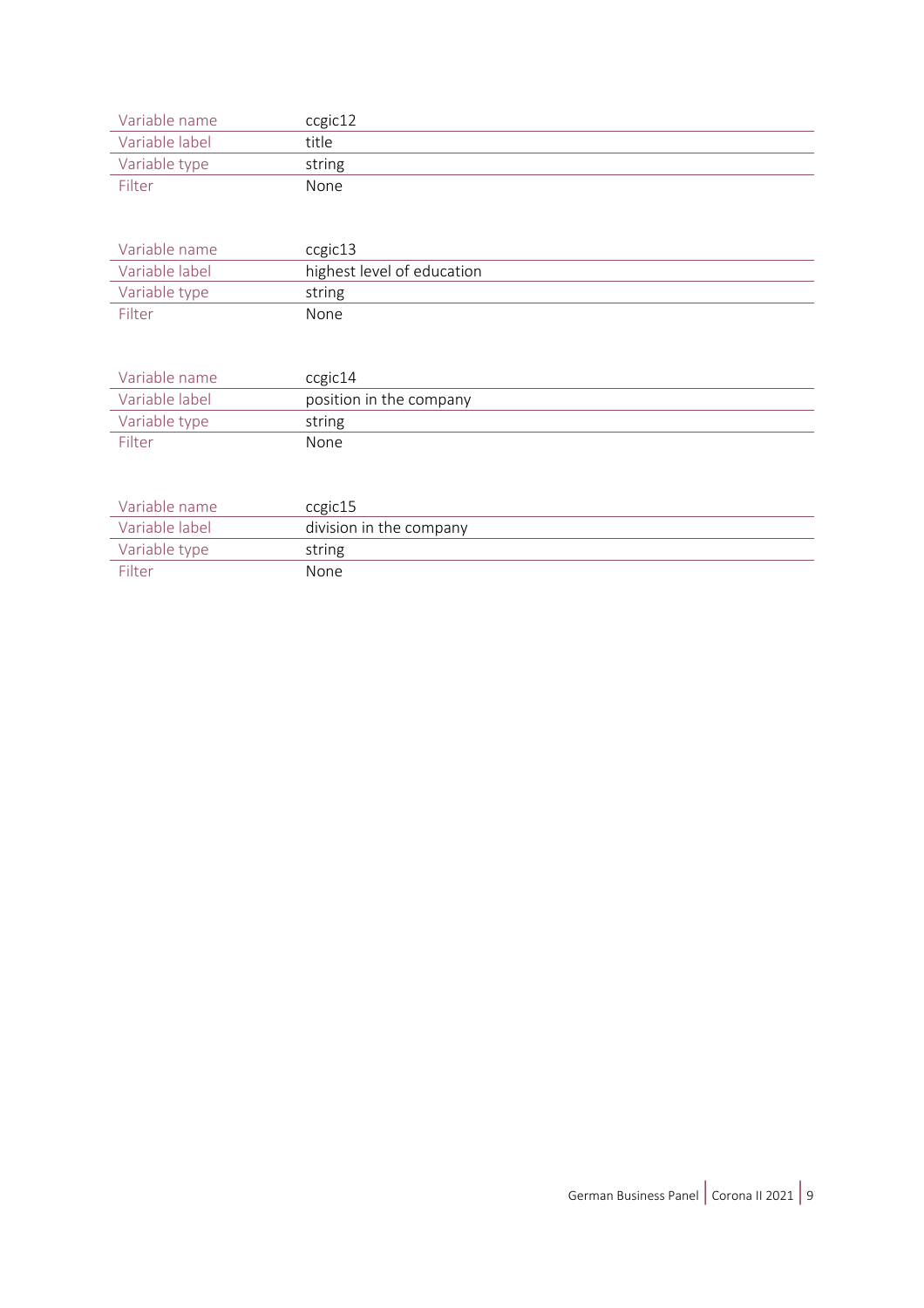| Variable name  | ccgic12 |
|----------------|---------|
| Variable label | title   |
| Variable type  | string  |
| Filter         | None    |

| Variable name  | ccgic13                    |
|----------------|----------------------------|
| Variable label | highest level of education |
| Variable type  | string                     |
| Filter         | None                       |

| Variable name  | ccgic14                 |
|----------------|-------------------------|
| Variable label | position in the company |
| Variable type  | string                  |
| Filter         | None                    |

| Variable name  | ccgic15                 |
|----------------|-------------------------|
| Variable label | division in the company |
| Variable type  | string                  |
| Filter         | <b>None</b>             |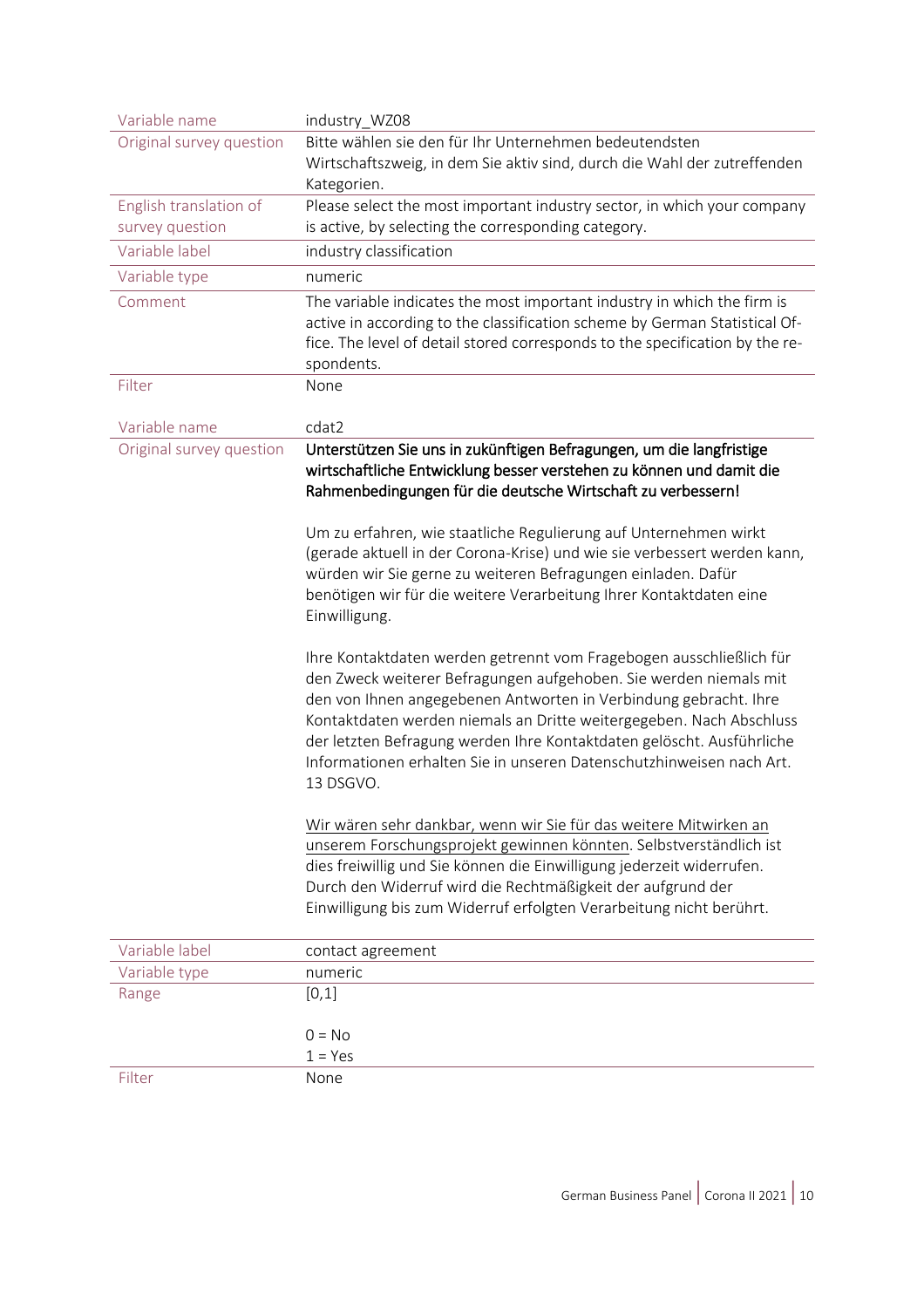| Variable name            | industry_WZ08                                                                |  |  |
|--------------------------|------------------------------------------------------------------------------|--|--|
| Original survey question | Bitte wählen sie den für Ihr Unternehmen bedeutendsten                       |  |  |
|                          | Wirtschaftszweig, in dem Sie aktiv sind, durch die Wahl der zutreffenden     |  |  |
|                          | Kategorien.                                                                  |  |  |
| English translation of   | Please select the most important industry sector, in which your company      |  |  |
| survey question          | is active, by selecting the corresponding category.                          |  |  |
| Variable label           | industry classification                                                      |  |  |
| Variable type            | numeric                                                                      |  |  |
| Comment                  | The variable indicates the most important industry in which the firm is      |  |  |
|                          | active in according to the classification scheme by German Statistical Of-   |  |  |
|                          | fice. The level of detail stored corresponds to the specification by the re- |  |  |
|                          | spondents.                                                                   |  |  |
| Filter                   | None                                                                         |  |  |
|                          |                                                                              |  |  |
| Variable name            | cdat2                                                                        |  |  |
| Original survey question | Unterstützen Sie uns in zukünftigen Befragungen, um die langfristige         |  |  |
|                          | wirtschaftliche Entwicklung besser verstehen zu können und damit die         |  |  |
|                          | Rahmenbedingungen für die deutsche Wirtschaft zu verbessern!                 |  |  |
|                          | Um zu erfahren, wie staatliche Regulierung auf Unternehmen wirkt             |  |  |
|                          | (gerade aktuell in der Corona-Krise) und wie sie verbessert werden kann,     |  |  |
|                          | würden wir Sie gerne zu weiteren Befragungen einladen. Dafür                 |  |  |
|                          | benötigen wir für die weitere Verarbeitung Ihrer Kontaktdaten eine           |  |  |
|                          | Einwilligung.                                                                |  |  |
|                          |                                                                              |  |  |
|                          | Ihre Kontaktdaten werden getrennt vom Fragebogen ausschließlich für          |  |  |
|                          | den Zweck weiterer Befragungen aufgehoben. Sie werden niemals mit            |  |  |
|                          | den von Ihnen angegebenen Antworten in Verbindung gebracht. Ihre             |  |  |
|                          | Kontaktdaten werden niemals an Dritte weitergegeben. Nach Abschluss          |  |  |
|                          | der letzten Befragung werden Ihre Kontaktdaten gelöscht. Ausführliche        |  |  |
|                          | Informationen erhalten Sie in unseren Datenschutzhinweisen nach Art.         |  |  |
|                          | 13 DSGVO.                                                                    |  |  |
|                          |                                                                              |  |  |
|                          | Wir wären sehr dankbar, wenn wir Sie für das weitere Mitwirken an            |  |  |
|                          | unserem Forschungsprojekt gewinnen könnten. Selbstverständlich ist           |  |  |
|                          | dies freiwillig und Sie können die Einwilligung jederzeit widerrufen.        |  |  |
|                          | Durch den Widerruf wird die Rechtmäßigkeit der aufgrund der                  |  |  |
|                          | Einwilligung bis zum Widerruf erfolgten Verarbeitung nicht berührt.          |  |  |
| Variable label           | contact agreement                                                            |  |  |
| Variable type            | numeric                                                                      |  |  |
| Range                    | [0,1]                                                                        |  |  |
|                          |                                                                              |  |  |
|                          | $0 = No$                                                                     |  |  |
|                          | $1 = Yes$                                                                    |  |  |
| Filter                   | None                                                                         |  |  |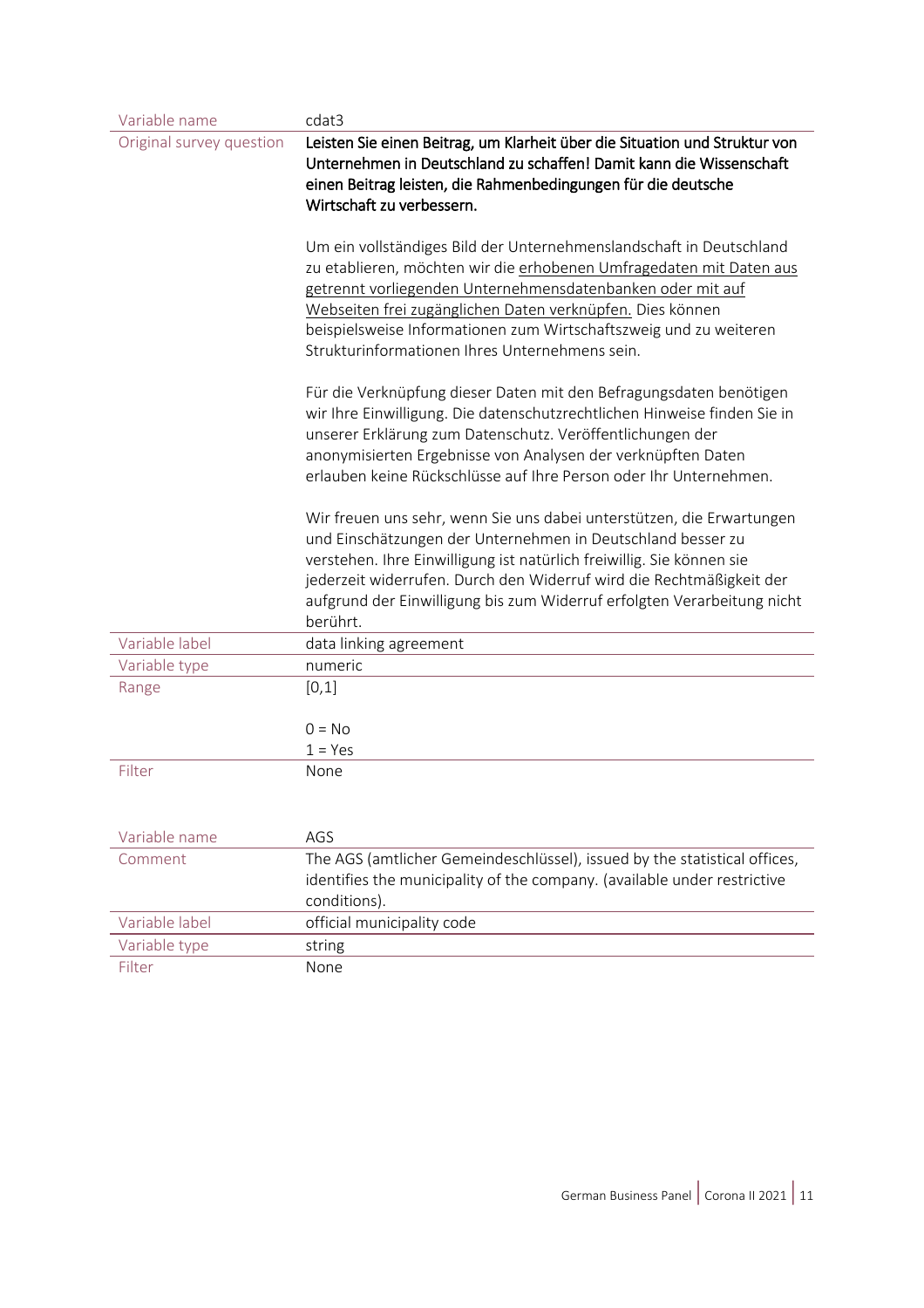| Variable name            | cdat3                                                                                                                                                                                                                                                                                                                                                                                        |  |
|--------------------------|----------------------------------------------------------------------------------------------------------------------------------------------------------------------------------------------------------------------------------------------------------------------------------------------------------------------------------------------------------------------------------------------|--|
| Original survey question | Leisten Sie einen Beitrag, um Klarheit über die Situation und Struktur von<br>Unternehmen in Deutschland zu schaffen! Damit kann die Wissenschaft<br>einen Beitrag leisten, die Rahmenbedingungen für die deutsche                                                                                                                                                                           |  |
|                          | Wirtschaft zu verbessern.                                                                                                                                                                                                                                                                                                                                                                    |  |
|                          | Um ein vollständiges Bild der Unternehmenslandschaft in Deutschland<br>zu etablieren, möchten wir die erhobenen Umfragedaten mit Daten aus<br>getrennt vorliegenden Unternehmensdatenbanken oder mit auf<br>Webseiten frei zugänglichen Daten verknüpfen. Dies können<br>beispielsweise Informationen zum Wirtschaftszweig und zu weiteren<br>Strukturinformationen Ihres Unternehmens sein. |  |
|                          | Für die Verknüpfung dieser Daten mit den Befragungsdaten benötigen<br>wir Ihre Einwilligung. Die datenschutzrechtlichen Hinweise finden Sie in<br>unserer Erklärung zum Datenschutz. Veröffentlichungen der<br>anonymisierten Ergebnisse von Analysen der verknüpften Daten<br>erlauben keine Rückschlüsse auf Ihre Person oder Ihr Unternehmen.                                             |  |
|                          | Wir freuen uns sehr, wenn Sie uns dabei unterstützen, die Erwartungen<br>und Einschätzungen der Unternehmen in Deutschland besser zu<br>verstehen. Ihre Einwilligung ist natürlich freiwillig. Sie können sie<br>jederzeit widerrufen. Durch den Widerruf wird die Rechtmäßigkeit der<br>aufgrund der Einwilligung bis zum Widerruf erfolgten Verarbeitung nicht<br>berührt.                 |  |
| Variable label           | data linking agreement                                                                                                                                                                                                                                                                                                                                                                       |  |
| Variable type            | numeric                                                                                                                                                                                                                                                                                                                                                                                      |  |
| Range                    | [0,1]<br>$0 = No$<br>$1 = Yes$                                                                                                                                                                                                                                                                                                                                                               |  |
| Filter                   | None                                                                                                                                                                                                                                                                                                                                                                                         |  |
| Variable name            | AGS                                                                                                                                                                                                                                                                                                                                                                                          |  |
| Comment                  | The AGS (amtlicher Gemeindeschlüssel), issued by the statistical offices,<br>identifies the municipality of the company. (available under restrictive<br>conditions).                                                                                                                                                                                                                        |  |
| Variable label           | official municipality code                                                                                                                                                                                                                                                                                                                                                                   |  |
| Variable type            | string                                                                                                                                                                                                                                                                                                                                                                                       |  |
| Filter                   | None                                                                                                                                                                                                                                                                                                                                                                                         |  |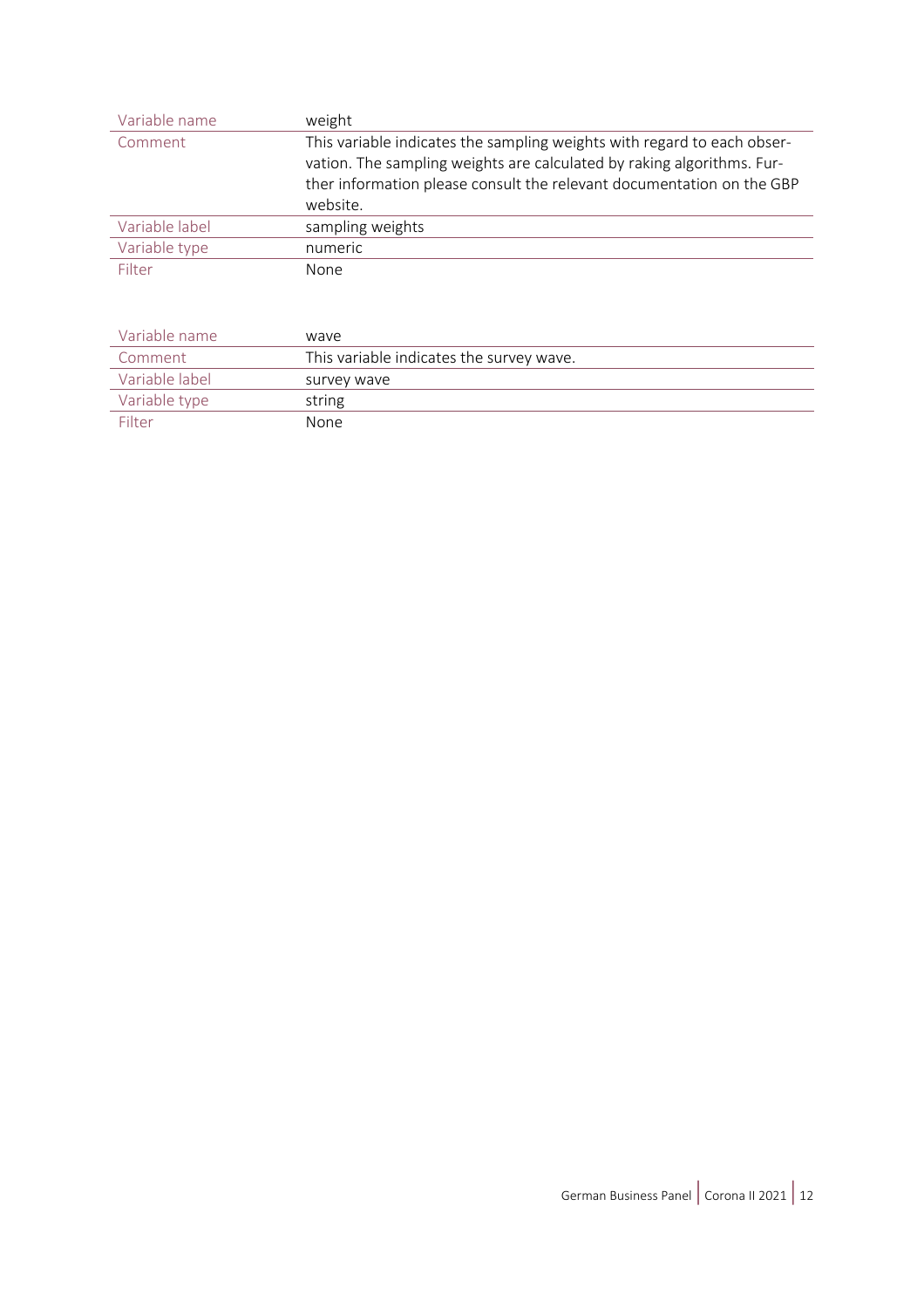| Variable name  | weight                                                                                                                                                                                                                                 |
|----------------|----------------------------------------------------------------------------------------------------------------------------------------------------------------------------------------------------------------------------------------|
| Comment        | This variable indicates the sampling weights with regard to each obser-<br>vation. The sampling weights are calculated by raking algorithms. Fur-<br>ther information please consult the relevant documentation on the GBP<br>website. |
| Variable label | sampling weights                                                                                                                                                                                                                       |
| Variable type  | numeric                                                                                                                                                                                                                                |
| Filter         | <b>None</b>                                                                                                                                                                                                                            |

| Variable name  | waye                                     |
|----------------|------------------------------------------|
| Comment        | This variable indicates the survey wave. |
| Variable label | survey wave                              |
| Variable type  | string                                   |
| Filter         | <b>None</b>                              |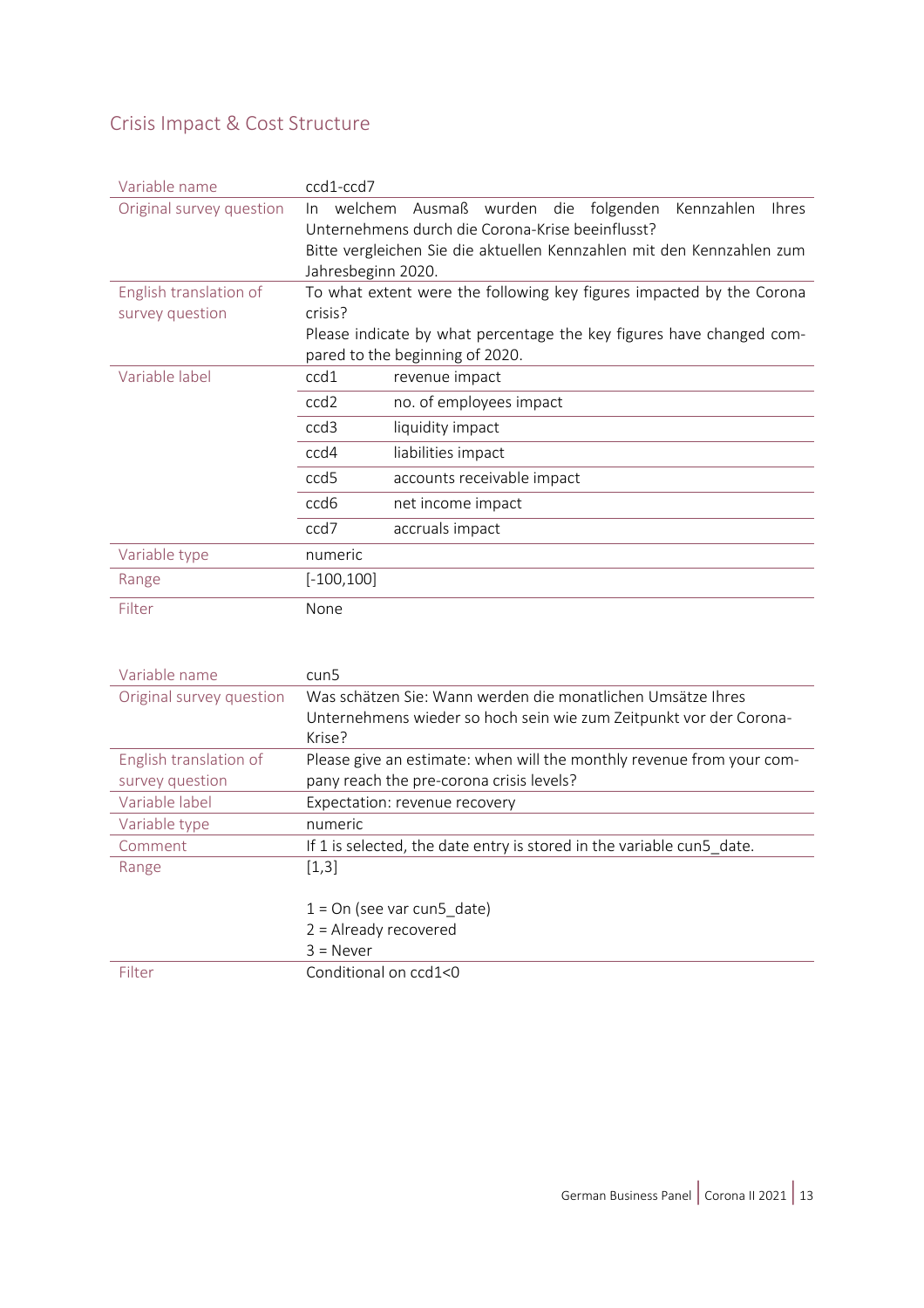### <span id="page-12-0"></span>Crisis Impact & Cost Structure

| Variable name            | ccd1-ccd7                                                             |                                                                      |  |  |
|--------------------------|-----------------------------------------------------------------------|----------------------------------------------------------------------|--|--|
| Original survey question | welchem<br>In.                                                        | wurden die folgenden<br>Ausmaß<br>Kennzahlen<br><b>Ihres</b>         |  |  |
|                          | Unternehmens durch die Corona-Krise beeinflusst?                      |                                                                      |  |  |
|                          | Bitte vergleichen Sie die aktuellen Kennzahlen mit den Kennzahlen zum |                                                                      |  |  |
|                          | Jahresbeginn 2020.                                                    |                                                                      |  |  |
| English translation of   | To what extent were the following key figures impacted by the Corona  |                                                                      |  |  |
| survey question          | crisis?                                                               |                                                                      |  |  |
|                          |                                                                       | Please indicate by what percentage the key figures have changed com- |  |  |
|                          |                                                                       | pared to the beginning of 2020.                                      |  |  |
| Variable label           | ccd1                                                                  | revenue impact                                                       |  |  |
|                          | ccd <sub>2</sub>                                                      | no. of employees impact                                              |  |  |
|                          | ccd <sub>3</sub>                                                      | liquidity impact                                                     |  |  |
|                          | ccd4                                                                  | liabilities impact                                                   |  |  |
|                          | ccd <sub>5</sub>                                                      | accounts receivable impact                                           |  |  |
|                          | ccd <sub>6</sub>                                                      | net income impact                                                    |  |  |
|                          | ccd7                                                                  | accruals impact                                                      |  |  |
| Variable type            | numeric                                                               |                                                                      |  |  |
| Range                    | $[-100, 100]$                                                         |                                                                      |  |  |
| Filter                   | None                                                                  |                                                                      |  |  |

| Variable name            | cun5                                                                  |  |  |  |
|--------------------------|-----------------------------------------------------------------------|--|--|--|
| Original survey question | Was schätzen Sie: Wann werden die monatlichen Umsätze Ihres           |  |  |  |
|                          | Unternehmens wieder so hoch sein wie zum Zeitpunkt vor der Corona-    |  |  |  |
|                          | Krise?                                                                |  |  |  |
| English translation of   | Please give an estimate: when will the monthly revenue from your com- |  |  |  |
| survey question          | pany reach the pre-corona crisis levels?                              |  |  |  |
| Variable label           | Expectation: revenue recovery                                         |  |  |  |
| Variable type            | numeric                                                               |  |  |  |
| Comment                  | If 1 is selected, the date entry is stored in the variable cun5 date. |  |  |  |
| Range                    | [1,3]                                                                 |  |  |  |
|                          |                                                                       |  |  |  |
|                          | $1 = On$ (see var cun5 date)                                          |  |  |  |
|                          | $2 =$ Already recovered                                               |  |  |  |
|                          | $3 =$ Never                                                           |  |  |  |
| Filter                   | Conditional on ccd1<0                                                 |  |  |  |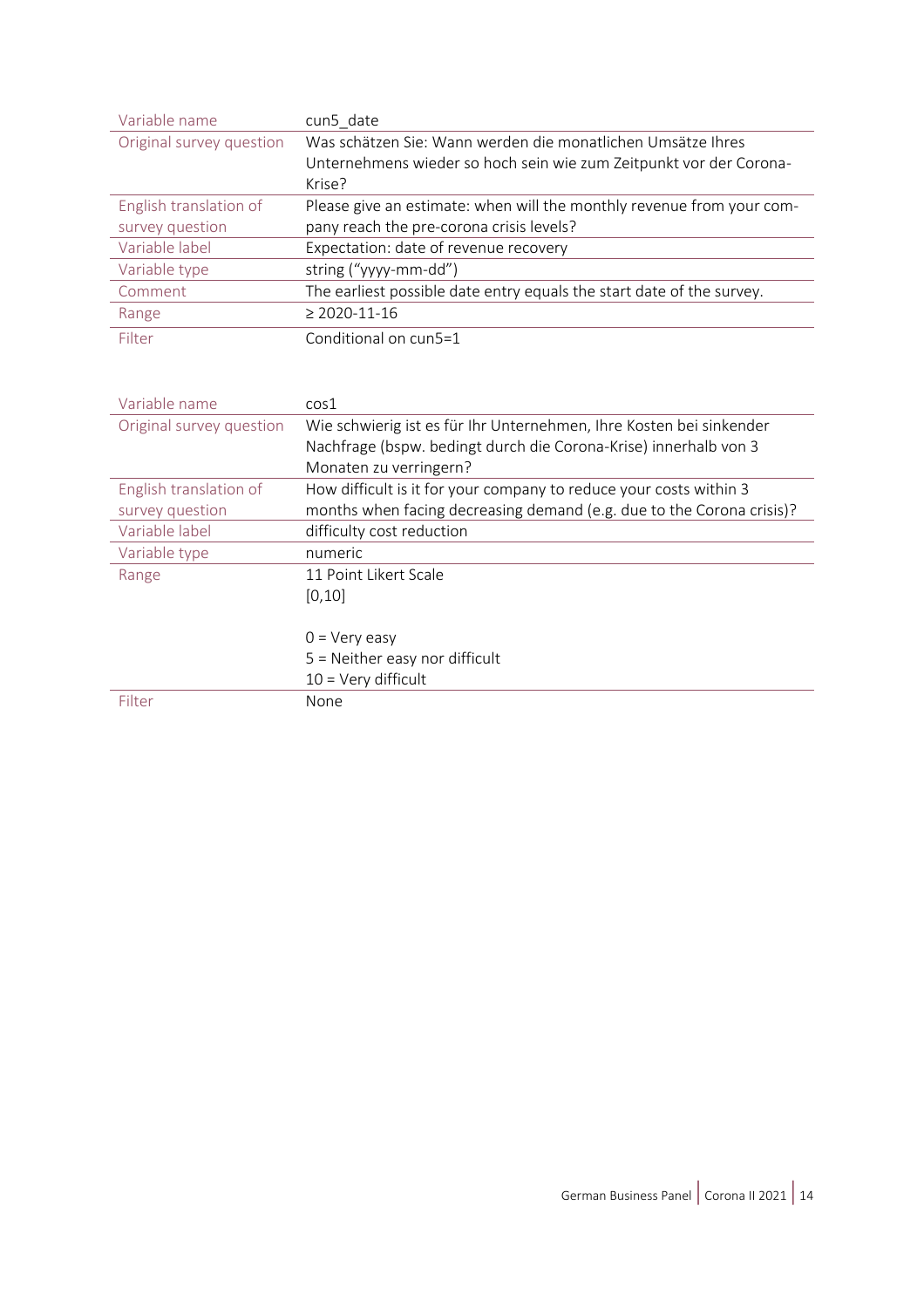| Variable name            | cun5 date                                                             |  |  |
|--------------------------|-----------------------------------------------------------------------|--|--|
| Original survey question | Was schätzen Sie: Wann werden die monatlichen Umsätze Ihres           |  |  |
|                          | Unternehmens wieder so hoch sein wie zum Zeitpunkt vor der Corona-    |  |  |
|                          | Krise?                                                                |  |  |
| English translation of   | Please give an estimate: when will the monthly revenue from your com- |  |  |
| survey question          | pany reach the pre-corona crisis levels?                              |  |  |
| Variable label           | Expectation: date of revenue recovery                                 |  |  |
| Variable type            | string ("yyyy-mm-dd")                                                 |  |  |
| Comment                  | The earliest possible date entry equals the start date of the survey. |  |  |
| Range                    | $\geq$ 2020-11-16                                                     |  |  |
| Filter                   | Conditional on cun5=1                                                 |  |  |
|                          |                                                                       |  |  |

| Variable name            | cos1                                                                  |  |  |
|--------------------------|-----------------------------------------------------------------------|--|--|
| Original survey question | Wie schwierig ist es für Ihr Unternehmen, Ihre Kosten bei sinkender   |  |  |
|                          | Nachfrage (bspw. bedingt durch die Corona-Krise) innerhalb von 3      |  |  |
|                          | Monaten zu verringern?                                                |  |  |
| English translation of   | How difficult is it for your company to reduce your costs within 3    |  |  |
| survey question          | months when facing decreasing demand (e.g. due to the Corona crisis)? |  |  |
| Variable label           | difficulty cost reduction                                             |  |  |
| Variable type            | numeric                                                               |  |  |
| Range                    | 11 Point Likert Scale                                                 |  |  |
|                          | [0, 10]                                                               |  |  |
|                          |                                                                       |  |  |
|                          | $0 = Very easy$                                                       |  |  |
|                          | $5$ = Neither easy nor difficult                                      |  |  |
|                          | $10 = \text{Very difficult}$                                          |  |  |
| Filter                   | None                                                                  |  |  |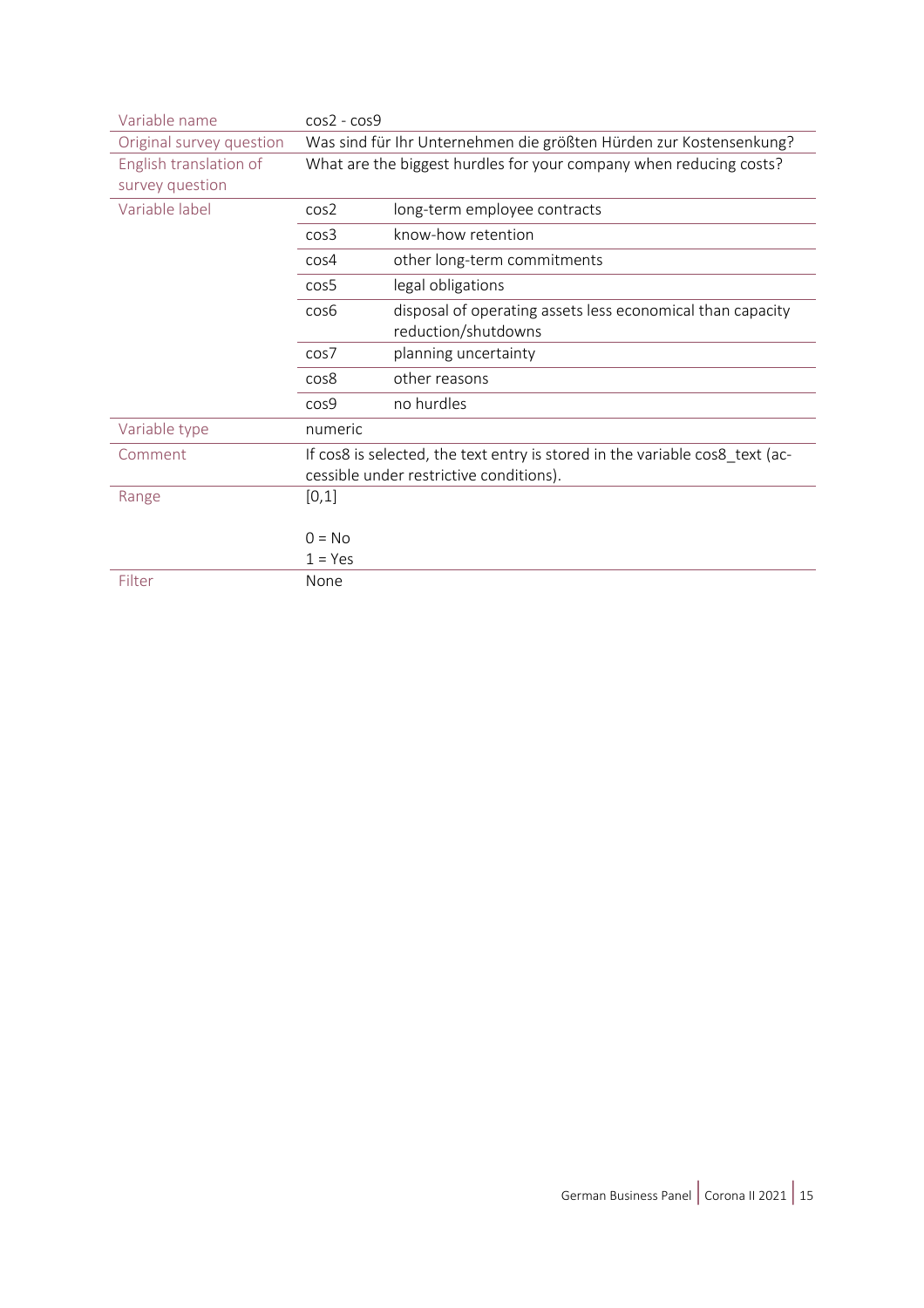| Variable name            | $cos2 - cos9$                                                                                                           |                                                            |  |
|--------------------------|-------------------------------------------------------------------------------------------------------------------------|------------------------------------------------------------|--|
| Original survey question | Was sind für Ihr Unternehmen die größten Hürden zur Kostensenkung?                                                      |                                                            |  |
| English translation of   | What are the biggest hurdles for your company when reducing costs?                                                      |                                                            |  |
| survey question          |                                                                                                                         |                                                            |  |
| Variable label           | cos <sub>2</sub>                                                                                                        | long-term employee contracts                               |  |
|                          | cos <sub>3</sub>                                                                                                        | know-how retention                                         |  |
|                          | cos <sub>4</sub>                                                                                                        | other long-term commitments                                |  |
|                          | cos5                                                                                                                    | legal obligations                                          |  |
|                          | cos6                                                                                                                    | disposal of operating assets less economical than capacity |  |
|                          |                                                                                                                         | reduction/shutdowns                                        |  |
|                          | cos7                                                                                                                    | planning uncertainty                                       |  |
|                          | cos8                                                                                                                    | other reasons                                              |  |
|                          | cos9                                                                                                                    | no hurdles                                                 |  |
| Variable type            | numeric                                                                                                                 |                                                            |  |
| Comment                  | If cos8 is selected, the text entry is stored in the variable cos8 text (ac-<br>cessible under restrictive conditions). |                                                            |  |
|                          |                                                                                                                         |                                                            |  |
| Range                    | [0,1]                                                                                                                   |                                                            |  |
|                          |                                                                                                                         |                                                            |  |
|                          | $0 = No$                                                                                                                |                                                            |  |
|                          | $1 = Yes$                                                                                                               |                                                            |  |
| Filter                   | None                                                                                                                    |                                                            |  |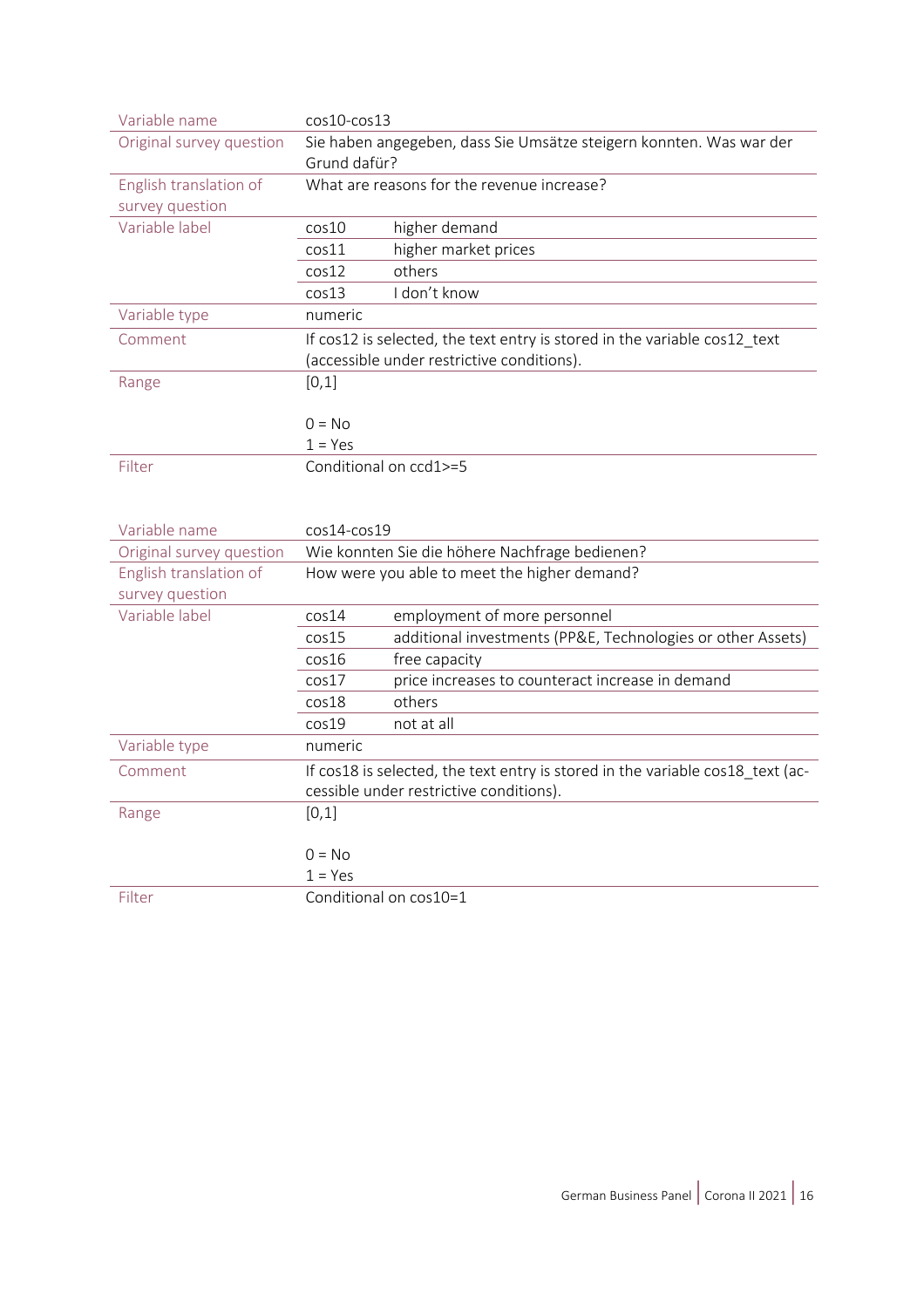| Variable name            | cos10-cos13                                                                    |  |  |
|--------------------------|--------------------------------------------------------------------------------|--|--|
| Original survey question | Sie haben angegeben, dass Sie Umsätze steigern konnten. Was war der            |  |  |
|                          | Grund dafür?                                                                   |  |  |
| English translation of   | What are reasons for the revenue increase?                                     |  |  |
| survey question          |                                                                                |  |  |
| Variable label           | higher demand<br>cos10                                                         |  |  |
|                          | higher market prices<br>cos11                                                  |  |  |
|                          | others<br>cos12                                                                |  |  |
|                          | I don't know<br>cos13                                                          |  |  |
| Variable type            | numeric                                                                        |  |  |
| Comment                  | If cos12 is selected, the text entry is stored in the variable cos12_text      |  |  |
|                          | (accessible under restrictive conditions).                                     |  |  |
| Range                    | [0,1]                                                                          |  |  |
|                          |                                                                                |  |  |
|                          | $0 = No$                                                                       |  |  |
|                          | $1 = Yes$                                                                      |  |  |
| Filter                   | Conditional on ccd1>=5                                                         |  |  |
|                          |                                                                                |  |  |
|                          |                                                                                |  |  |
|                          |                                                                                |  |  |
| Variable name            | $cos14-cos19$                                                                  |  |  |
| Original survey question | Wie konnten Sie die höhere Nachfrage bedienen?                                 |  |  |
| English translation of   | How were you able to meet the higher demand?                                   |  |  |
| survey question          |                                                                                |  |  |
| Variable label           | employment of more personnel<br>cos14                                          |  |  |
|                          | additional investments (PP&E, Technologies or other Assets)<br>cos15           |  |  |
|                          | cos16<br>free capacity                                                         |  |  |
|                          | price increases to counteract increase in demand<br>cos17                      |  |  |
|                          | cos18<br>others                                                                |  |  |
|                          | cos19<br>not at all                                                            |  |  |
| Variable type            | numeric                                                                        |  |  |
| Comment                  | If cos18 is selected, the text entry is stored in the variable cos18_text (ac- |  |  |
|                          | cessible under restrictive conditions).                                        |  |  |
| Range                    | [0,1]                                                                          |  |  |
|                          |                                                                                |  |  |
|                          | $0 = No$                                                                       |  |  |
|                          | $1 = Yes$                                                                      |  |  |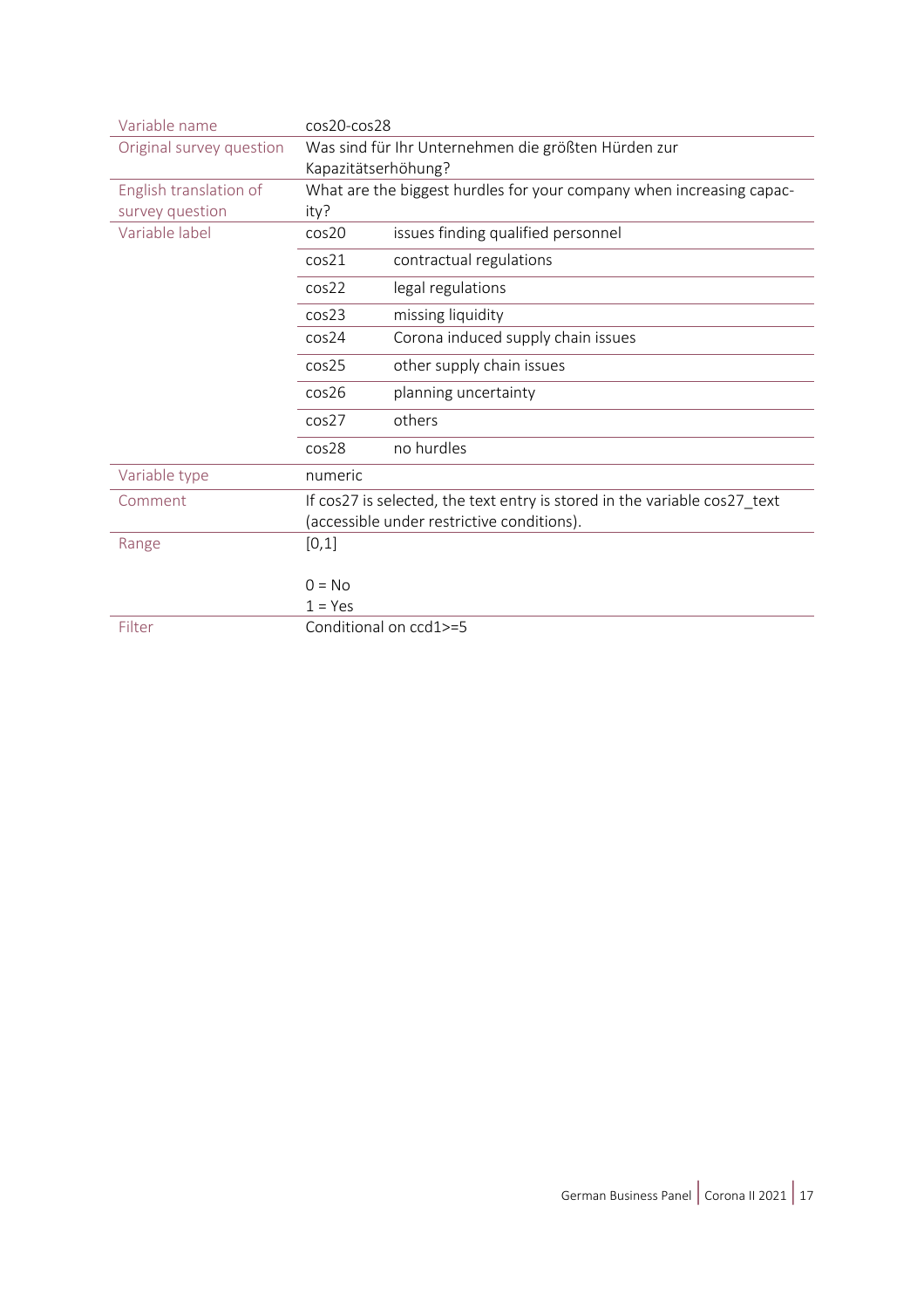| Variable name            | $cos20-cos28$                                                             |                                                     |  |
|--------------------------|---------------------------------------------------------------------------|-----------------------------------------------------|--|
| Original survey question |                                                                           | Was sind für Ihr Unternehmen die größten Hürden zur |  |
|                          | Kapazitätserhöhung?                                                       |                                                     |  |
| English translation of   | What are the biggest hurdles for your company when increasing capac-      |                                                     |  |
| survey question          | ity?                                                                      |                                                     |  |
| Variable label           | cos20                                                                     | issues finding qualified personnel                  |  |
|                          | cos21                                                                     | contractual regulations                             |  |
|                          | cos22                                                                     | legal regulations                                   |  |
|                          | cos <sub>23</sub>                                                         | missing liquidity                                   |  |
|                          | cos24                                                                     | Corona induced supply chain issues                  |  |
|                          | cos <sub>25</sub>                                                         | other supply chain issues                           |  |
|                          | cos26                                                                     | planning uncertainty                                |  |
|                          | cos27                                                                     | others                                              |  |
|                          | cos28                                                                     | no hurdles                                          |  |
| Variable type            | numeric                                                                   |                                                     |  |
| Comment                  | If cos27 is selected, the text entry is stored in the variable cos27_text |                                                     |  |
|                          | (accessible under restrictive conditions).                                |                                                     |  |
| Range                    | [0,1]                                                                     |                                                     |  |
|                          |                                                                           |                                                     |  |
|                          | $0 = No$                                                                  |                                                     |  |
|                          | $1 = Yes$                                                                 |                                                     |  |
| Filter                   | Conditional on ccd1>=5                                                    |                                                     |  |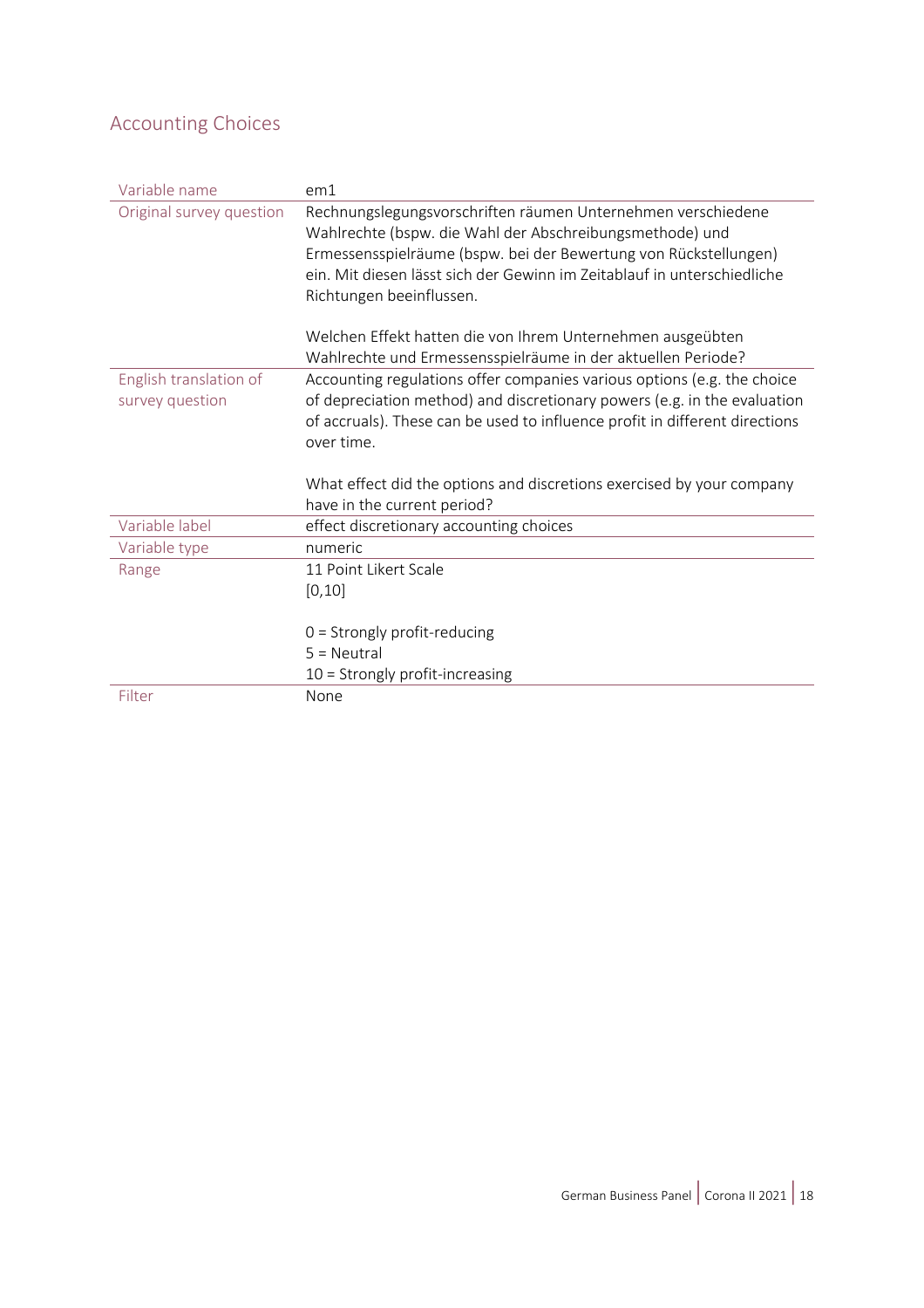### <span id="page-17-0"></span>Accounting Choices

| Variable name            | em1                                                                         |
|--------------------------|-----------------------------------------------------------------------------|
| Original survey question | Rechnungslegungsvorschriften räumen Unternehmen verschiedene                |
|                          | Wahlrechte (bspw. die Wahl der Abschreibungsmethode) und                    |
|                          | Ermessensspielräume (bspw. bei der Bewertung von Rückstellungen)            |
|                          | ein. Mit diesen lässt sich der Gewinn im Zeitablauf in unterschiedliche     |
|                          | Richtungen beeinflussen.                                                    |
|                          | Welchen Effekt hatten die von Ihrem Unternehmen ausgeübten                  |
|                          | Wahlrechte und Ermessensspielräume in der aktuellen Periode?                |
| English translation of   | Accounting regulations offer companies various options (e.g. the choice     |
| survey question          | of depreciation method) and discretionary powers (e.g. in the evaluation    |
|                          | of accruals). These can be used to influence profit in different directions |
|                          | over time.                                                                  |
|                          | What effect did the options and discretions exercised by your company       |
|                          | have in the current period?                                                 |
| Variable label           | effect discretionary accounting choices                                     |
|                          | numeric                                                                     |
| Variable type            |                                                                             |
| Range                    | 11 Point Likert Scale                                                       |
|                          | [0, 10]                                                                     |
|                          |                                                                             |
|                          | $0 =$ Strongly profit-reducing                                              |
|                          | $5 = Neutral$                                                               |
|                          | $10 =$ Strongly profit-increasing                                           |
| Filter                   | None                                                                        |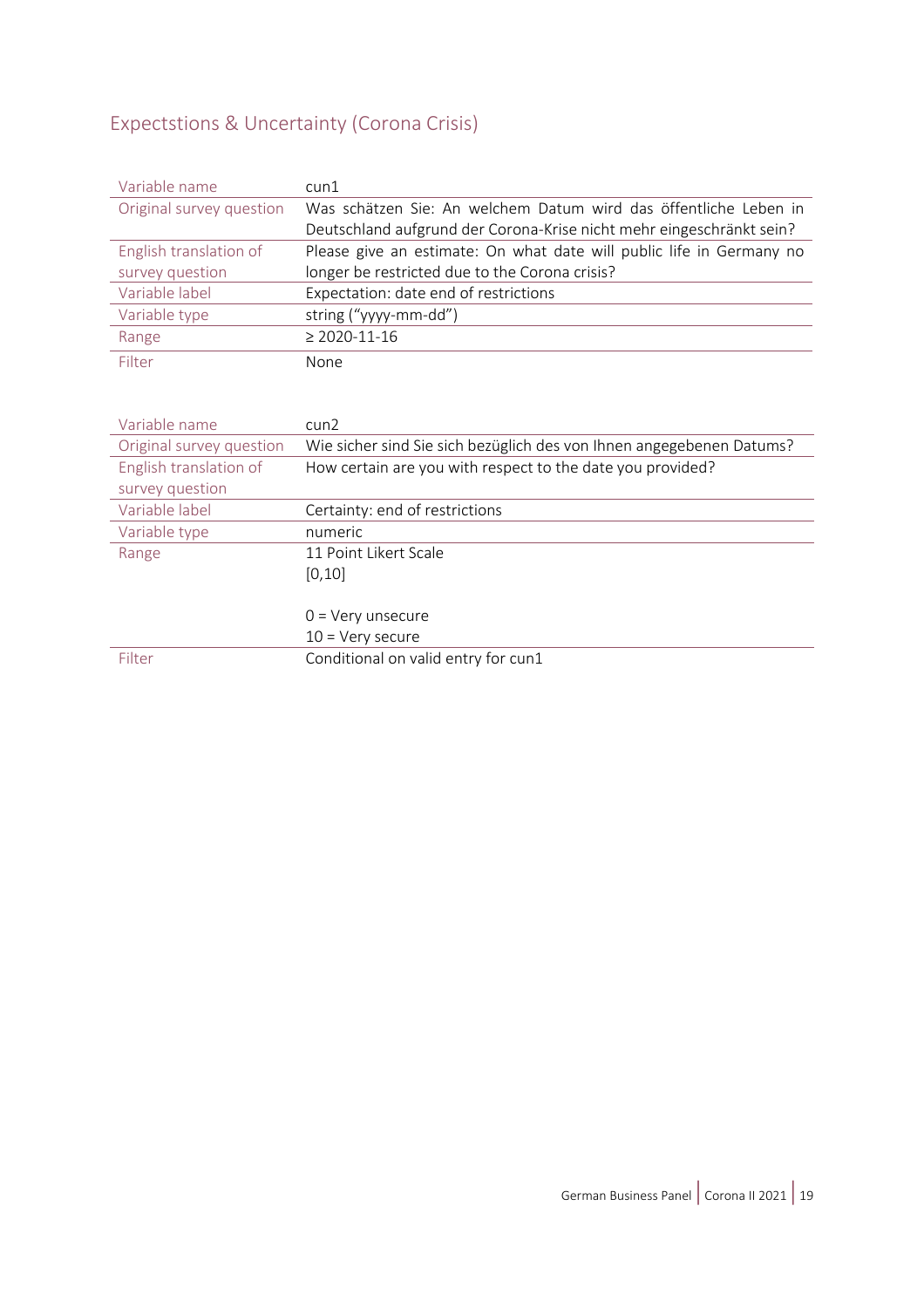### <span id="page-18-0"></span>Expectstions & Uncertainty (Corona Crisis)

| Variable name            | $c$ un $1$                                                           |  |  |
|--------------------------|----------------------------------------------------------------------|--|--|
| Original survey question | Was schätzen Sie: An welchem Datum wird das öffentliche Leben in     |  |  |
|                          | Deutschland aufgrund der Corona-Krise nicht mehr eingeschränkt sein? |  |  |
| English translation of   | Please give an estimate: On what date will public life in Germany no |  |  |
| survey question          | longer be restricted due to the Corona crisis?                       |  |  |
| Variable label           | Expectation: date end of restrictions                                |  |  |
| Variable type            | string ("yyyy-mm-dd")                                                |  |  |
| Range                    | $\geq 2020 - 11 - 16$                                                |  |  |
| Filter                   | None                                                                 |  |  |
|                          |                                                                      |  |  |
|                          |                                                                      |  |  |
| Variable name            | $c$ un $2$                                                           |  |  |
| Original survey question | Wie sicher sind Sie sich bezüglich des von Ihnen angegebenen Datums? |  |  |
| English translation of   | How certain are you with respect to the date you provided?           |  |  |
| survey question          |                                                                      |  |  |
| Variable label           | Certainty: end of restrictions                                       |  |  |
| Variable type            | numeric                                                              |  |  |
| Range                    | 11 Point Likert Scale                                                |  |  |
|                          | [0, 10]                                                              |  |  |
|                          |                                                                      |  |  |
|                          | $0 = \text{Very}$ unsecure                                           |  |  |
|                          | $10 = V$ ery secure                                                  |  |  |
| Filter                   | Conditional on valid entry for cun1                                  |  |  |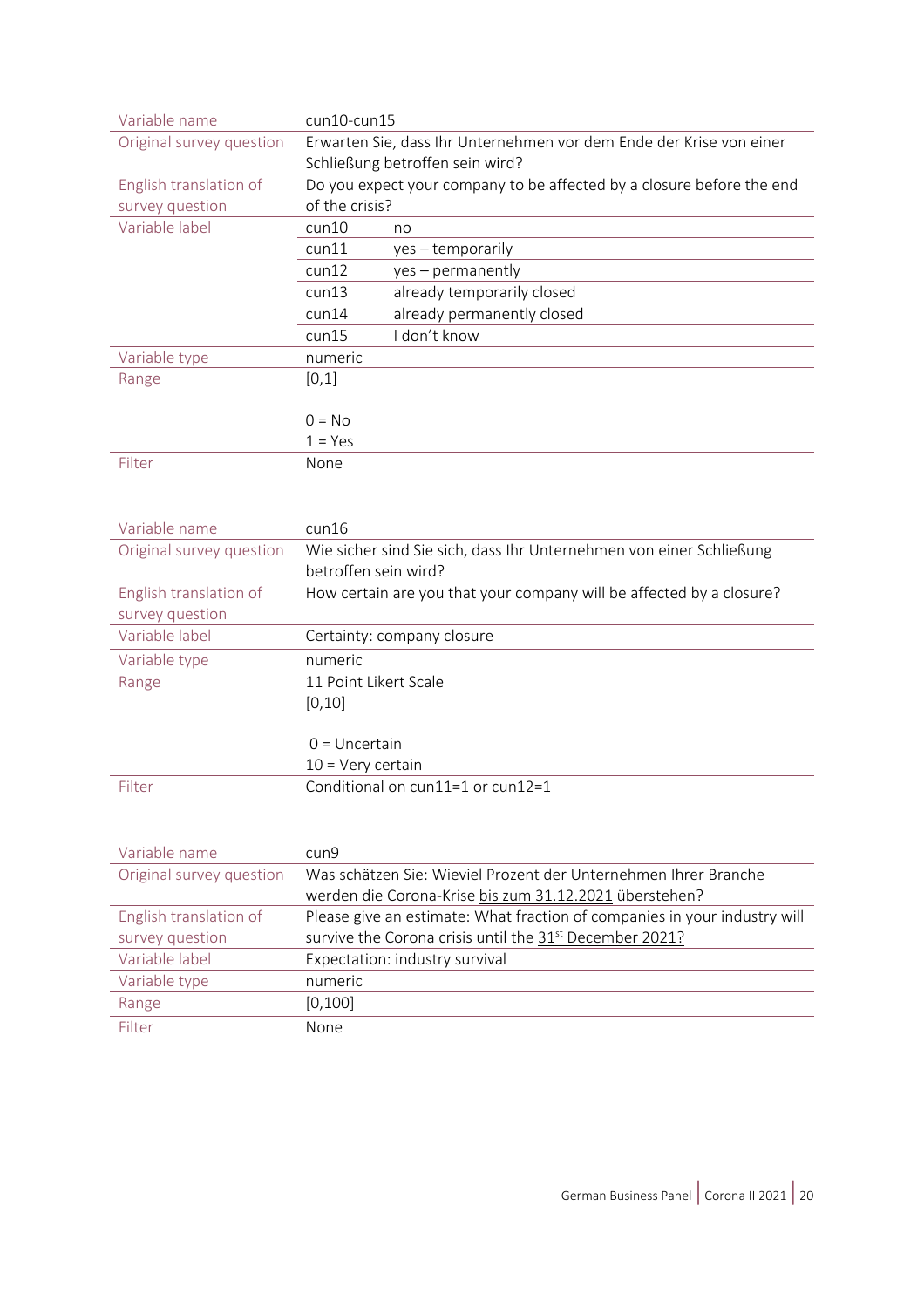| Variable name            | $cun10$ -cun $15$                                                     |                                 |  |
|--------------------------|-----------------------------------------------------------------------|---------------------------------|--|
| Original survey question | Erwarten Sie, dass Ihr Unternehmen vor dem Ende der Krise von einer   |                                 |  |
|                          |                                                                       | Schließung betroffen sein wird? |  |
| English translation of   | Do you expect your company to be affected by a closure before the end |                                 |  |
| survey question          | of the crisis?                                                        |                                 |  |
| Variable label           | $c$ un $10$                                                           | no                              |  |
|                          | $c$ un $11$                                                           | $yes - temporarily$             |  |
|                          | cun12                                                                 | yes – permanently               |  |
|                          | cun13                                                                 | already temporarily closed      |  |
|                          | cun14                                                                 | already permanently closed      |  |
|                          | cun15                                                                 | I don't know                    |  |
| Variable type            | numeric                                                               |                                 |  |
| Range                    | [0,1]                                                                 |                                 |  |
|                          |                                                                       |                                 |  |
|                          | $0 = No$                                                              |                                 |  |
|                          | $1 = Yes$                                                             |                                 |  |
| Filter                   | None                                                                  |                                 |  |
|                          |                                                                       |                                 |  |

| Variable name            | $c$ un $16$                                                          |  |  |
|--------------------------|----------------------------------------------------------------------|--|--|
| Original survey question | Wie sicher sind Sie sich, dass Ihr Unternehmen von einer Schließung  |  |  |
|                          | betroffen sein wird?                                                 |  |  |
| English translation of   | How certain are you that your company will be affected by a closure? |  |  |
| survey question          |                                                                      |  |  |
| Variable label           | Certainty: company closure                                           |  |  |
| Variable type            | numeric                                                              |  |  |
| Range                    | 11 Point Likert Scale                                                |  |  |
|                          | [0, 10]                                                              |  |  |
|                          |                                                                      |  |  |
|                          | $0 =$ Uncertain                                                      |  |  |
|                          | $10 = V$ ery certain                                                 |  |  |
| Filter                   | Conditional on $\text{cun11=1}$ or $\text{cun12=1}$                  |  |  |

| Variable name            | cun9                                                                      |  |
|--------------------------|---------------------------------------------------------------------------|--|
| Original survey question | Was schätzen Sie: Wieviel Prozent der Unternehmen Ihrer Branche           |  |
|                          | werden die Corona-Krise bis zum 31.12.2021 überstehen?                    |  |
| English translation of   | Please give an estimate: What fraction of companies in your industry will |  |
| survey question          | survive the Corona crisis until the 31 <sup>st</sup> December 2021?       |  |
| Variable label           | Expectation: industry survival                                            |  |
| Variable type            | numeric                                                                   |  |
| Range                    | [0, 100]                                                                  |  |
| Filter                   | None                                                                      |  |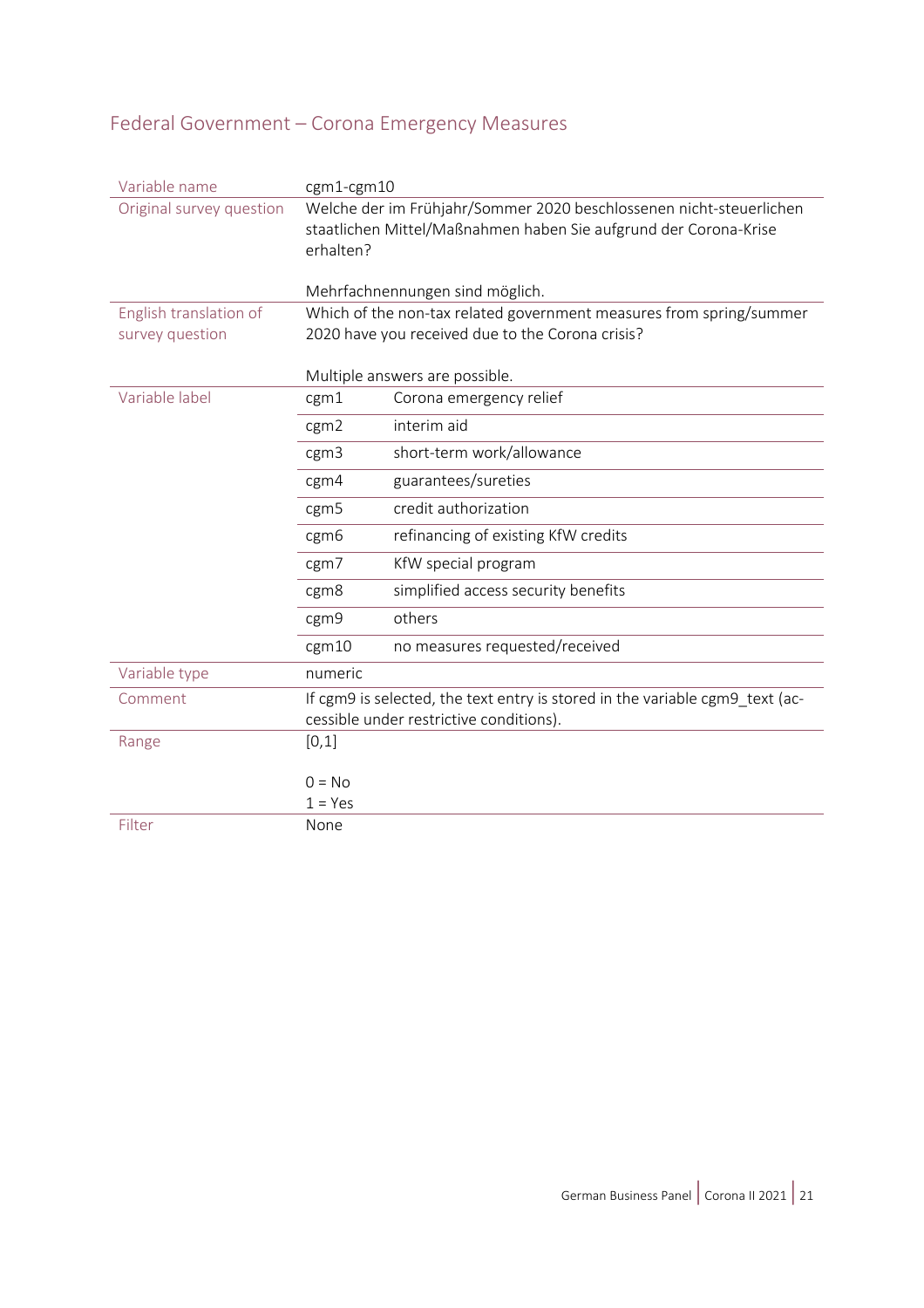# <span id="page-20-0"></span>Federal Government – Corona Emergency Measures

| Variable name            | $cgm1-cgm10$                                                                                                                                         |                                                                     |  |  |
|--------------------------|------------------------------------------------------------------------------------------------------------------------------------------------------|---------------------------------------------------------------------|--|--|
| Original survey question | Welche der im Frühjahr/Sommer 2020 beschlossenen nicht-steuerlichen<br>staatlichen Mittel/Maßnahmen haben Sie aufgrund der Corona-Krise<br>erhalten? |                                                                     |  |  |
|                          |                                                                                                                                                      | Mehrfachnennungen sind möglich.                                     |  |  |
| English translation of   |                                                                                                                                                      | Which of the non-tax related government measures from spring/summer |  |  |
| survey question          |                                                                                                                                                      | 2020 have you received due to the Corona crisis?                    |  |  |
|                          |                                                                                                                                                      | Multiple answers are possible.                                      |  |  |
| Variable label           | cgm1                                                                                                                                                 | Corona emergency relief                                             |  |  |
|                          | cgm <sub>2</sub>                                                                                                                                     | interim aid                                                         |  |  |
|                          | cgm3                                                                                                                                                 | short-term work/allowance                                           |  |  |
|                          | cgm4                                                                                                                                                 | guarantees/sureties                                                 |  |  |
|                          | cgm5                                                                                                                                                 | credit authorization                                                |  |  |
|                          | cgm6                                                                                                                                                 | refinancing of existing KfW credits                                 |  |  |
|                          | cgm7                                                                                                                                                 | KfW special program                                                 |  |  |
|                          | cgm8                                                                                                                                                 | simplified access security benefits                                 |  |  |
|                          | cgm9                                                                                                                                                 | others                                                              |  |  |
|                          | cgm10                                                                                                                                                | no measures requested/received                                      |  |  |
| Variable type            | numeric                                                                                                                                              |                                                                     |  |  |
| Comment                  | If cgm9 is selected, the text entry is stored in the variable cgm9_text (ac-                                                                         |                                                                     |  |  |
|                          | cessible under restrictive conditions).                                                                                                              |                                                                     |  |  |
| Range                    | [0,1]                                                                                                                                                |                                                                     |  |  |
|                          | $0 = No$                                                                                                                                             |                                                                     |  |  |
|                          | $1 = Yes$                                                                                                                                            |                                                                     |  |  |
| Filter                   | None                                                                                                                                                 |                                                                     |  |  |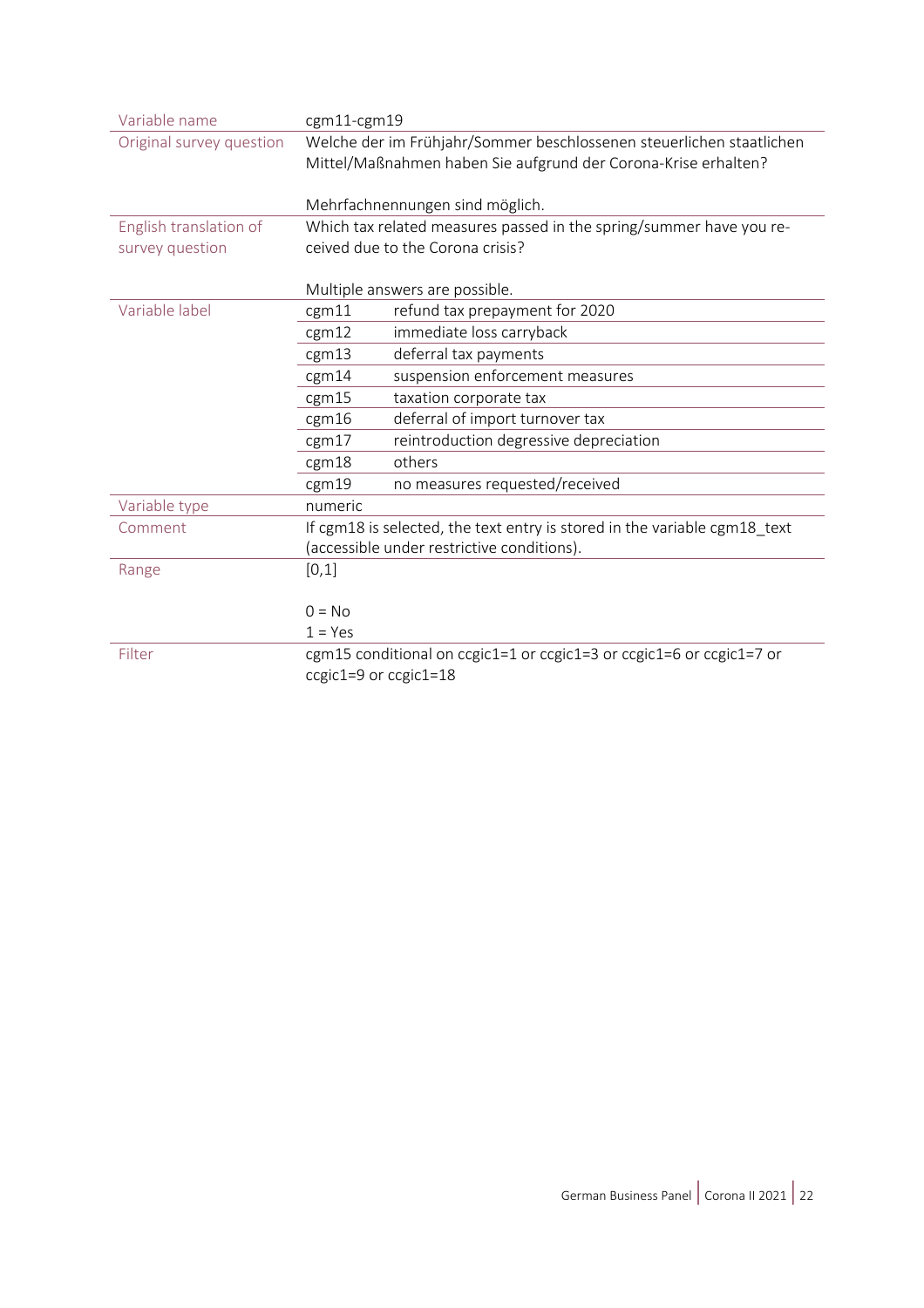| Variable name            | cgm11-cgm19                                                                                                                            |  |  |
|--------------------------|----------------------------------------------------------------------------------------------------------------------------------------|--|--|
| Original survey question | Welche der im Frühjahr/Sommer beschlossenen steuerlichen staatlichen<br>Mittel/Maßnahmen haben Sie aufgrund der Corona-Krise erhalten? |  |  |
|                          |                                                                                                                                        |  |  |
|                          |                                                                                                                                        |  |  |
|                          | Mehrfachnennungen sind möglich.                                                                                                        |  |  |
| English translation of   | Which tax related measures passed in the spring/summer have you re-                                                                    |  |  |
| survey question          | ceived due to the Corona crisis?                                                                                                       |  |  |
|                          |                                                                                                                                        |  |  |
|                          | Multiple answers are possible.                                                                                                         |  |  |
| Variable label           | refund tax prepayment for 2020<br>cgm11                                                                                                |  |  |
|                          | immediate loss carryback<br>cgm12                                                                                                      |  |  |
|                          | cgm13<br>deferral tax payments                                                                                                         |  |  |
|                          | suspension enforcement measures<br>cgm14                                                                                               |  |  |
|                          | taxation corporate tax<br>cgm15                                                                                                        |  |  |
|                          | deferral of import turnover tax<br>cgm16                                                                                               |  |  |
|                          | reintroduction degressive depreciation<br>cgm17                                                                                        |  |  |
|                          | others<br>cgm18                                                                                                                        |  |  |
|                          | no measures requested/received<br>cgm19                                                                                                |  |  |
| Variable type            | numeric                                                                                                                                |  |  |
| Comment                  | If cgm18 is selected, the text entry is stored in the variable cgm18_text                                                              |  |  |
|                          | (accessible under restrictive conditions).                                                                                             |  |  |
| Range                    | [0,1]                                                                                                                                  |  |  |
|                          |                                                                                                                                        |  |  |
|                          | $0 = No$                                                                                                                               |  |  |
|                          | $1 = Yes$                                                                                                                              |  |  |
| Filter                   | cgm15 conditional on ccgic1=1 or ccgic1=3 or ccgic1=6 or ccgic1=7 or                                                                   |  |  |
|                          | ccgic1=9 or ccgic1=18                                                                                                                  |  |  |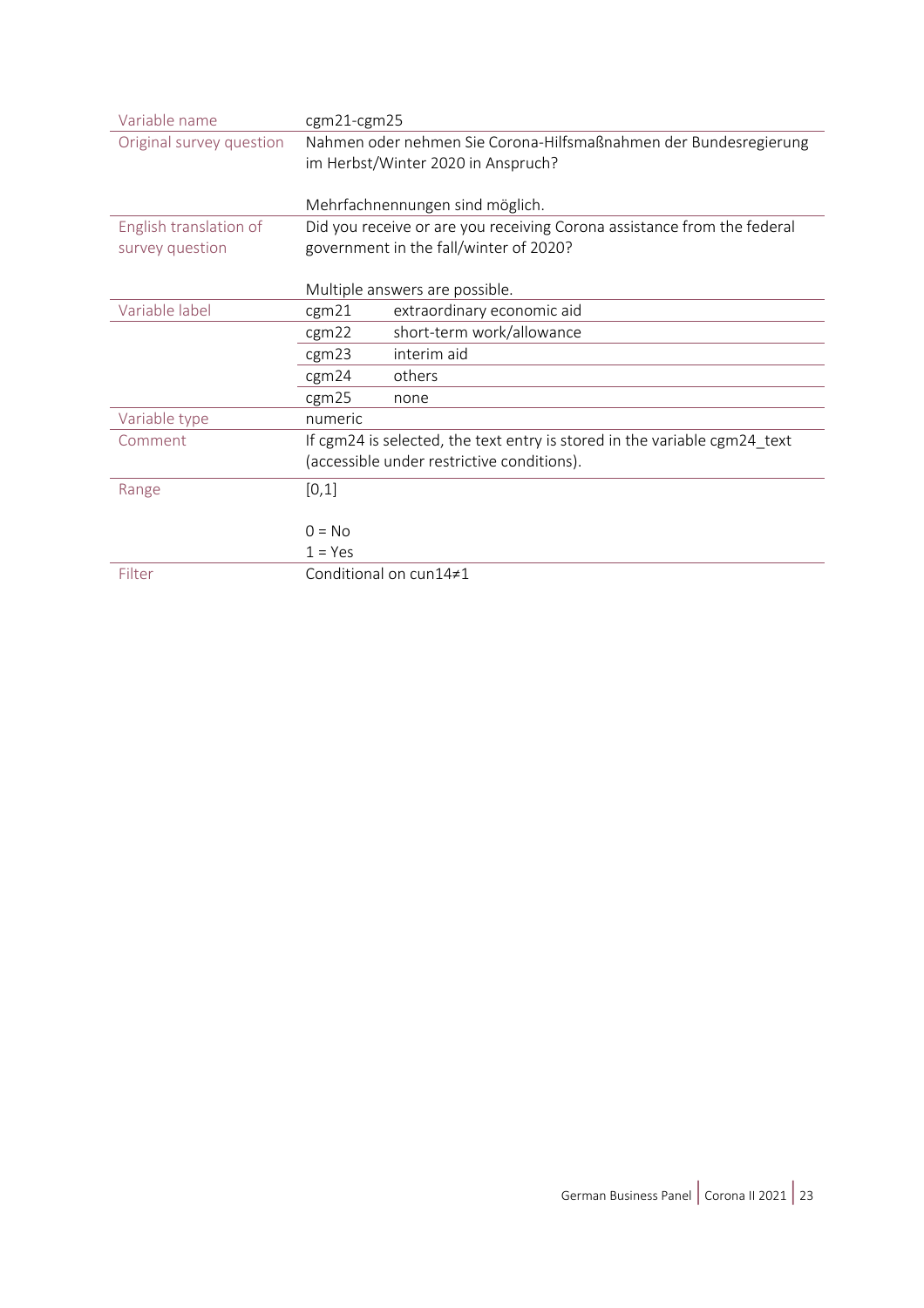| Variable name            | cgm21-cgm25                                                      |                                                                           |  |
|--------------------------|------------------------------------------------------------------|---------------------------------------------------------------------------|--|
| Original survey question | Nahmen oder nehmen Sie Corona-Hilfsmaßnahmen der Bundesregierung |                                                                           |  |
|                          | im Herbst/Winter 2020 in Anspruch?                               |                                                                           |  |
|                          |                                                                  |                                                                           |  |
|                          |                                                                  | Mehrfachnennungen sind möglich.                                           |  |
| English translation of   |                                                                  | Did you receive or are you receiving Corona assistance from the federal   |  |
| survey question          |                                                                  | government in the fall/winter of 2020?                                    |  |
|                          |                                                                  |                                                                           |  |
|                          |                                                                  | Multiple answers are possible.                                            |  |
| Variable label           | cgm21                                                            | extraordinary economic aid                                                |  |
|                          | cgm22                                                            | short-term work/allowance                                                 |  |
|                          | cgm23                                                            | interim aid                                                               |  |
|                          | cgm24                                                            | others                                                                    |  |
|                          | cgm25                                                            | none                                                                      |  |
| Variable type            | numeric                                                          |                                                                           |  |
| Comment                  |                                                                  | If cgm24 is selected, the text entry is stored in the variable cgm24_text |  |
|                          |                                                                  | (accessible under restrictive conditions).                                |  |
| Range                    | [0,1]                                                            |                                                                           |  |
|                          |                                                                  |                                                                           |  |
|                          | $0 = No$                                                         |                                                                           |  |
|                          | $1 = Yes$                                                        |                                                                           |  |
| Filter                   |                                                                  | Conditional on cun14≠1                                                    |  |
|                          |                                                                  |                                                                           |  |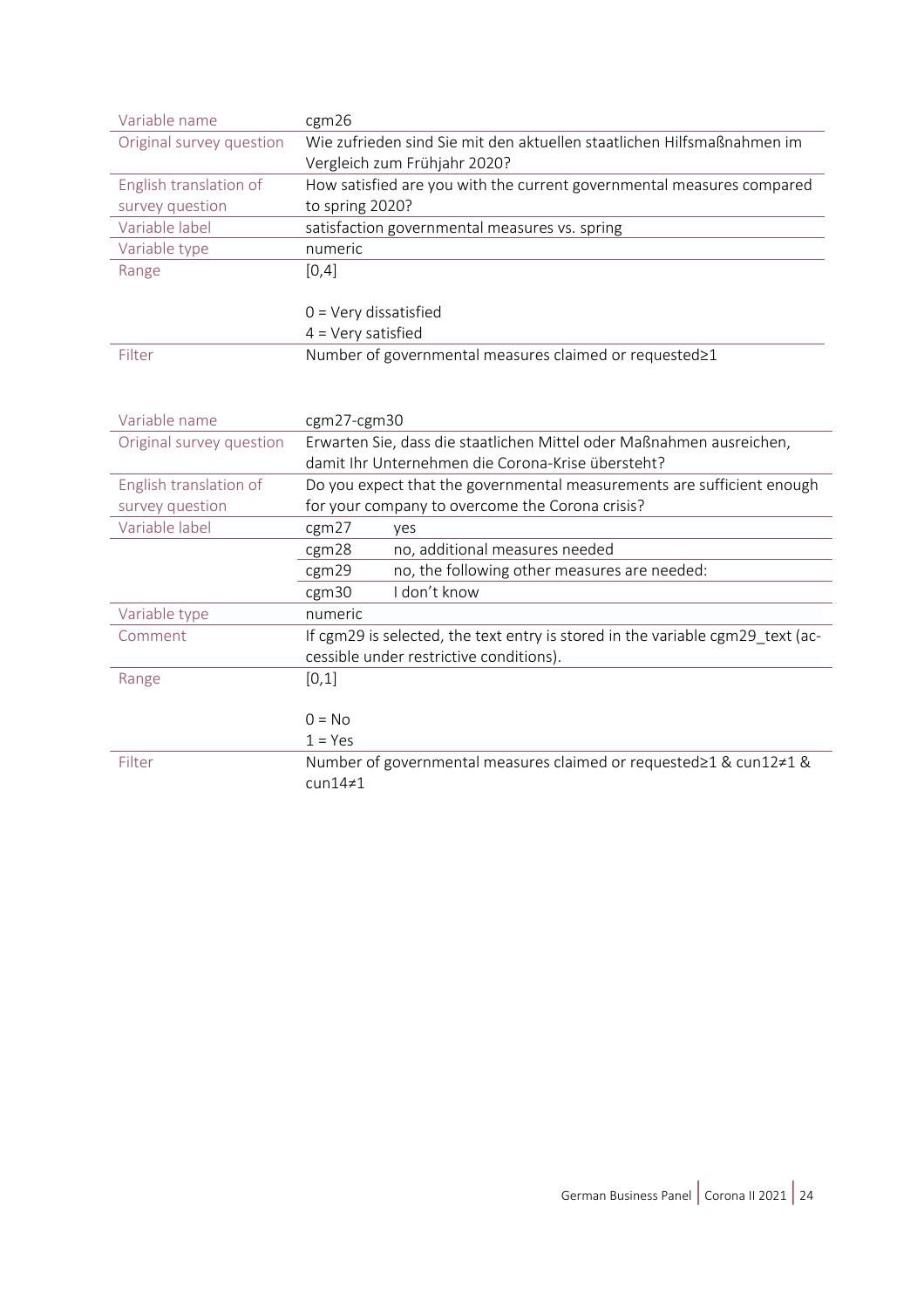| Variable name            | cgm26                                                                          |  |  |
|--------------------------|--------------------------------------------------------------------------------|--|--|
| Original survey question | Wie zufrieden sind Sie mit den aktuellen staatlichen Hilfsmaßnahmen im         |  |  |
|                          | Vergleich zum Frühjahr 2020?                                                   |  |  |
| English translation of   | How satisfied are you with the current governmental measures compared          |  |  |
| survey question          | to spring 2020?                                                                |  |  |
| Variable label           | satisfaction governmental measures vs. spring                                  |  |  |
| Variable type            | numeric                                                                        |  |  |
| Range                    | [0,4]                                                                          |  |  |
|                          |                                                                                |  |  |
|                          | $0 = \text{Very dissatisfied}$                                                 |  |  |
|                          | $4 = Very$ satisfied                                                           |  |  |
| Filter                   | Number of governmental measures claimed or requested≥1                         |  |  |
|                          |                                                                                |  |  |
|                          |                                                                                |  |  |
| Variable name            | cgm27-cgm30                                                                    |  |  |
| Original survey question | Erwarten Sie, dass die staatlichen Mittel oder Maßnahmen ausreichen,           |  |  |
|                          | damit Ihr Unternehmen die Corona-Krise übersteht?                              |  |  |
| English translation of   | Do you expect that the governmental measurements are sufficient enough         |  |  |
| survey question          | for your company to overcome the Corona crisis?                                |  |  |
| Variable label           | cgm27<br>yes                                                                   |  |  |
|                          | no, additional measures needed<br>cgm28                                        |  |  |
|                          | no, the following other measures are needed:<br>cgm29                          |  |  |
|                          | I don't know<br>cgm30                                                          |  |  |
| Variable type            | numeric                                                                        |  |  |
| Comment                  | If cgm29 is selected, the text entry is stored in the variable cgm29_text (ac- |  |  |
|                          | cessible under restrictive conditions).                                        |  |  |
| Range                    | [0,1]                                                                          |  |  |
|                          |                                                                                |  |  |
|                          | $0 = No$                                                                       |  |  |
|                          | $1 = Yes$                                                                      |  |  |
| Filter                   | Number of governmental measures claimed or requested≥1 & cun12≠1 &             |  |  |
|                          | $cun14\neq1$                                                                   |  |  |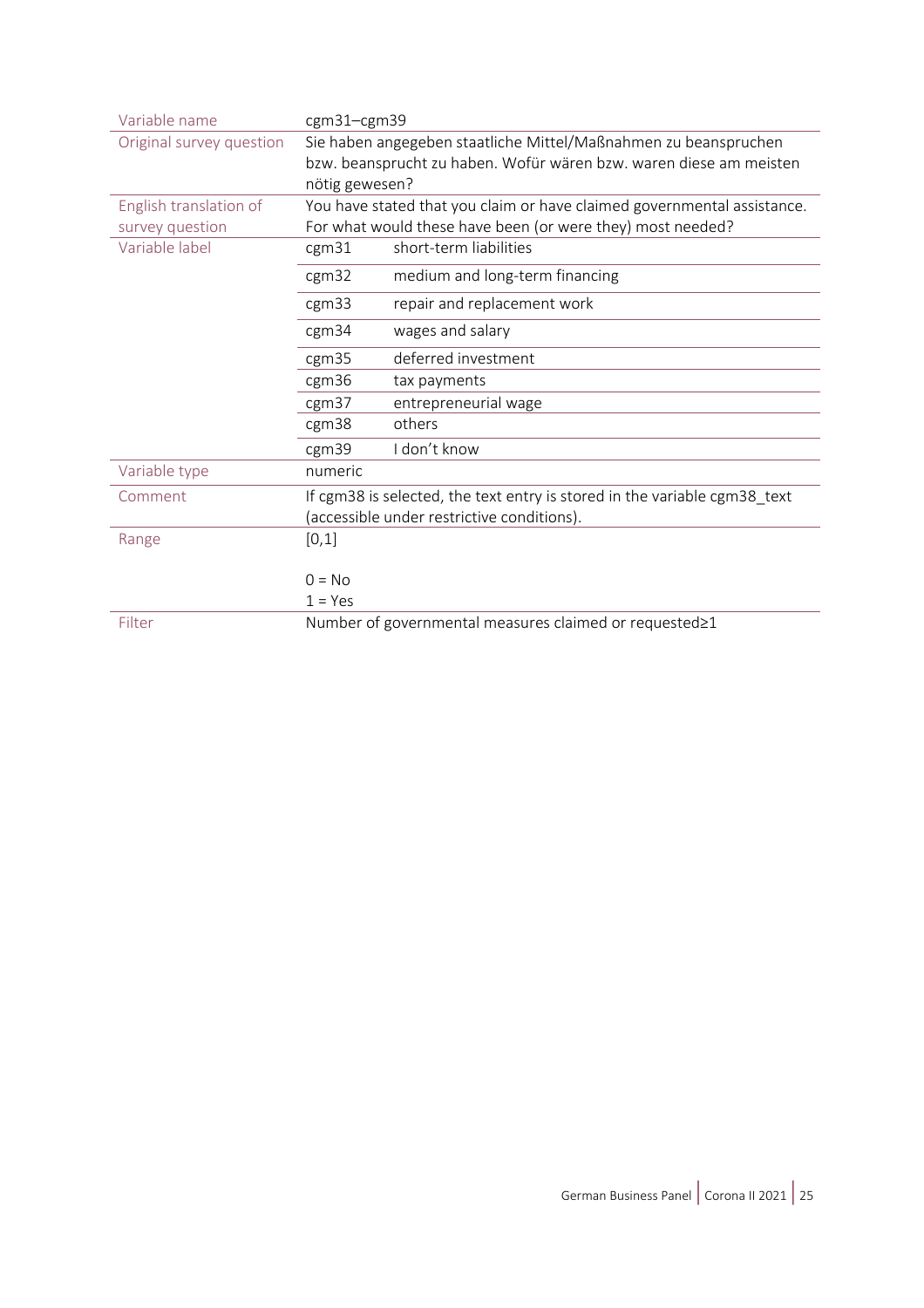| Variable name            | cgm31-cgm39                                                             |                                                                           |  |
|--------------------------|-------------------------------------------------------------------------|---------------------------------------------------------------------------|--|
| Original survey question | Sie haben angegeben staatliche Mittel/Maßnahmen zu beanspruchen         |                                                                           |  |
|                          | bzw. beansprucht zu haben. Wofür wären bzw. waren diese am meisten      |                                                                           |  |
|                          | nötig gewesen?                                                          |                                                                           |  |
| English translation of   | You have stated that you claim or have claimed governmental assistance. |                                                                           |  |
| survey question          | For what would these have been (or were they) most needed?              |                                                                           |  |
| Variable label           | cgm31                                                                   | short-term liabilities                                                    |  |
|                          | cgm32                                                                   | medium and long-term financing                                            |  |
|                          | cgm33                                                                   | repair and replacement work                                               |  |
|                          | cgm34                                                                   | wages and salary                                                          |  |
|                          | cgm35                                                                   | deferred investment                                                       |  |
|                          | cgm36                                                                   | tax payments                                                              |  |
|                          | cgm <sub>37</sub>                                                       | entrepreneurial wage                                                      |  |
|                          | cgm38                                                                   | others                                                                    |  |
|                          | cgm39                                                                   | I don't know                                                              |  |
| Variable type            | numeric                                                                 |                                                                           |  |
| Comment                  |                                                                         | If cgm38 is selected, the text entry is stored in the variable cgm38_text |  |
|                          |                                                                         | (accessible under restrictive conditions).                                |  |
| Range                    | [0,1]                                                                   |                                                                           |  |
|                          | $0 = No$                                                                |                                                                           |  |
|                          | $1 = Yes$                                                               |                                                                           |  |
| Filter                   |                                                                         | Number of governmental measures claimed or requested≥1                    |  |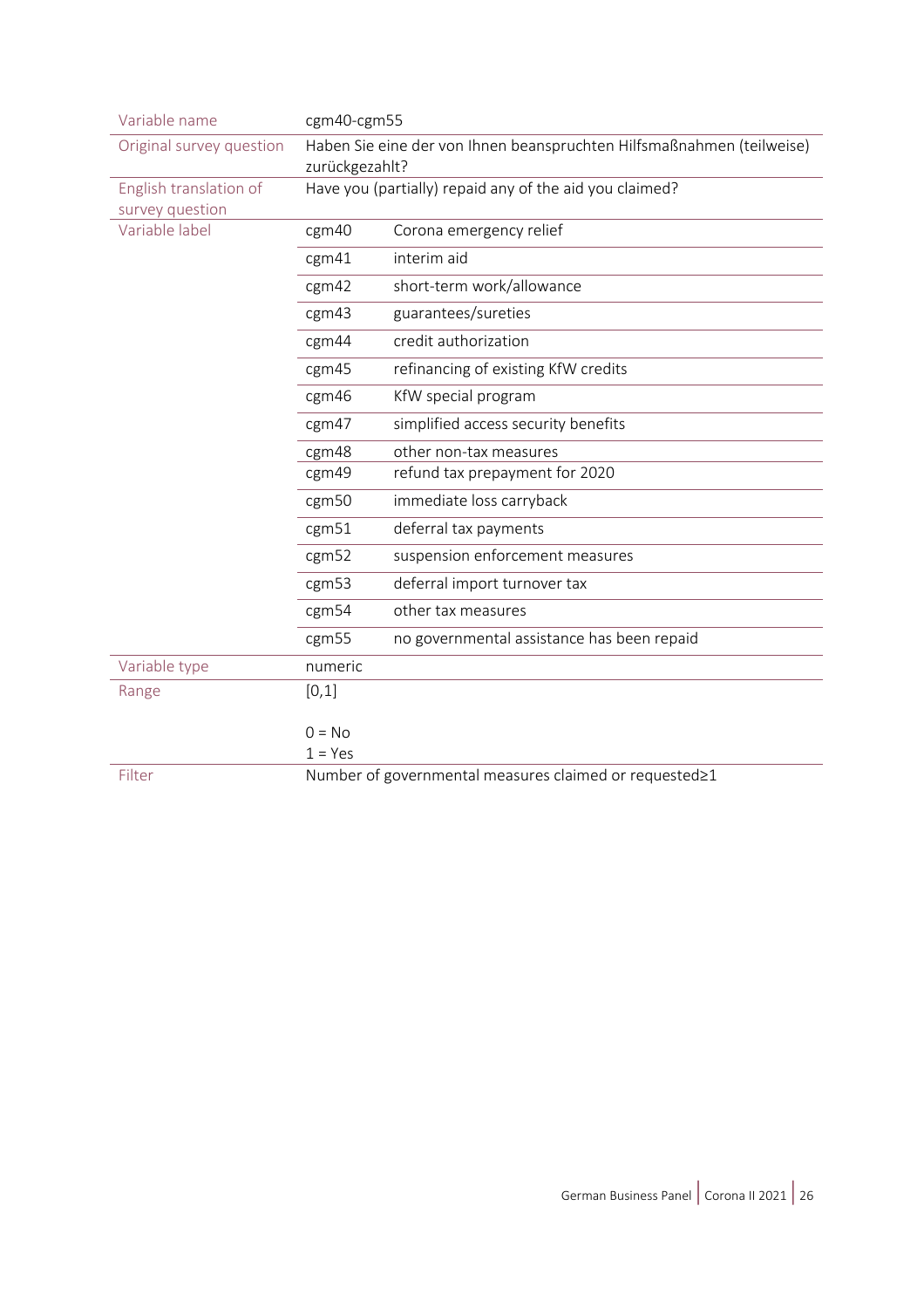| Variable name                             | cgm40-cgm55                                                                             |                                                         |  |
|-------------------------------------------|-----------------------------------------------------------------------------------------|---------------------------------------------------------|--|
| Original survey question                  | Haben Sie eine der von Ihnen beanspruchten Hilfsmaßnahmen (teilweise)<br>zurückgezahlt? |                                                         |  |
| English translation of<br>survey question |                                                                                         | Have you (partially) repaid any of the aid you claimed? |  |
| Variable label                            | cgm40                                                                                   | Corona emergency relief                                 |  |
|                                           | cgm41                                                                                   | interim aid                                             |  |
|                                           | cgm42                                                                                   | short-term work/allowance                               |  |
|                                           | cgm43                                                                                   | guarantees/sureties                                     |  |
|                                           | cgm44                                                                                   | credit authorization                                    |  |
|                                           | cgm45                                                                                   | refinancing of existing KfW credits                     |  |
|                                           | cgm46                                                                                   | KfW special program                                     |  |
|                                           | cgm47                                                                                   | simplified access security benefits                     |  |
|                                           | cgm48                                                                                   | other non-tax measures                                  |  |
|                                           | cgm49                                                                                   | refund tax prepayment for 2020                          |  |
|                                           | cgm50                                                                                   | immediate loss carryback                                |  |
|                                           | cgm <sub>51</sub>                                                                       | deferral tax payments                                   |  |
|                                           | cgm52                                                                                   | suspension enforcement measures                         |  |
|                                           | cgm <sub>53</sub>                                                                       | deferral import turnover tax                            |  |
|                                           | cgm54                                                                                   | other tax measures                                      |  |
|                                           | cgm55                                                                                   | no governmental assistance has been repaid              |  |
| Variable type                             | numeric                                                                                 |                                                         |  |
| Range                                     | [0,1]                                                                                   |                                                         |  |
|                                           | $0 = No$                                                                                |                                                         |  |
|                                           | $1 = Yes$                                                                               |                                                         |  |
| Filter                                    | Number of governmental measures claimed or requested≥1                                  |                                                         |  |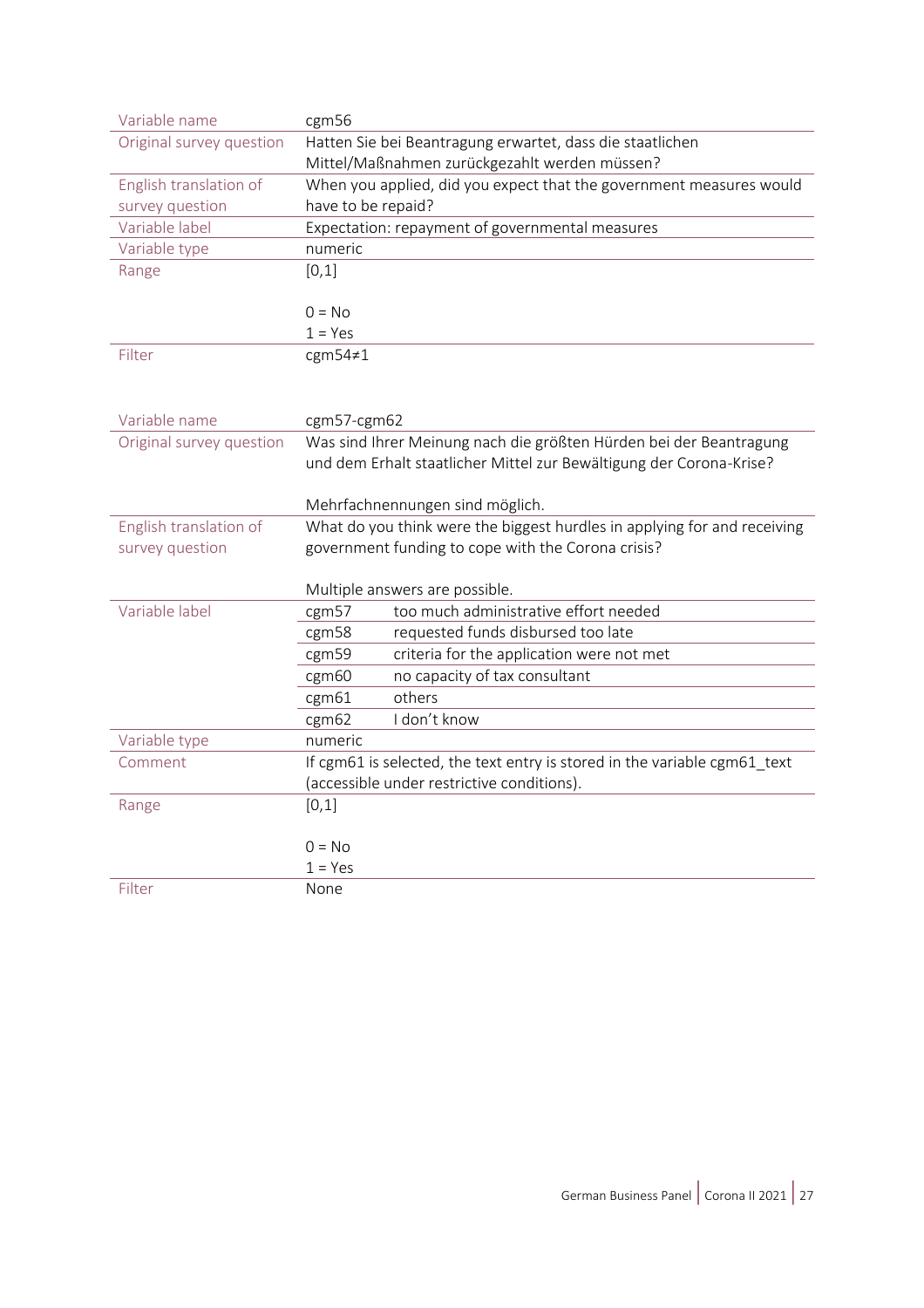| Variable name            | cgm56                                                                            |  |  |
|--------------------------|----------------------------------------------------------------------------------|--|--|
| Original survey question | Hatten Sie bei Beantragung erwartet, dass die staatlichen                        |  |  |
|                          | Mittel/Maßnahmen zurückgezahlt werden müssen?                                    |  |  |
| English translation of   | When you applied, did you expect that the government measures would              |  |  |
| survey question          | have to be repaid?                                                               |  |  |
| Variable label           | Expectation: repayment of governmental measures                                  |  |  |
| Variable type            | numeric                                                                          |  |  |
| Range                    | [0,1]                                                                            |  |  |
|                          |                                                                                  |  |  |
|                          | $0 = No$                                                                         |  |  |
|                          | $1 = Yes$                                                                        |  |  |
| Filter                   | cgm54≠1                                                                          |  |  |
|                          |                                                                                  |  |  |
|                          |                                                                                  |  |  |
| Variable name            | cgm57-cgm62                                                                      |  |  |
| Original survey question | Was sind Ihrer Meinung nach die größten Hürden bei der Beantragung               |  |  |
|                          | und dem Erhalt staatlicher Mittel zur Bewältigung der Corona-Krise?              |  |  |
|                          |                                                                                  |  |  |
|                          | Mehrfachnennungen sind möglich.                                                  |  |  |
| English translation of   | What do you think were the biggest hurdles in applying for and receiving         |  |  |
| survey question          | government funding to cope with the Corona crisis?                               |  |  |
|                          |                                                                                  |  |  |
| Variable label           | Multiple answers are possible.<br>too much administrative effort needed<br>cgm57 |  |  |
|                          | requested funds disbursed too late<br>cgm58                                      |  |  |
|                          | criteria for the application were not met<br>cgm59                               |  |  |
|                          | no capacity of tax consultant<br>cgm60                                           |  |  |
|                          | others<br>cgm61                                                                  |  |  |
|                          | I don't know<br>cgm62                                                            |  |  |
| Variable type            | numeric                                                                          |  |  |
| Comment                  | If cgm61 is selected, the text entry is stored in the variable cgm61_text        |  |  |
|                          | (accessible under restrictive conditions).                                       |  |  |
| Range                    | [0,1]                                                                            |  |  |
|                          |                                                                                  |  |  |
|                          | $0 = No$                                                                         |  |  |
|                          | $1 = Yes$                                                                        |  |  |
| Filter                   | None                                                                             |  |  |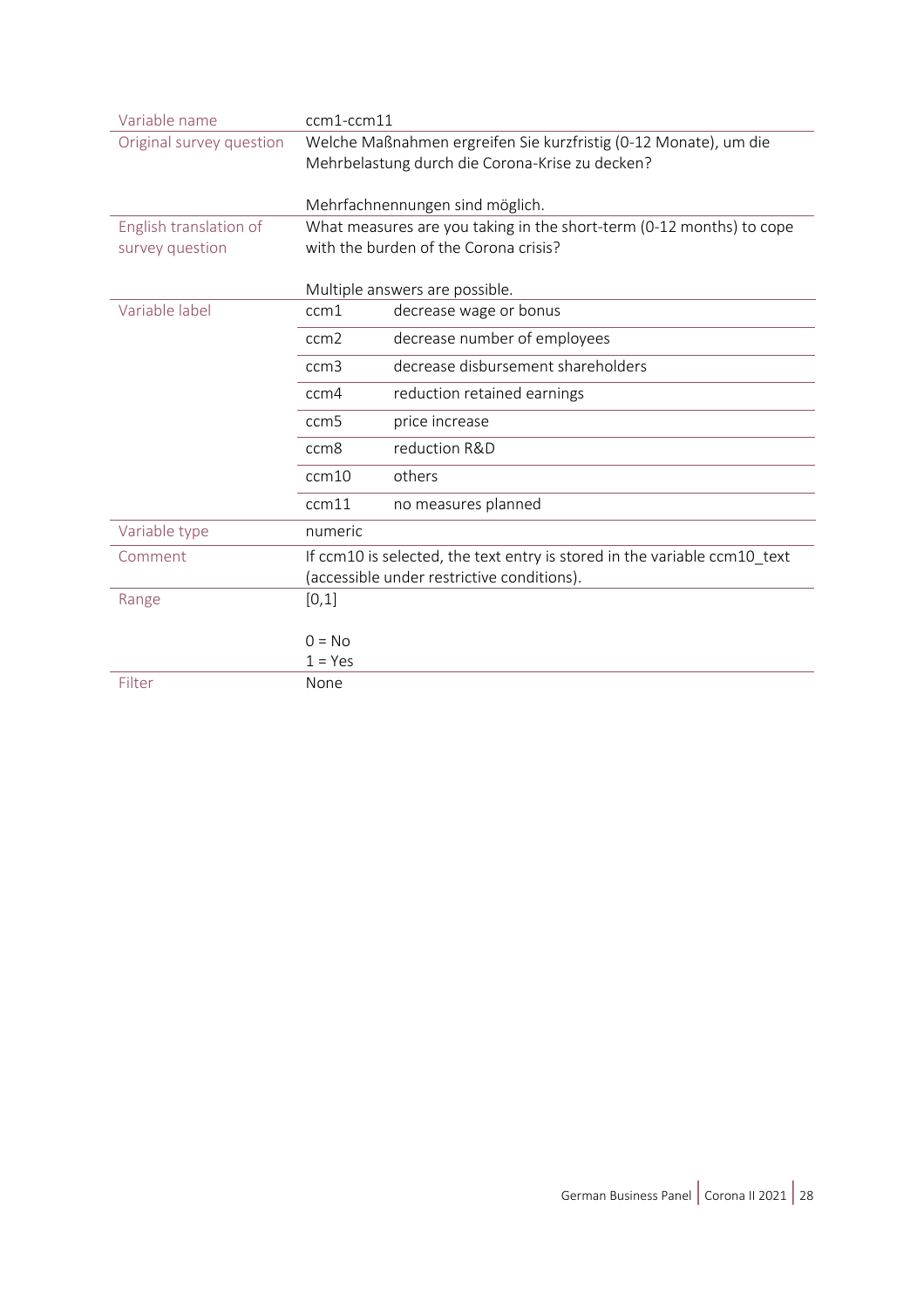| Variable name            | ccm1-ccm11                                                                                                          |                                                                           |
|--------------------------|---------------------------------------------------------------------------------------------------------------------|---------------------------------------------------------------------------|
| Original survey question | Welche Maßnahmen ergreifen Sie kurzfristig (0-12 Monate), um die<br>Mehrbelastung durch die Corona-Krise zu decken? |                                                                           |
|                          |                                                                                                                     |                                                                           |
|                          |                                                                                                                     |                                                                           |
|                          | Mehrfachnennungen sind möglich.                                                                                     |                                                                           |
| English translation of   | What measures are you taking in the short-term (0-12 months) to cope                                                |                                                                           |
| survey question          | with the burden of the Corona crisis?                                                                               |                                                                           |
|                          |                                                                                                                     |                                                                           |
|                          | Multiple answers are possible.                                                                                      |                                                                           |
| Variable label           | ccm1                                                                                                                | decrease wage or bonus                                                    |
|                          | ccm <sub>2</sub>                                                                                                    | decrease number of employees                                              |
|                          | ccm3                                                                                                                | decrease disbursement shareholders                                        |
|                          | ccm4                                                                                                                | reduction retained earnings                                               |
|                          | ccm <sub>5</sub>                                                                                                    | price increase                                                            |
|                          | ccm <sub>8</sub>                                                                                                    | reduction R&D                                                             |
|                          | ccm10                                                                                                               | others                                                                    |
|                          | ccm11                                                                                                               | no measures planned                                                       |
| Variable type            | numeric                                                                                                             |                                                                           |
| Comment                  |                                                                                                                     | If ccm10 is selected, the text entry is stored in the variable ccm10_text |
|                          | (accessible under restrictive conditions).                                                                          |                                                                           |
| Range                    | [0,1]                                                                                                               |                                                                           |
|                          |                                                                                                                     |                                                                           |
|                          | $0 = No$                                                                                                            |                                                                           |
|                          | $1 = Yes$                                                                                                           |                                                                           |
| Filter                   | None                                                                                                                |                                                                           |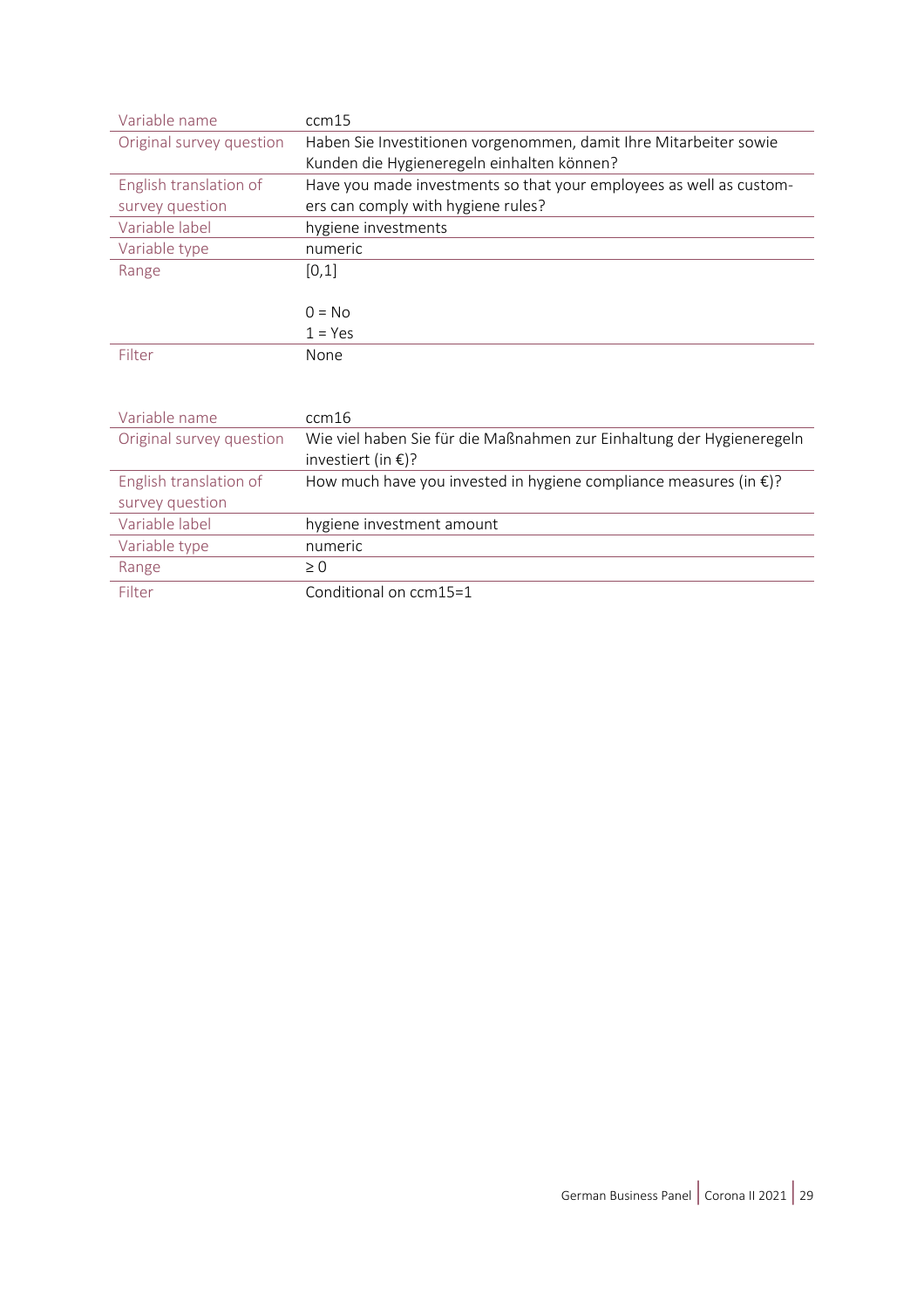| Variable name            | ccm15                                                                       |  |
|--------------------------|-----------------------------------------------------------------------------|--|
| Original survey question | Haben Sie Investitionen vorgenommen, damit Ihre Mitarbeiter sowie           |  |
|                          | Kunden die Hygieneregeln einhalten können?                                  |  |
| English translation of   | Have you made investments so that your employees as well as custom-         |  |
| survey question          | ers can comply with hygiene rules?                                          |  |
| Variable label           | hygiene investments                                                         |  |
| Variable type            | numeric                                                                     |  |
| Range                    | [0,1]                                                                       |  |
|                          |                                                                             |  |
|                          | $0 = No$                                                                    |  |
|                          | $1 = Yes$                                                                   |  |
| Filter                   | None                                                                        |  |
|                          |                                                                             |  |
|                          |                                                                             |  |
| Variable name            | ccm16                                                                       |  |
| Original survey question | Wie viel haben Sie für die Maßnahmen zur Einhaltung der Hygieneregeln       |  |
|                          | investiert (in $\epsilon$ )?                                                |  |
| English translation of   | How much have you invested in hygiene compliance measures (in $\epsilon$ )? |  |
| survey question          |                                                                             |  |
| Variable label           | hygiene investment amount                                                   |  |
| Variable type            | numeric                                                                     |  |
| Range                    | $\geq 0$                                                                    |  |
| Filter                   | Conditional on ccm15=1                                                      |  |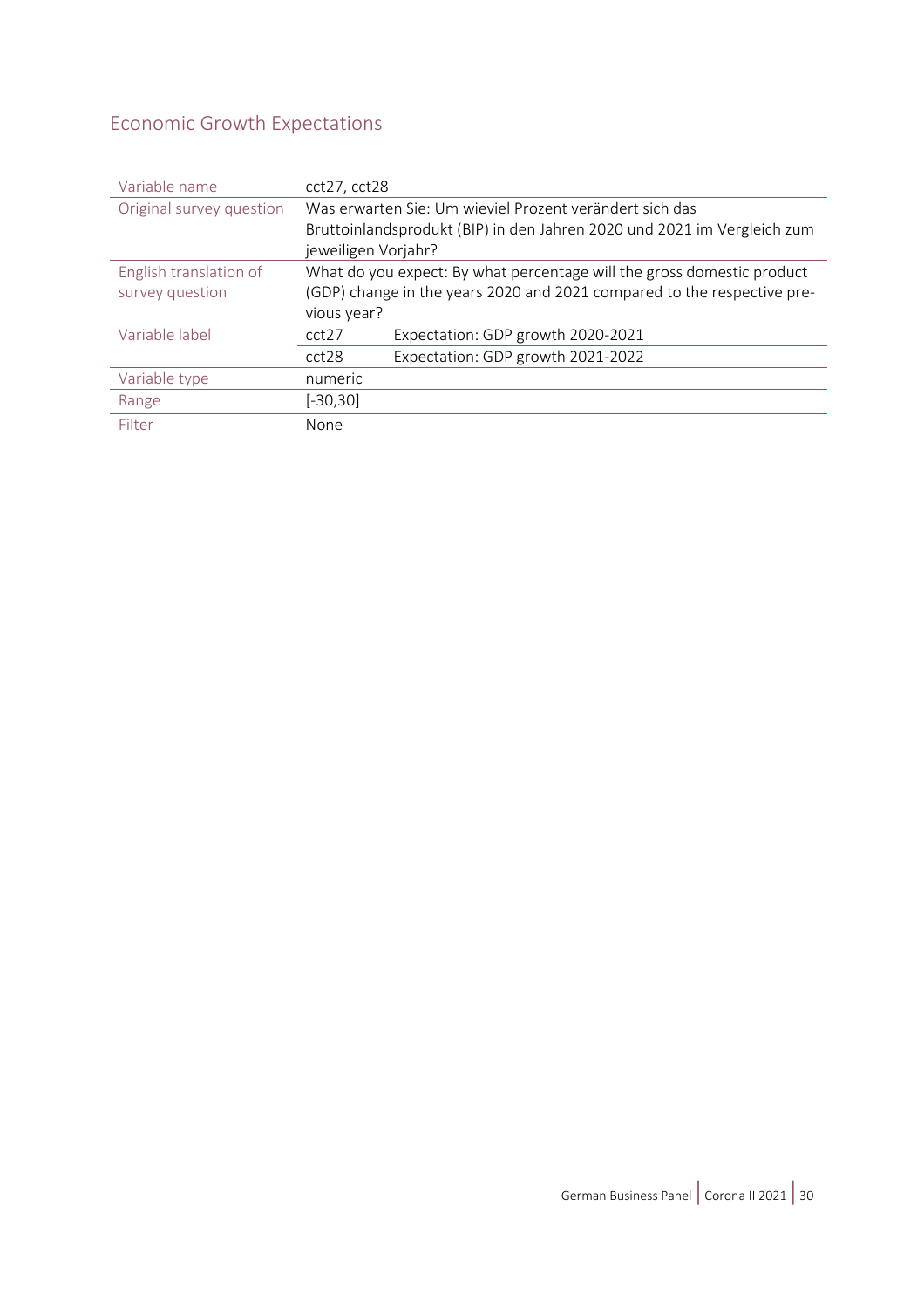# <span id="page-29-0"></span>Economic Growth Expectations

| Variable name            | cct27, cct28                                                            |                                   |
|--------------------------|-------------------------------------------------------------------------|-----------------------------------|
| Original survey question | Was erwarten Sie: Um wieviel Prozent verändert sich das                 |                                   |
|                          | Bruttoinlandsprodukt (BIP) in den Jahren 2020 und 2021 im Vergleich zum |                                   |
|                          | jeweiligen Vorjahr?                                                     |                                   |
| English translation of   | What do you expect: By what percentage will the gross domestic product  |                                   |
| survey question          | (GDP) change in the years 2020 and 2021 compared to the respective pre- |                                   |
|                          | vious year?                                                             |                                   |
| Variable label           | cct <sub>27</sub>                                                       | Expectation: GDP growth 2020-2021 |
|                          | cct28                                                                   | Expectation: GDP growth 2021-2022 |
| Variable type            | numeric                                                                 |                                   |
| Range                    | $[-30, 30]$                                                             |                                   |
| Filter                   | None                                                                    |                                   |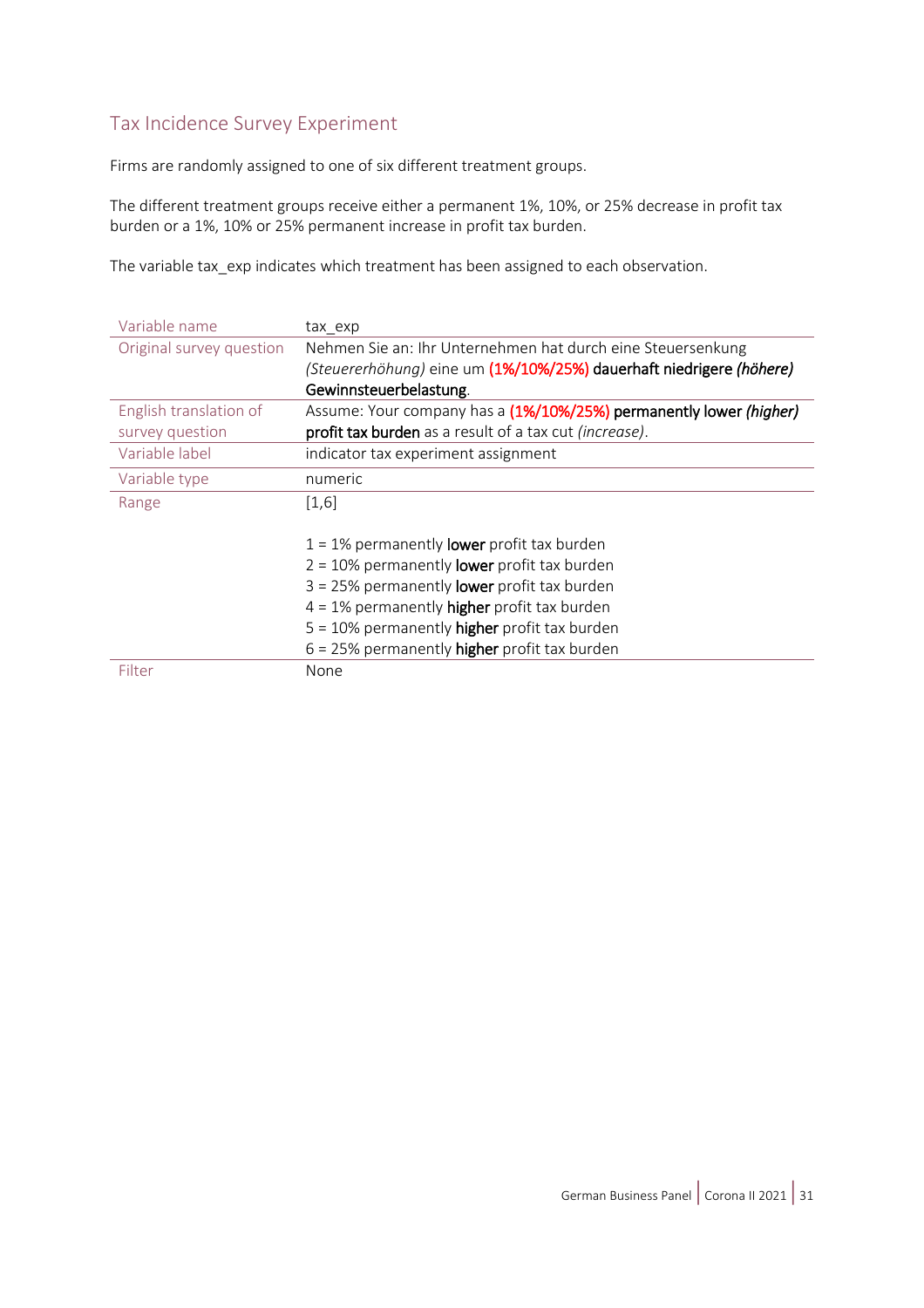#### <span id="page-30-0"></span>Tax Incidence Survey Experiment

Firms are randomly assigned to one of six different treatment groups.

The different treatment groups receive either a permanent 1%, 10%, or 25% decrease in profit tax burden or a 1%, 10% or 25% permanent increase in profit tax burden.

The variable tax\_exp indicates which treatment has been assigned to each observation.

| Variable name            | tax exp                                                             |
|--------------------------|---------------------------------------------------------------------|
| Original survey question | Nehmen Sie an: Ihr Unternehmen hat durch eine Steuersenkung         |
|                          | (Steuererhöhung) eine um (1%/10%/25%) dauerhaft niedrigere (höhere) |
|                          | Gewinnsteuerbelastung.                                              |
| English translation of   | Assume: Your company has a (1%/10%/25%) permanently lower (higher)  |
| survey question          | profit tax burden as a result of a tax cut (increase).              |
| Variable label           | indicator tax experiment assignment                                 |
| Variable type            | numeric                                                             |
| Range                    | $[1,6]$                                                             |
|                          | $1 = 1\%$ permanently <b>lower</b> profit tax burden                |
|                          | $2 = 10\%$ permanently <b>lower</b> profit tax burden               |
|                          | $3 = 25\%$ permanently <b>lower</b> profit tax burden               |
|                          | $4 = 1\%$ permanently <b>higher</b> profit tax burden               |
|                          | $5 = 10\%$ permanently higher profit tax burden                     |
|                          | $6 = 25\%$ permanently <b>higher</b> profit tax burden              |
| Filter                   | None                                                                |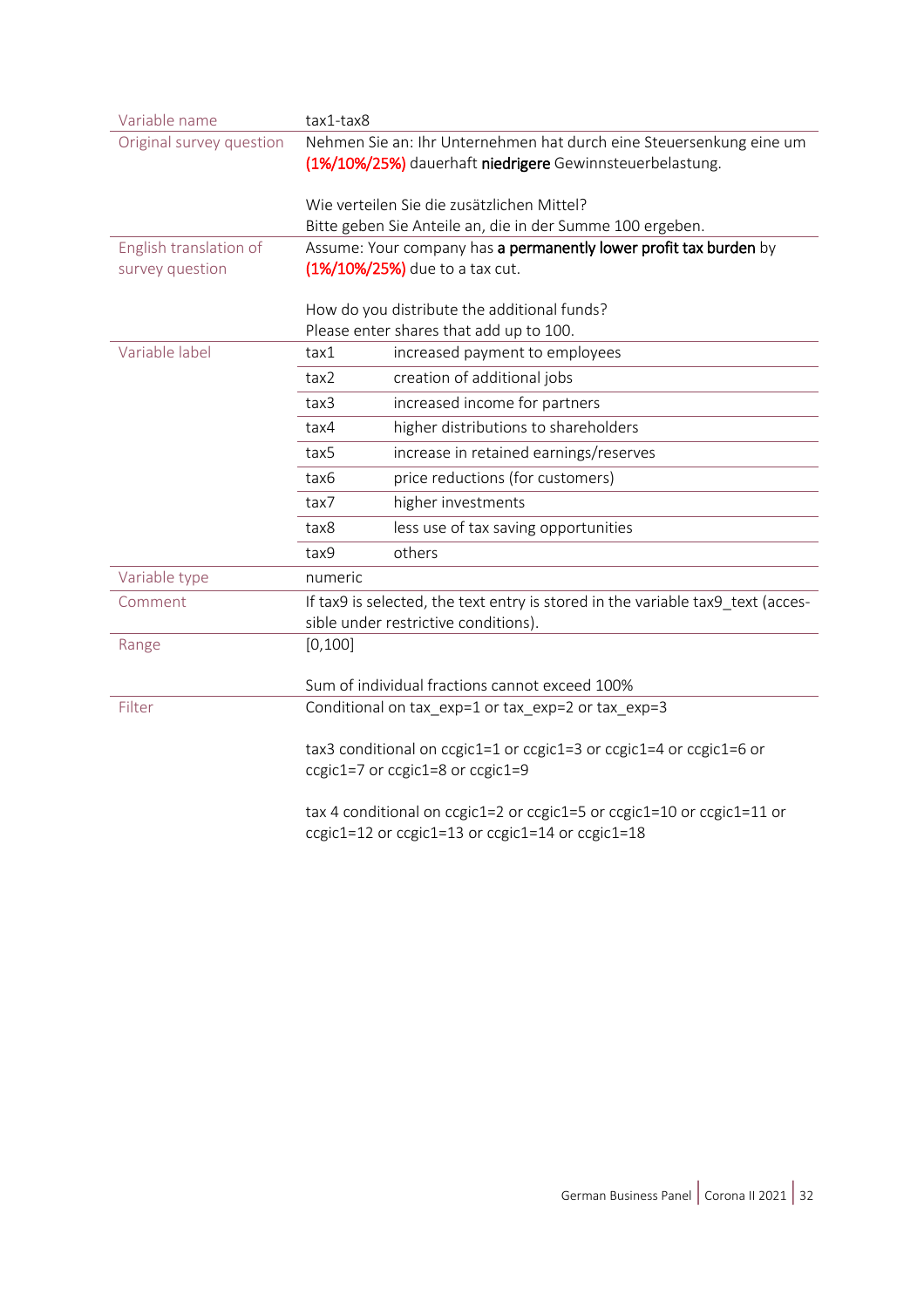| Variable name            | tax1-tax8                                                                                                                                                                     |                                                                                                                            |
|--------------------------|-------------------------------------------------------------------------------------------------------------------------------------------------------------------------------|----------------------------------------------------------------------------------------------------------------------------|
| Original survey question | Nehmen Sie an: Ihr Unternehmen hat durch eine Steuersenkung eine um<br>(1%/10%/25%) dauerhaft niedrigere Gewinnsteuerbelastung.<br>Wie verteilen Sie die zusätzlichen Mittel? |                                                                                                                            |
|                          |                                                                                                                                                                               |                                                                                                                            |
|                          | Bitte geben Sie Anteile an, die in der Summe 100 ergeben.                                                                                                                     |                                                                                                                            |
| English translation of   | Assume: Your company has a permanently lower profit tax burden by                                                                                                             |                                                                                                                            |
| survey question          | (1%/10%/25%) due to a tax cut.<br>How do you distribute the additional funds?                                                                                                 |                                                                                                                            |
|                          |                                                                                                                                                                               |                                                                                                                            |
| Variable label           | tax1                                                                                                                                                                          | Please enter shares that add up to 100.<br>increased payment to employees                                                  |
|                          |                                                                                                                                                                               |                                                                                                                            |
|                          | tax2                                                                                                                                                                          | creation of additional jobs                                                                                                |
|                          | tax3                                                                                                                                                                          | increased income for partners                                                                                              |
|                          | tax4                                                                                                                                                                          | higher distributions to shareholders                                                                                       |
|                          | tax5                                                                                                                                                                          | increase in retained earnings/reserves                                                                                     |
|                          | tax6                                                                                                                                                                          | price reductions (for customers)                                                                                           |
|                          | tax7                                                                                                                                                                          | higher investments                                                                                                         |
|                          | tax8                                                                                                                                                                          | less use of tax saving opportunities                                                                                       |
|                          | tax9                                                                                                                                                                          | others                                                                                                                     |
| Variable type            | numeric                                                                                                                                                                       |                                                                                                                            |
| Comment                  | If tax9 is selected, the text entry is stored in the variable tax9 text (acces-                                                                                               |                                                                                                                            |
|                          |                                                                                                                                                                               | sible under restrictive conditions).                                                                                       |
| Range                    | [0, 100]                                                                                                                                                                      |                                                                                                                            |
|                          |                                                                                                                                                                               | Sum of individual fractions cannot exceed 100%                                                                             |
| Filter                   |                                                                                                                                                                               | Conditional on tax_exp=1 or tax_exp=2 or tax_exp=3                                                                         |
|                          |                                                                                                                                                                               | tax3 conditional on ccgic1=1 or ccgic1=3 or ccgic1=4 or ccgic1=6 or<br>ccgic1=7 or ccgic1=8 or ccgic1=9                    |
|                          |                                                                                                                                                                               | tax 4 conditional on ccgic1=2 or ccgic1=5 or ccgic1=10 or ccgic1=11 or<br>ccgic1=12 or ccgic1=13 or ccgic1=14 or ccgic1=18 |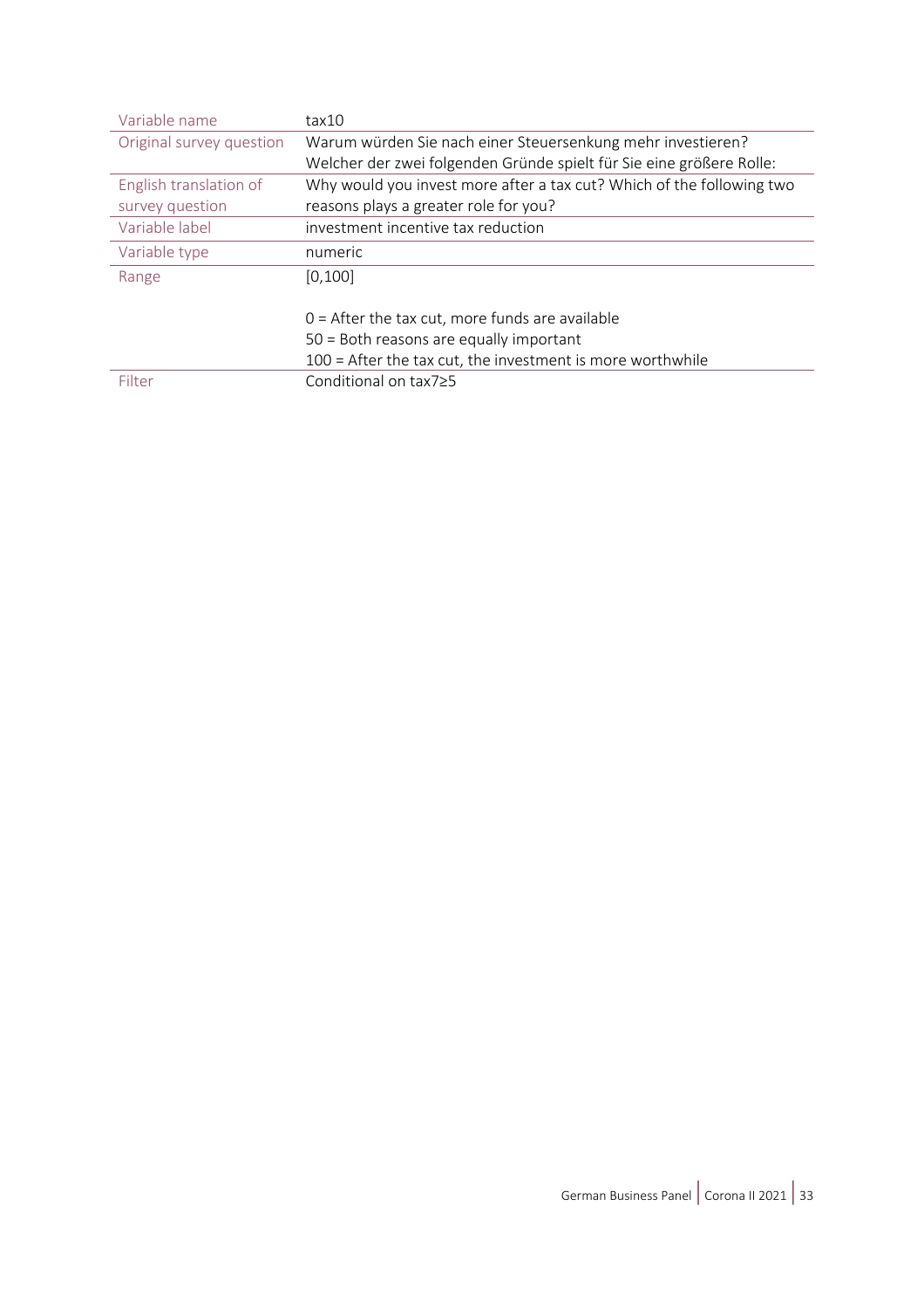| Variable name            | tax10                                                                 |  |
|--------------------------|-----------------------------------------------------------------------|--|
| Original survey question | Warum würden Sie nach einer Steuersenkung mehr investieren?           |  |
|                          | Welcher der zwei folgenden Gründe spielt für Sie eine größere Rolle:  |  |
| English translation of   | Why would you invest more after a tax cut? Which of the following two |  |
| survey question          | reasons plays a greater role for you?                                 |  |
| Variable label           | investment incentive tax reduction                                    |  |
| Variable type            | numeric                                                               |  |
| Range                    | [0, 100]                                                              |  |
|                          |                                                                       |  |
|                          | $0 =$ After the tax cut, more funds are available                     |  |
|                          | 50 = Both reasons are equally important                               |  |
|                          | 100 = After the tax cut, the investment is more worthwhile            |  |
| Filter                   | Conditional on tax7≥5                                                 |  |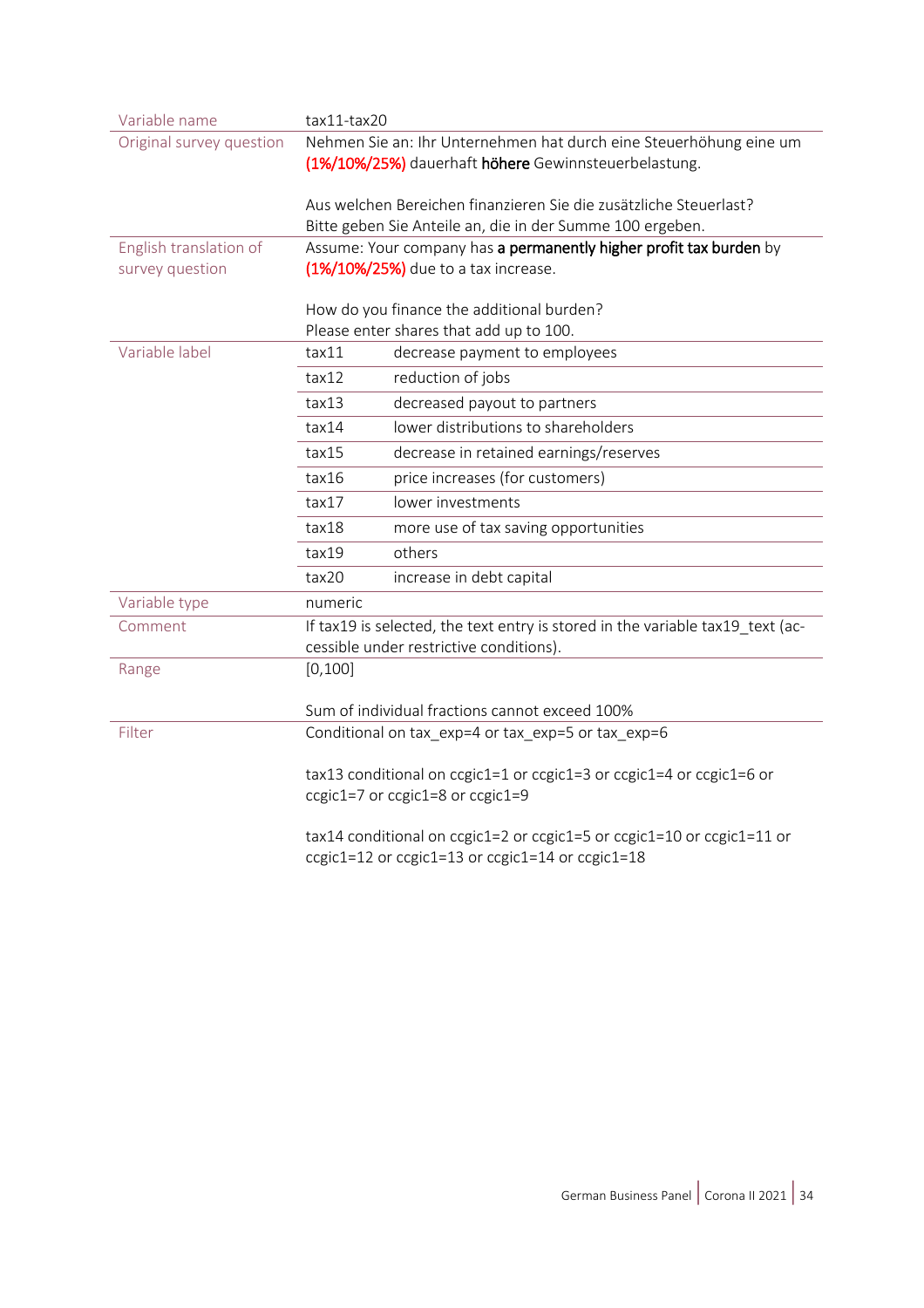| Variable name            | tax11-tax20                                                                                                                 |                                                                        |
|--------------------------|-----------------------------------------------------------------------------------------------------------------------------|------------------------------------------------------------------------|
| Original survey question | Nehmen Sie an: Ihr Unternehmen hat durch eine Steuerhöhung eine um<br>(1%/10%/25%) dauerhaft höhere Gewinnsteuerbelastung.  |                                                                        |
|                          |                                                                                                                             |                                                                        |
|                          | Aus welchen Bereichen finanzieren Sie die zusätzliche Steuerlast?                                                           |                                                                        |
|                          | Bitte geben Sie Anteile an, die in der Summe 100 ergeben.                                                                   |                                                                        |
| English translation of   | Assume: Your company has a permanently higher profit tax burden by                                                          |                                                                        |
| survey question          | (1%/10%/25%) due to a tax increase.<br>How do you finance the additional burden?<br>Please enter shares that add up to 100. |                                                                        |
|                          |                                                                                                                             |                                                                        |
|                          |                                                                                                                             |                                                                        |
| Variable label           | tax11                                                                                                                       | decrease payment to employees                                          |
|                          | tax12                                                                                                                       | reduction of jobs                                                      |
|                          | tax13                                                                                                                       | decreased payout to partners                                           |
|                          | tax14                                                                                                                       | lower distributions to shareholders                                    |
|                          | tax15                                                                                                                       | decrease in retained earnings/reserves                                 |
|                          | tax16                                                                                                                       | price increases (for customers)                                        |
|                          | tax17                                                                                                                       | lower investments                                                      |
|                          | tax18                                                                                                                       | more use of tax saving opportunities                                   |
|                          | tax19                                                                                                                       | others                                                                 |
|                          | tax20                                                                                                                       | increase in debt capital                                               |
| Variable type            | numeric                                                                                                                     |                                                                        |
| Comment                  | If tax19 is selected, the text entry is stored in the variable tax19_text (ac-<br>cessible under restrictive conditions).   |                                                                        |
| Range                    | [0, 100]                                                                                                                    |                                                                        |
|                          |                                                                                                                             | Sum of individual fractions cannot exceed 100%                         |
| Filter                   | Conditional on tax_exp=4 or tax_exp=5 or tax_exp=6                                                                          |                                                                        |
|                          |                                                                                                                             |                                                                        |
|                          | tax13 conditional on ccgic1=1 or ccgic1=3 or ccgic1=4 or ccgic1=6 or<br>ccgic1=7 or ccgic1=8 or ccgic1=9                    |                                                                        |
|                          |                                                                                                                             |                                                                        |
|                          |                                                                                                                             | tax14 conditional on ccgic1=2 or ccgic1=5 or ccgic1=10 or ccgic1=11 or |
|                          | ccgic1=12 or ccgic1=13 or ccgic1=14 or ccgic1=18                                                                            |                                                                        |
|                          |                                                                                                                             |                                                                        |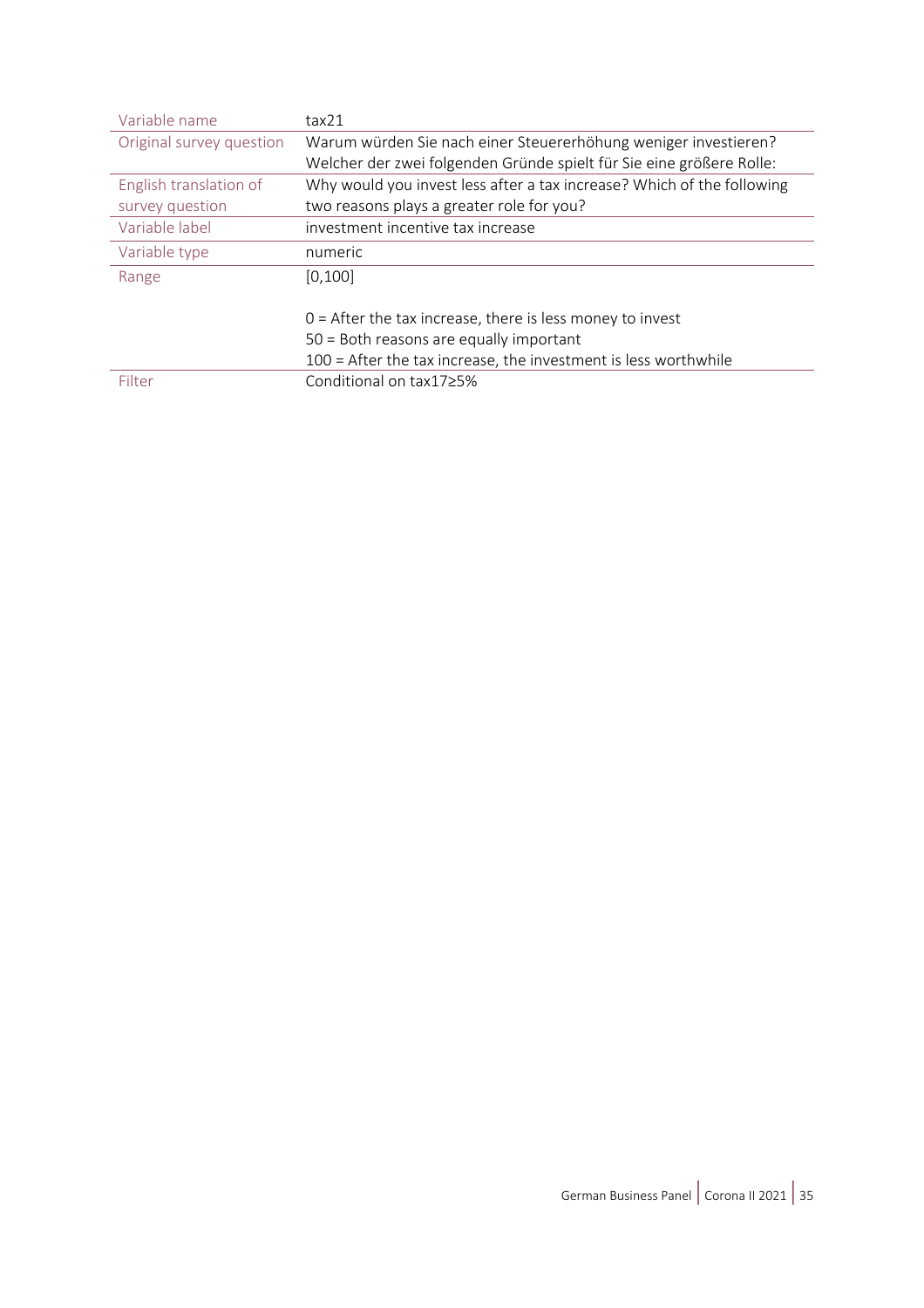| Variable name            | tax21                                                                  |  |
|--------------------------|------------------------------------------------------------------------|--|
| Original survey question | Warum würden Sie nach einer Steuererhöhung weniger investieren?        |  |
|                          | Welcher der zwei folgenden Gründe spielt für Sie eine größere Rolle:   |  |
| English translation of   | Why would you invest less after a tax increase? Which of the following |  |
| survey question          | two reasons plays a greater role for you?                              |  |
| Variable label           | investment incentive tax increase                                      |  |
| Variable type            | numeric                                                                |  |
| Range                    | [0, 100]                                                               |  |
|                          |                                                                        |  |
|                          | $0 =$ After the tax increase, there is less money to invest            |  |
|                          | 50 = Both reasons are equally important                                |  |
|                          | $100$ = After the tax increase, the investment is less worthwhile      |  |
| Filter                   | Conditional on tax17≥5%                                                |  |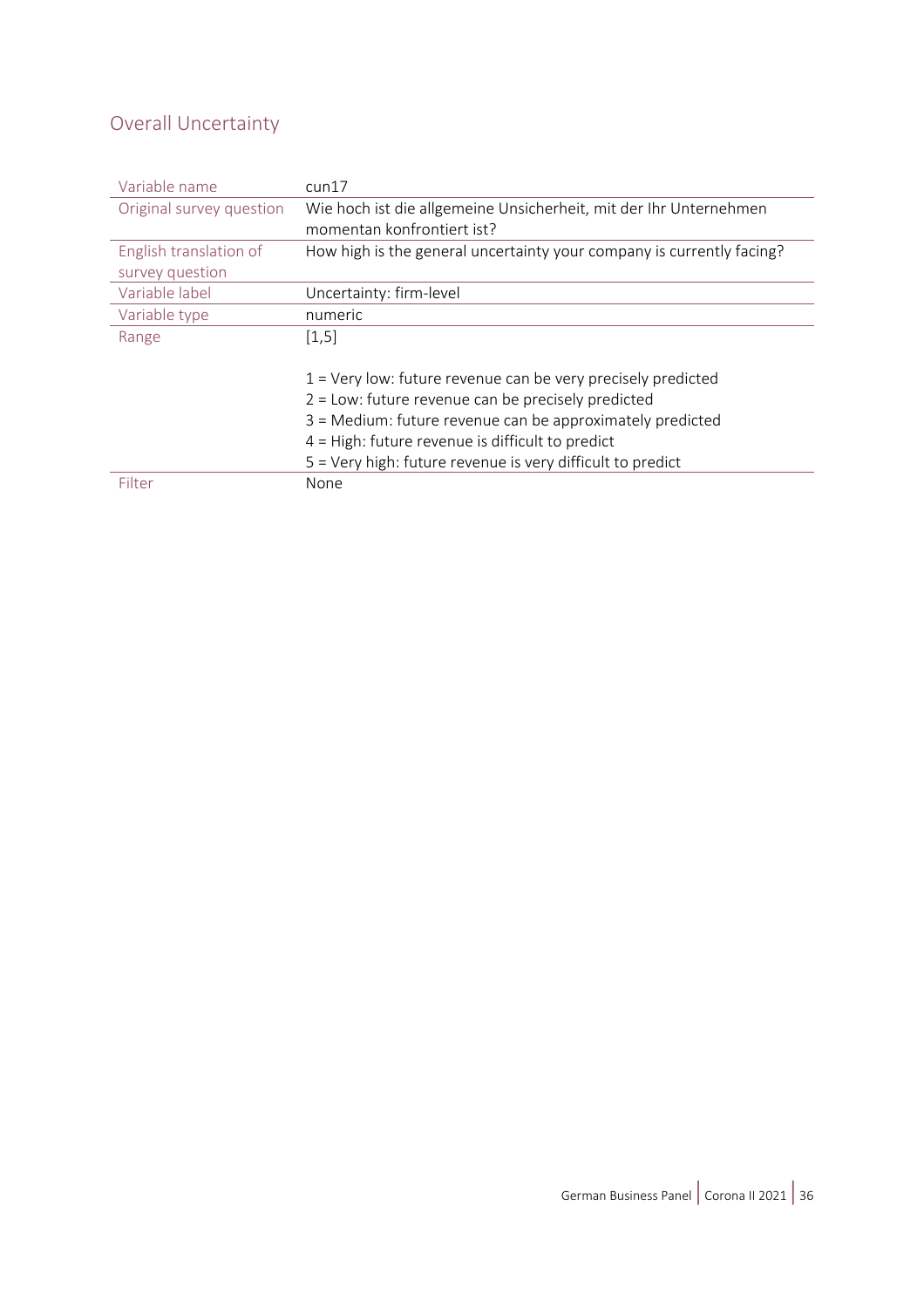### <span id="page-35-0"></span>Overall Uncertainty

| Variable name            | $c$ un $17$                                                           |  |
|--------------------------|-----------------------------------------------------------------------|--|
| Original survey question | Wie hoch ist die allgemeine Unsicherheit, mit der Ihr Unternehmen     |  |
|                          | momentan konfrontiert ist?                                            |  |
| English translation of   | How high is the general uncertainty your company is currently facing? |  |
| survey question          |                                                                       |  |
| Variable label           | Uncertainty: firm-level                                               |  |
| Variable type            | numeric                                                               |  |
| Range                    | [1, 5]                                                                |  |
|                          |                                                                       |  |
|                          | $1$ = Very low: future revenue can be very precisely predicted        |  |
|                          | $2$ = Low: future revenue can be precisely predicted                  |  |
|                          | 3 = Medium: future revenue can be approximately predicted             |  |
|                          | $4$ = High: future revenue is difficult to predict                    |  |
|                          | 5 = Very high: future revenue is very difficult to predict            |  |
| Filter                   | None                                                                  |  |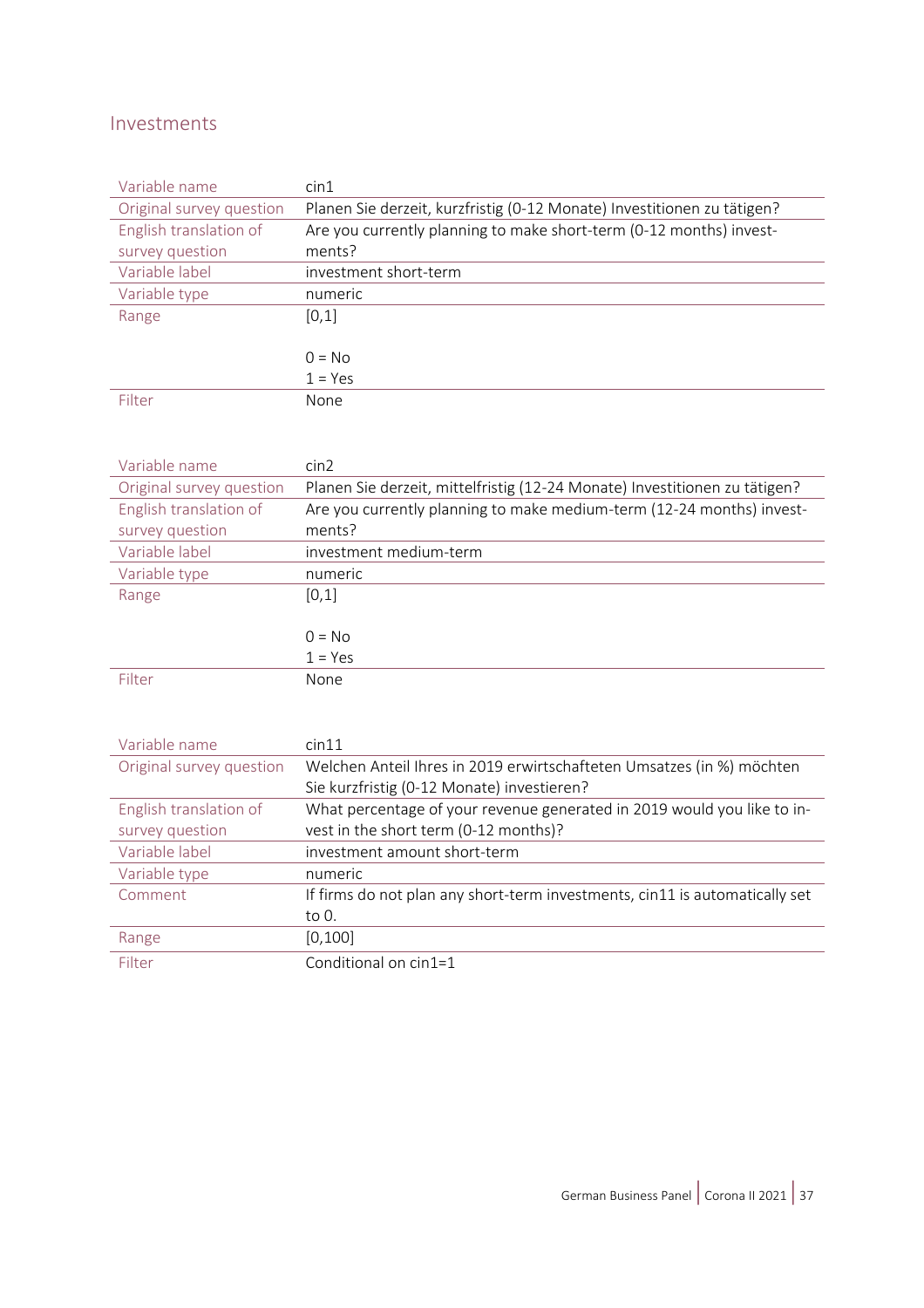#### <span id="page-36-0"></span>Investments

| Variable name            | $\sin 1$                                                                |
|--------------------------|-------------------------------------------------------------------------|
| Original survey question | Planen Sie derzeit, kurzfristig (0-12 Monate) Investitionen zu tätigen? |
| English translation of   | Are you currently planning to make short-term (0-12 months) invest-     |
| survey question          | ments?                                                                  |
| Variable label           | investment short-term                                                   |
| Variable type            | numeric                                                                 |
| Range                    | [0,1]                                                                   |
|                          |                                                                         |
|                          | $0 = No$                                                                |
|                          | $1 = Yes$                                                               |
| Filter                   | None                                                                    |

| Variable name            | cin2                                                                       |
|--------------------------|----------------------------------------------------------------------------|
| Original survey question | Planen Sie derzeit, mittelfristig (12-24 Monate) Investitionen zu tätigen? |
| English translation of   | Are you currently planning to make medium-term (12-24 months) invest-      |
| survey question          | ments?                                                                     |
| Variable label           | investment medium-term                                                     |
| Variable type            | numeric                                                                    |
| Range                    | [0,1]                                                                      |
|                          |                                                                            |
|                          | $0 = No$                                                                   |
|                          | $1 = Yes$                                                                  |
| Filter                   | None                                                                       |

| Variable name            | cin11                                                                       |  |
|--------------------------|-----------------------------------------------------------------------------|--|
| Original survey question | Welchen Anteil Ihres in 2019 erwirtschafteten Umsatzes (in %) möchten       |  |
|                          | Sie kurzfristig (0-12 Monate) investieren?                                  |  |
| English translation of   | What percentage of your revenue generated in 2019 would you like to in-     |  |
| survey question          | vest in the short term (0-12 months)?                                       |  |
| Variable label           | investment amount short-term                                                |  |
| Variable type            | numeric                                                                     |  |
| Comment                  | If firms do not plan any short-term investments, cin11 is automatically set |  |
|                          | to 0.                                                                       |  |
| Range                    | [0, 100]                                                                    |  |
| Filter                   | Conditional on cin1=1                                                       |  |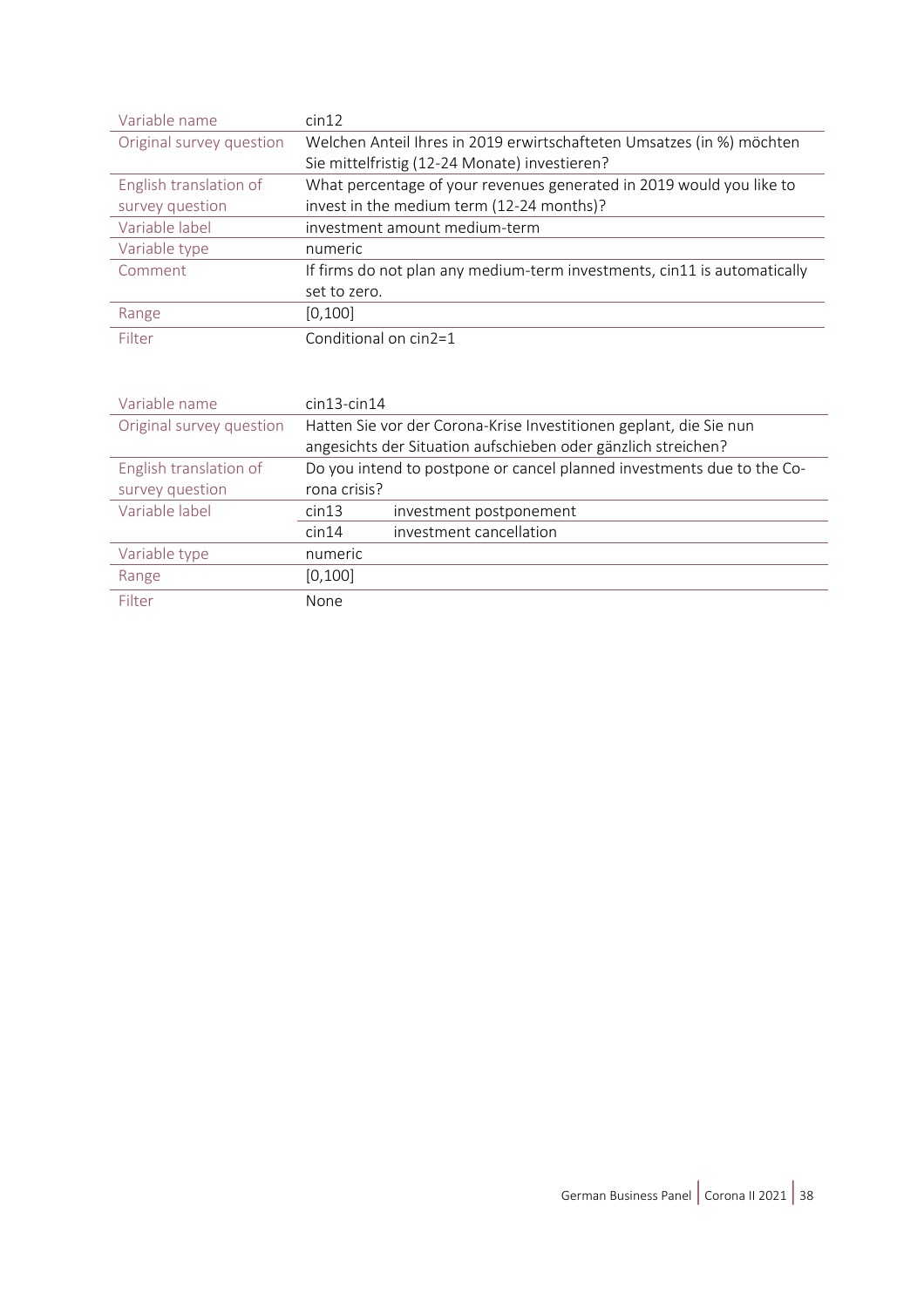| Variable name            | cin12                                                                    |  |  |
|--------------------------|--------------------------------------------------------------------------|--|--|
| Original survey question | Welchen Anteil Ihres in 2019 erwirtschafteten Umsatzes (in %) möchten    |  |  |
|                          | Sie mittelfristig (12-24 Monate) investieren?                            |  |  |
| English translation of   | What percentage of your revenues generated in 2019 would you like to     |  |  |
| survey question          | invest in the medium term (12-24 months)?                                |  |  |
| Variable label           | investment amount medium-term                                            |  |  |
| Variable type            | numeric                                                                  |  |  |
| Comment                  | If firms do not plan any medium-term investments, cin11 is automatically |  |  |
|                          | set to zero.                                                             |  |  |
| Range                    | [0, 100]                                                                 |  |  |
| Filter                   | Conditional on cin2=1                                                    |  |  |

| Variable name            | $cin13$ -cin $14$                                                      |                         |  |
|--------------------------|------------------------------------------------------------------------|-------------------------|--|
| Original survey question | Hatten Sie vor der Corona-Krise Investitionen geplant, die Sie nun     |                         |  |
|                          | angesichts der Situation aufschieben oder gänzlich streichen?          |                         |  |
| English translation of   | Do you intend to postpone or cancel planned investments due to the Co- |                         |  |
| survey question          | rona crisis?                                                           |                         |  |
| Variable label           | cin13                                                                  | investment postponement |  |
|                          | cin14                                                                  | investment cancellation |  |
| Variable type            | numeric                                                                |                         |  |
| Range                    | [0, 100]                                                               |                         |  |
| Filter                   | None                                                                   |                         |  |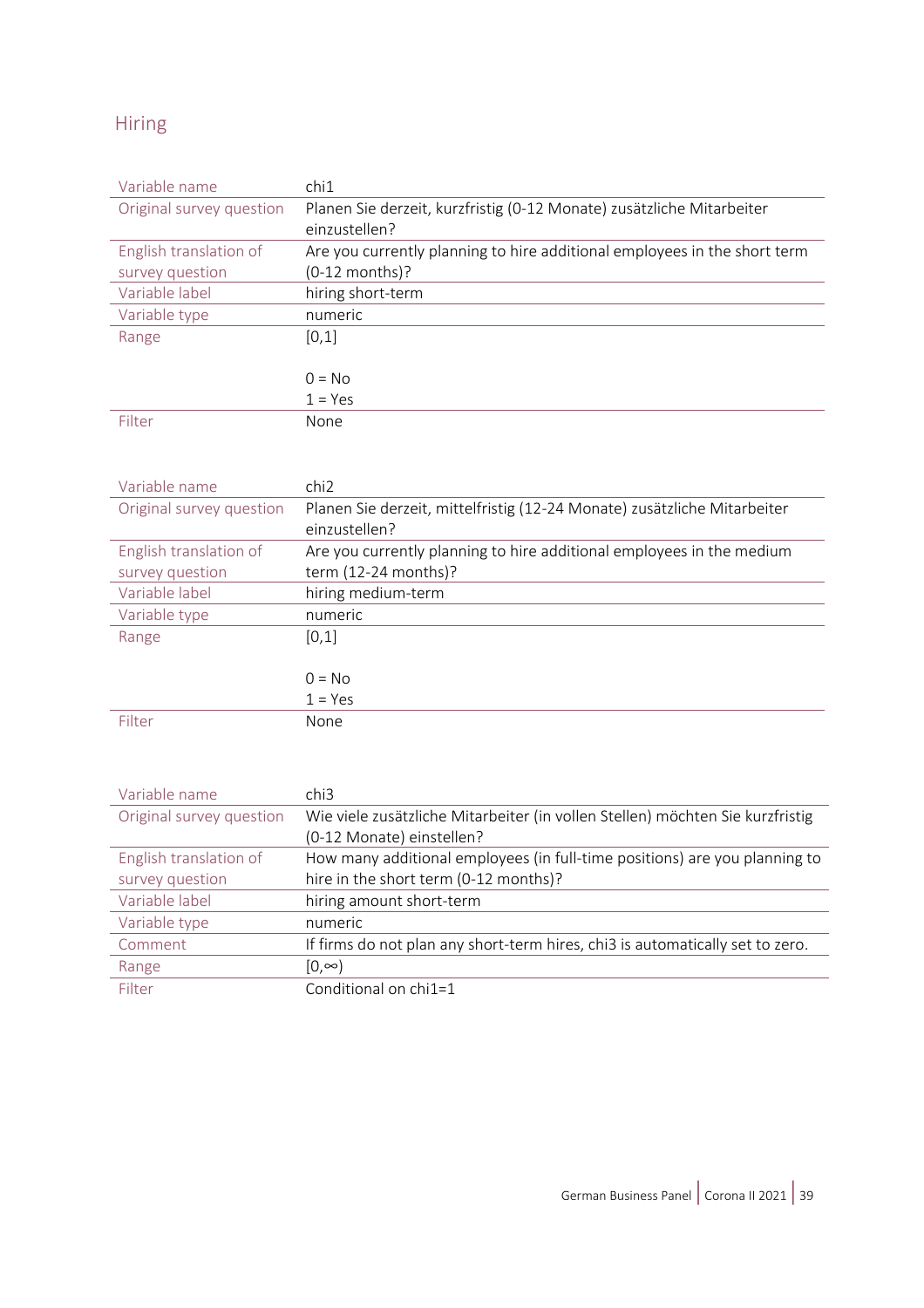#### <span id="page-38-0"></span>Hiring

| Variable name            | chi1                                                                      |  |  |
|--------------------------|---------------------------------------------------------------------------|--|--|
| Original survey question | Planen Sie derzeit, kurzfristig (0-12 Monate) zusätzliche Mitarbeiter     |  |  |
|                          | einzustellen?                                                             |  |  |
| English translation of   | Are you currently planning to hire additional employees in the short term |  |  |
| survey question          | $(0-12$ months)?                                                          |  |  |
| Variable label           | hiring short-term                                                         |  |  |
| Variable type            | numeric                                                                   |  |  |
| Range                    | [0,1]                                                                     |  |  |
|                          |                                                                           |  |  |
|                          | $0 = No$                                                                  |  |  |
|                          | $1 = Yes$                                                                 |  |  |
| Filter                   | None                                                                      |  |  |

| Variable name            | chi <sub>2</sub>                                                         |  |  |
|--------------------------|--------------------------------------------------------------------------|--|--|
| Original survey question | Planen Sie derzeit, mittelfristig (12-24 Monate) zusätzliche Mitarbeiter |  |  |
|                          | einzustellen?                                                            |  |  |
| English translation of   | Are you currently planning to hire additional employees in the medium    |  |  |
| survey question          | term (12-24 months)?                                                     |  |  |
| Variable label           | hiring medium-term                                                       |  |  |
| Variable type            | numeric                                                                  |  |  |
| Range                    | [0,1]                                                                    |  |  |
|                          |                                                                          |  |  |
|                          | $0 = No$                                                                 |  |  |
|                          | $1 = Yes$                                                                |  |  |
| Filter                   | None                                                                     |  |  |

| Variable name            | chi3                                                                          |  |  |
|--------------------------|-------------------------------------------------------------------------------|--|--|
| Original survey question | Wie viele zusätzliche Mitarbeiter (in vollen Stellen) möchten Sie kurzfristig |  |  |
|                          | (0-12 Monate) einstellen?                                                     |  |  |
| English translation of   | How many additional employees (in full-time positions) are you planning to    |  |  |
| survey question          | hire in the short term (0-12 months)?                                         |  |  |
| Variable label           | hiring amount short-term                                                      |  |  |
| Variable type            | numeric                                                                       |  |  |
| Comment                  | If firms do not plan any short-term hires, chi3 is automatically set to zero. |  |  |
| Range                    | $[0, \infty)$                                                                 |  |  |
| Filter                   | Conditional on chi1=1                                                         |  |  |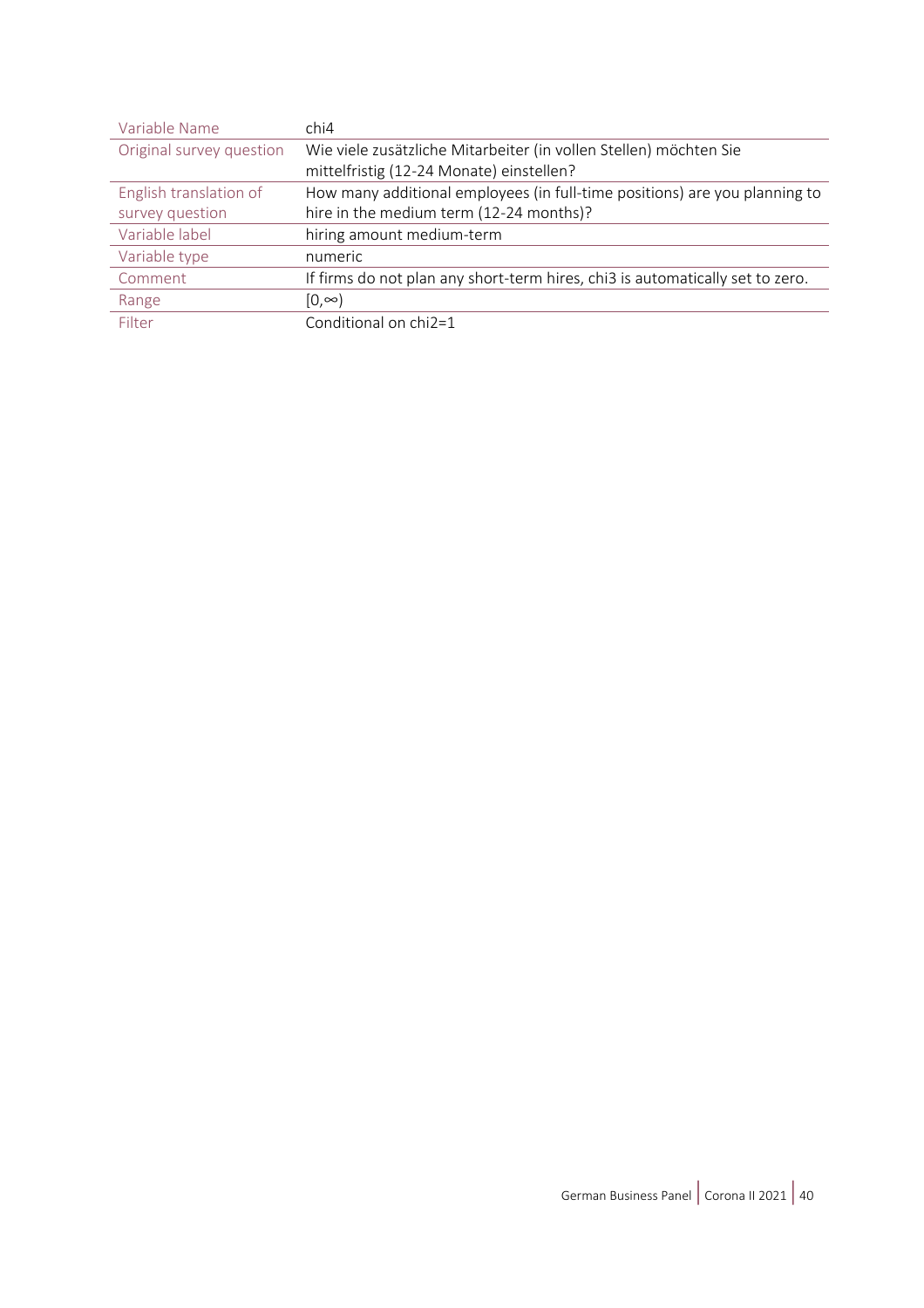| Variable Name            | chi4                                                                          |  |
|--------------------------|-------------------------------------------------------------------------------|--|
| Original survey question | Wie viele zusätzliche Mitarbeiter (in vollen Stellen) möchten Sie             |  |
|                          | mittelfristig (12-24 Monate) einstellen?                                      |  |
| English translation of   | How many additional employees (in full-time positions) are you planning to    |  |
| survey question          | hire in the medium term (12-24 months)?                                       |  |
| Variable label           | hiring amount medium-term                                                     |  |
| Variable type            | numeric                                                                       |  |
| Comment                  | If firms do not plan any short-term hires, chi3 is automatically set to zero. |  |
| Range                    | $[0, \infty)$                                                                 |  |
| Filter                   | Conditional on chi2=1                                                         |  |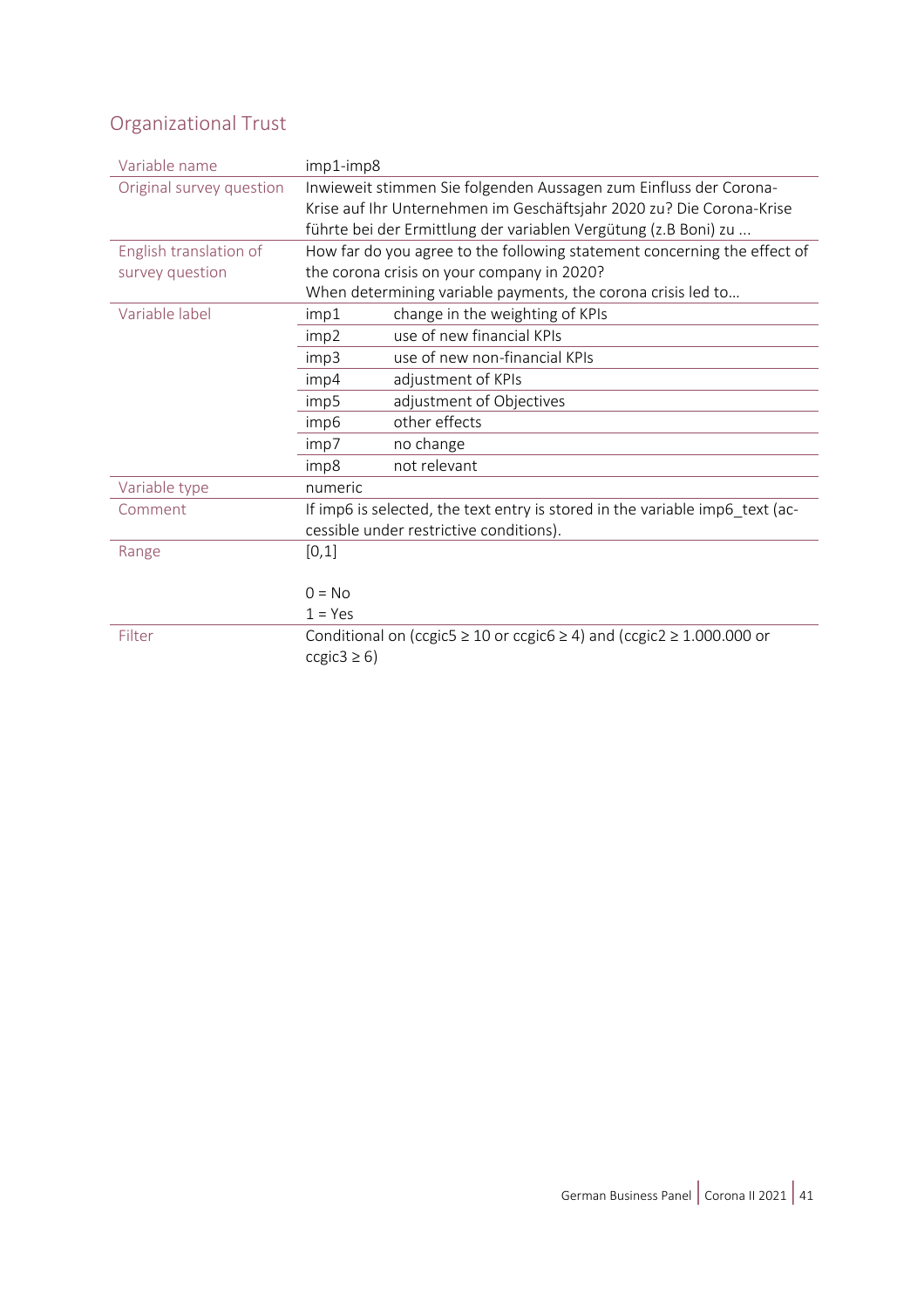# <span id="page-40-0"></span>Organizational Trust

| Variable name            | imp1-imp8                                                                |                                                                                      |  |
|--------------------------|--------------------------------------------------------------------------|--------------------------------------------------------------------------------------|--|
| Original survey question | Inwieweit stimmen Sie folgenden Aussagen zum Einfluss der Corona-        |                                                                                      |  |
|                          | Krise auf Ihr Unternehmen im Geschäftsjahr 2020 zu? Die Corona-Krise     |                                                                                      |  |
|                          | führte bei der Ermittlung der variablen Vergütung (z.B Boni) zu          |                                                                                      |  |
| English translation of   | How far do you agree to the following statement concerning the effect of |                                                                                      |  |
| survey question          | the corona crisis on your company in 2020?                               |                                                                                      |  |
|                          | When determining variable payments, the corona crisis led to             |                                                                                      |  |
| Variable label           | imp1                                                                     | change in the weighting of KPIs                                                      |  |
|                          | imp2                                                                     | use of new financial KPIs                                                            |  |
|                          | imp3                                                                     | use of new non-financial KPIs                                                        |  |
|                          | imp4                                                                     | adjustment of KPIs                                                                   |  |
|                          | imp5                                                                     | adjustment of Objectives                                                             |  |
|                          | imp6                                                                     | other effects                                                                        |  |
|                          | imp7                                                                     | no change                                                                            |  |
|                          | imp8                                                                     | not relevant                                                                         |  |
| Variable type            | numeric                                                                  |                                                                                      |  |
| Comment                  |                                                                          | If imp6 is selected, the text entry is stored in the variable imp6_text (ac-         |  |
|                          |                                                                          | cessible under restrictive conditions).                                              |  |
| Range                    | [0,1]                                                                    |                                                                                      |  |
|                          |                                                                          |                                                                                      |  |
|                          | $0 = No$                                                                 |                                                                                      |  |
|                          | $1 = Yes$                                                                |                                                                                      |  |
| Filter                   |                                                                          | Conditional on (ccgic5 $\geq$ 10 or ccgic6 $\geq$ 4) and (ccgic2 $\geq$ 1.000.000 or |  |
|                          | ccgic3 $\geq$ 6)                                                         |                                                                                      |  |
|                          |                                                                          |                                                                                      |  |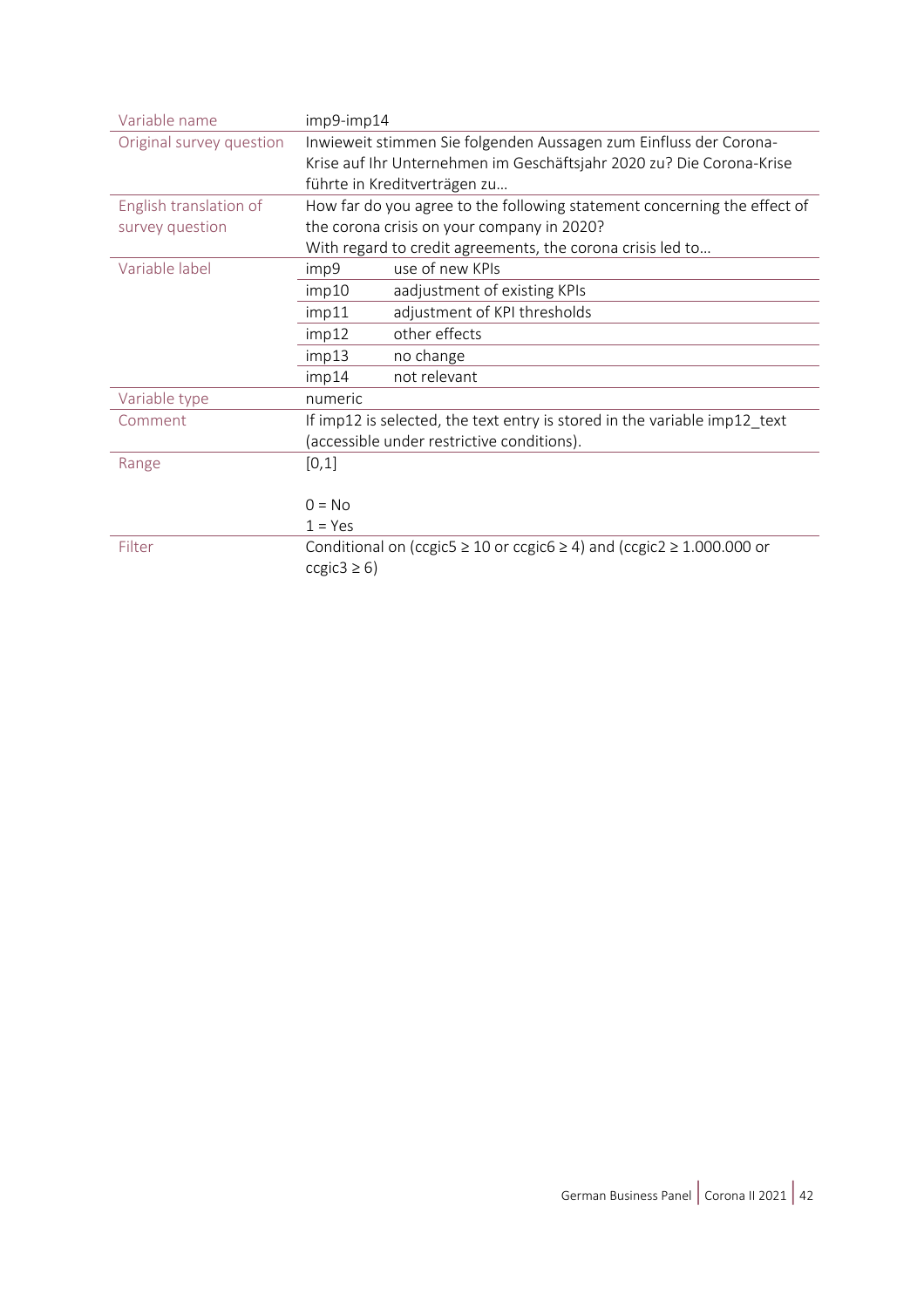| Variable name            | imp9-imp14                                                                |                                                                                      |  |
|--------------------------|---------------------------------------------------------------------------|--------------------------------------------------------------------------------------|--|
| Original survey question | Inwieweit stimmen Sie folgenden Aussagen zum Einfluss der Corona-         |                                                                                      |  |
|                          | Krise auf Ihr Unternehmen im Geschäftsjahr 2020 zu? Die Corona-Krise      |                                                                                      |  |
|                          | führte in Kreditverträgen zu                                              |                                                                                      |  |
| English translation of   | How far do you agree to the following statement concerning the effect of  |                                                                                      |  |
| survey question          | the corona crisis on your company in 2020?                                |                                                                                      |  |
|                          | With regard to credit agreements, the corona crisis led to                |                                                                                      |  |
| Variable label           | imp9                                                                      | use of new KPIs                                                                      |  |
|                          | imp10                                                                     | aadjustment of existing KPIs                                                         |  |
|                          | imp11                                                                     | adjustment of KPI thresholds                                                         |  |
|                          | imp12                                                                     | other effects                                                                        |  |
|                          | no change<br>imp13                                                        |                                                                                      |  |
|                          | imp14                                                                     | not relevant                                                                         |  |
| Variable type            | numeric                                                                   |                                                                                      |  |
| Comment                  | If imp12 is selected, the text entry is stored in the variable imp12_text |                                                                                      |  |
|                          | (accessible under restrictive conditions).                                |                                                                                      |  |
| Range                    | [0,1]                                                                     |                                                                                      |  |
|                          |                                                                           |                                                                                      |  |
|                          | $0 = No$                                                                  |                                                                                      |  |
|                          | $1 = Yes$                                                                 |                                                                                      |  |
| Filter                   |                                                                           | Conditional on (ccgic5 $\geq$ 10 or ccgic6 $\geq$ 4) and (ccgic2 $\geq$ 1.000.000 or |  |
|                          | ccgic3 $\geq$ 6)                                                          |                                                                                      |  |
|                          |                                                                           |                                                                                      |  |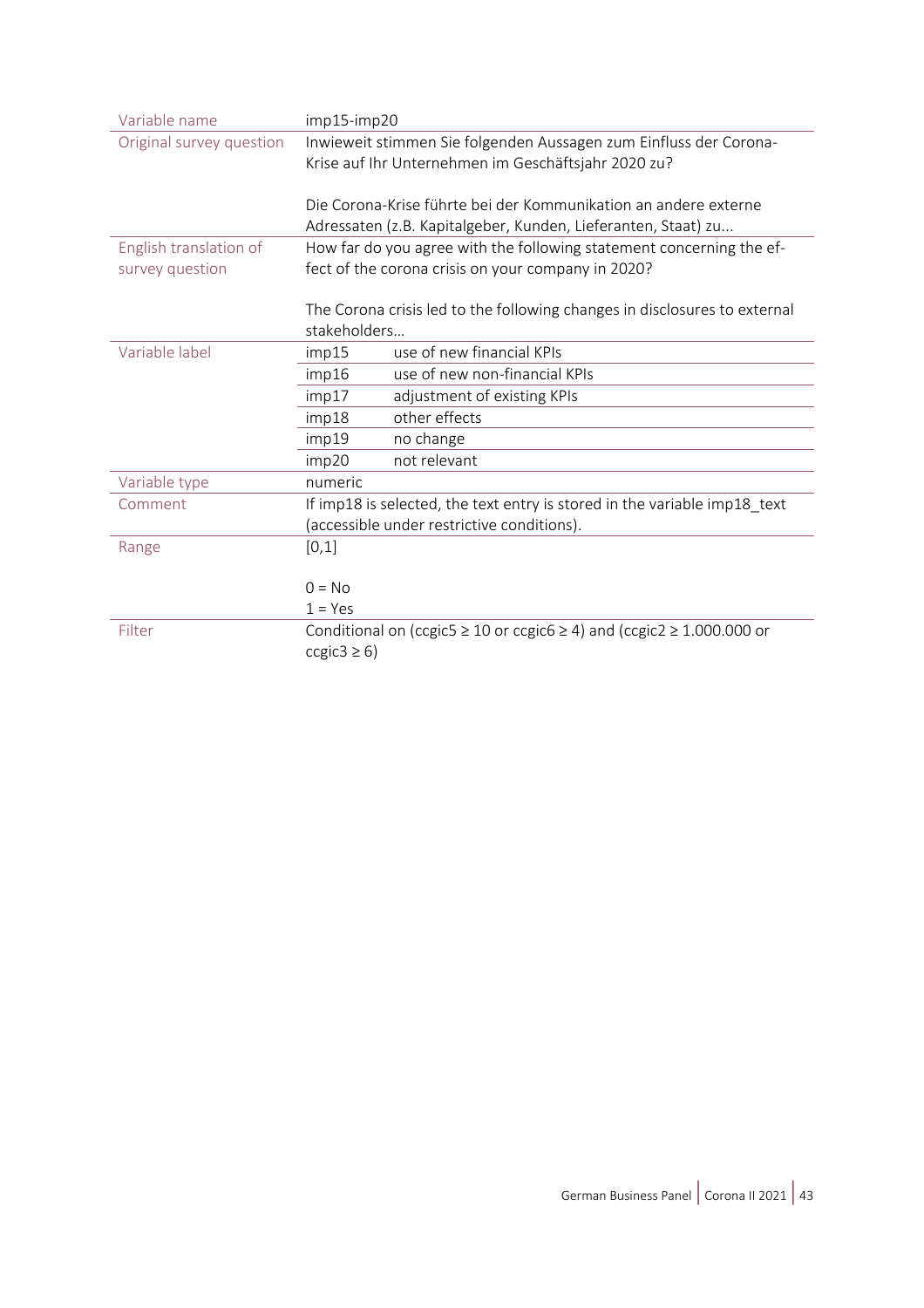| imp15-imp20                                                                          |  |  |  |
|--------------------------------------------------------------------------------------|--|--|--|
| Inwieweit stimmen Sie folgenden Aussagen zum Einfluss der Corona-                    |  |  |  |
| Krise auf Ihr Unternehmen im Geschäftsjahr 2020 zu?                                  |  |  |  |
|                                                                                      |  |  |  |
| Die Corona-Krise führte bei der Kommunikation an andere externe                      |  |  |  |
| Adressaten (z.B. Kapitalgeber, Kunden, Lieferanten, Staat) zu                        |  |  |  |
| How far do you agree with the following statement concerning the ef-                 |  |  |  |
| fect of the corona crisis on your company in 2020?                                   |  |  |  |
|                                                                                      |  |  |  |
| The Corona crisis led to the following changes in disclosures to external            |  |  |  |
| stakeholders                                                                         |  |  |  |
| use of new financial KPIs<br>imp15                                                   |  |  |  |
| use of new non-financial KPIs<br>imp16                                               |  |  |  |
| adjustment of existing KPIs<br>imp17                                                 |  |  |  |
| other effects<br>imp18                                                               |  |  |  |
| imp19<br>no change                                                                   |  |  |  |
| not relevant<br>imp20                                                                |  |  |  |
| numeric                                                                              |  |  |  |
| If imp18 is selected, the text entry is stored in the variable imp18_text            |  |  |  |
| (accessible under restrictive conditions).                                           |  |  |  |
| [0,1]                                                                                |  |  |  |
|                                                                                      |  |  |  |
| $0 = No$                                                                             |  |  |  |
| $1 = Yes$                                                                            |  |  |  |
| Conditional on (ccgic5 $\geq$ 10 or ccgic6 $\geq$ 4) and (ccgic2 $\geq$ 1.000.000 or |  |  |  |
| ccgic3 $\geq$ 6)                                                                     |  |  |  |
|                                                                                      |  |  |  |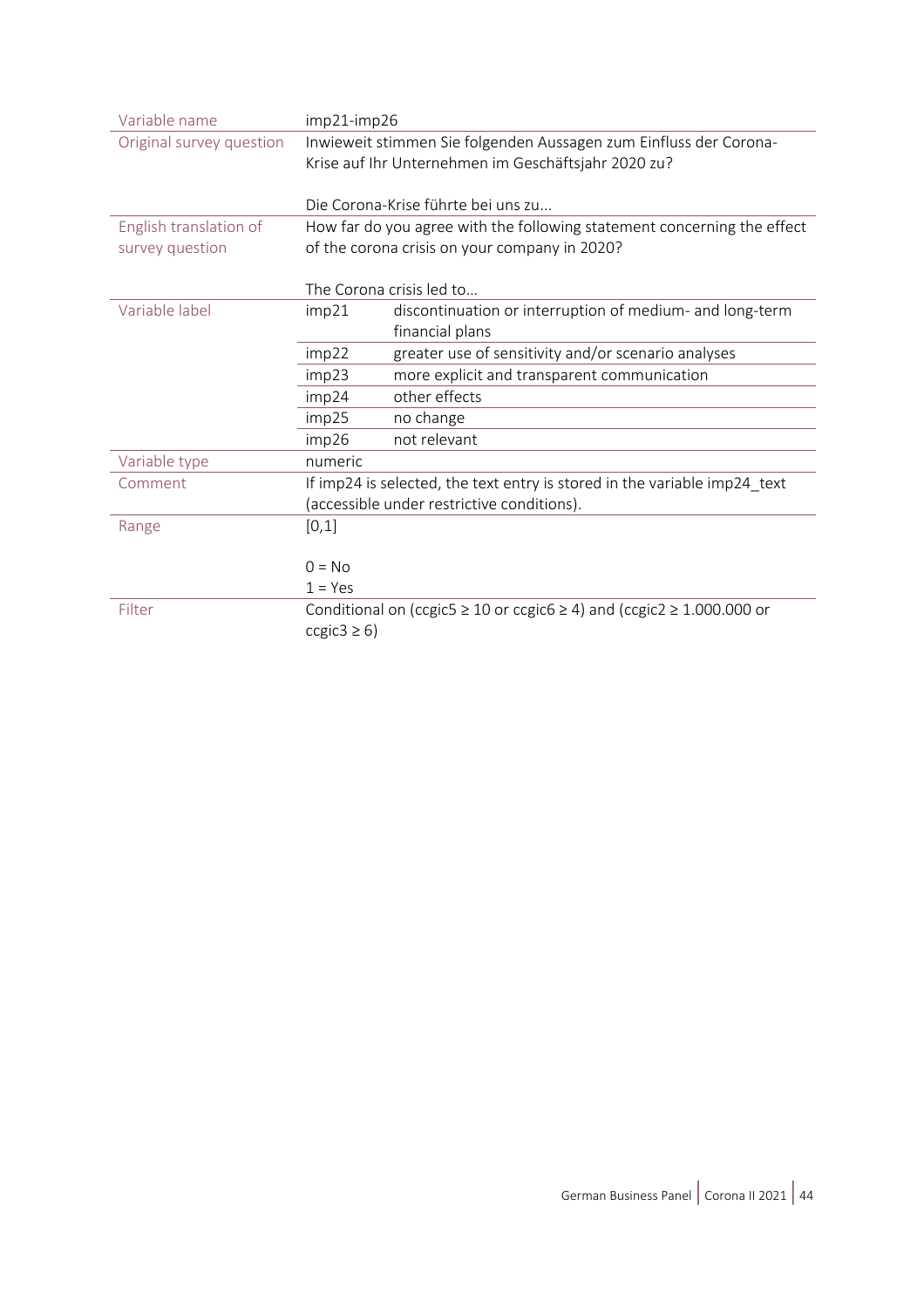| Variable name            | imp21-imp26                                                               |                                                                                      |  |
|--------------------------|---------------------------------------------------------------------------|--------------------------------------------------------------------------------------|--|
| Original survey question | Inwieweit stimmen Sie folgenden Aussagen zum Einfluss der Corona-         |                                                                                      |  |
|                          | Krise auf Ihr Unternehmen im Geschäftsjahr 2020 zu?                       |                                                                                      |  |
|                          | Die Corona-Krise führte bei uns zu                                        |                                                                                      |  |
|                          |                                                                           |                                                                                      |  |
| English translation of   | How far do you agree with the following statement concerning the effect   |                                                                                      |  |
| survey question          | of the corona crisis on your company in 2020?                             |                                                                                      |  |
|                          |                                                                           |                                                                                      |  |
|                          |                                                                           | The Corona crisis led to                                                             |  |
| Variable label           | imp21                                                                     | discontinuation or interruption of medium- and long-term                             |  |
|                          |                                                                           | financial plans                                                                      |  |
|                          | imp22                                                                     | greater use of sensitivity and/or scenario analyses                                  |  |
|                          | imp23                                                                     | more explicit and transparent communication                                          |  |
|                          | imp24                                                                     | other effects                                                                        |  |
|                          | imp25                                                                     | no change                                                                            |  |
|                          | imp26                                                                     | not relevant                                                                         |  |
| Variable type            | numeric                                                                   |                                                                                      |  |
| Comment                  | If imp24 is selected, the text entry is stored in the variable imp24_text |                                                                                      |  |
|                          | (accessible under restrictive conditions).                                |                                                                                      |  |
| Range                    | [0,1]                                                                     |                                                                                      |  |
|                          |                                                                           |                                                                                      |  |
|                          | $0 = No$                                                                  |                                                                                      |  |
|                          | $1 = Yes$                                                                 |                                                                                      |  |
| Filter                   |                                                                           | Conditional on (ccgic5 $\geq$ 10 or ccgic6 $\geq$ 4) and (ccgic2 $\geq$ 1.000.000 or |  |
|                          | ccgic3 $\geq$ 6)                                                          |                                                                                      |  |
|                          |                                                                           |                                                                                      |  |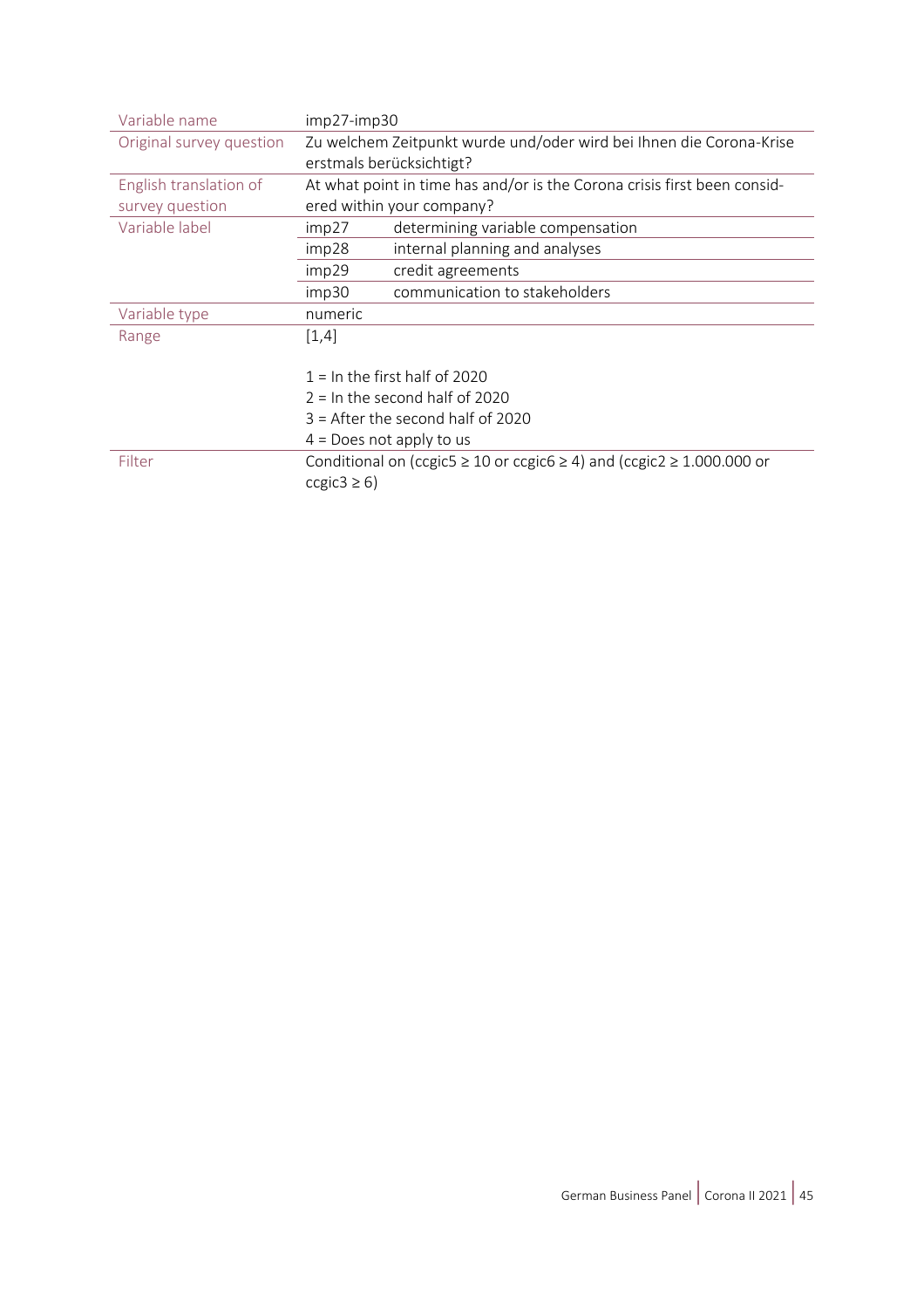| Variable name            | $imp27$ - $imp30$                                                                    |  |  |
|--------------------------|--------------------------------------------------------------------------------------|--|--|
| Original survey question | Zu welchem Zeitpunkt wurde und/oder wird bei Ihnen die Corona-Krise                  |  |  |
|                          | erstmals berücksichtigt?                                                             |  |  |
| English translation of   | At what point in time has and/or is the Corona crisis first been consid-             |  |  |
| survey question          | ered within your company?                                                            |  |  |
| Variable label           | determining variable compensation<br>imp27                                           |  |  |
|                          | internal planning and analyses<br>imp28                                              |  |  |
|                          | credit agreements<br>imp29                                                           |  |  |
|                          | communication to stakeholders<br>imp30                                               |  |  |
| Variable type            | numeric                                                                              |  |  |
| Range                    | [1,4]                                                                                |  |  |
|                          |                                                                                      |  |  |
|                          | $1 =$ In the first half of 2020                                                      |  |  |
|                          | $2 =$ In the second half of 2020                                                     |  |  |
|                          | $3$ = After the second half of 2020                                                  |  |  |
|                          | $4 =$ Does not apply to us                                                           |  |  |
| Filter                   | Conditional on (ccgic5 $\geq$ 10 or ccgic6 $\geq$ 4) and (ccgic2 $\geq$ 1.000.000 or |  |  |
|                          | ccgic3 $\geq$ 6)                                                                     |  |  |
|                          |                                                                                      |  |  |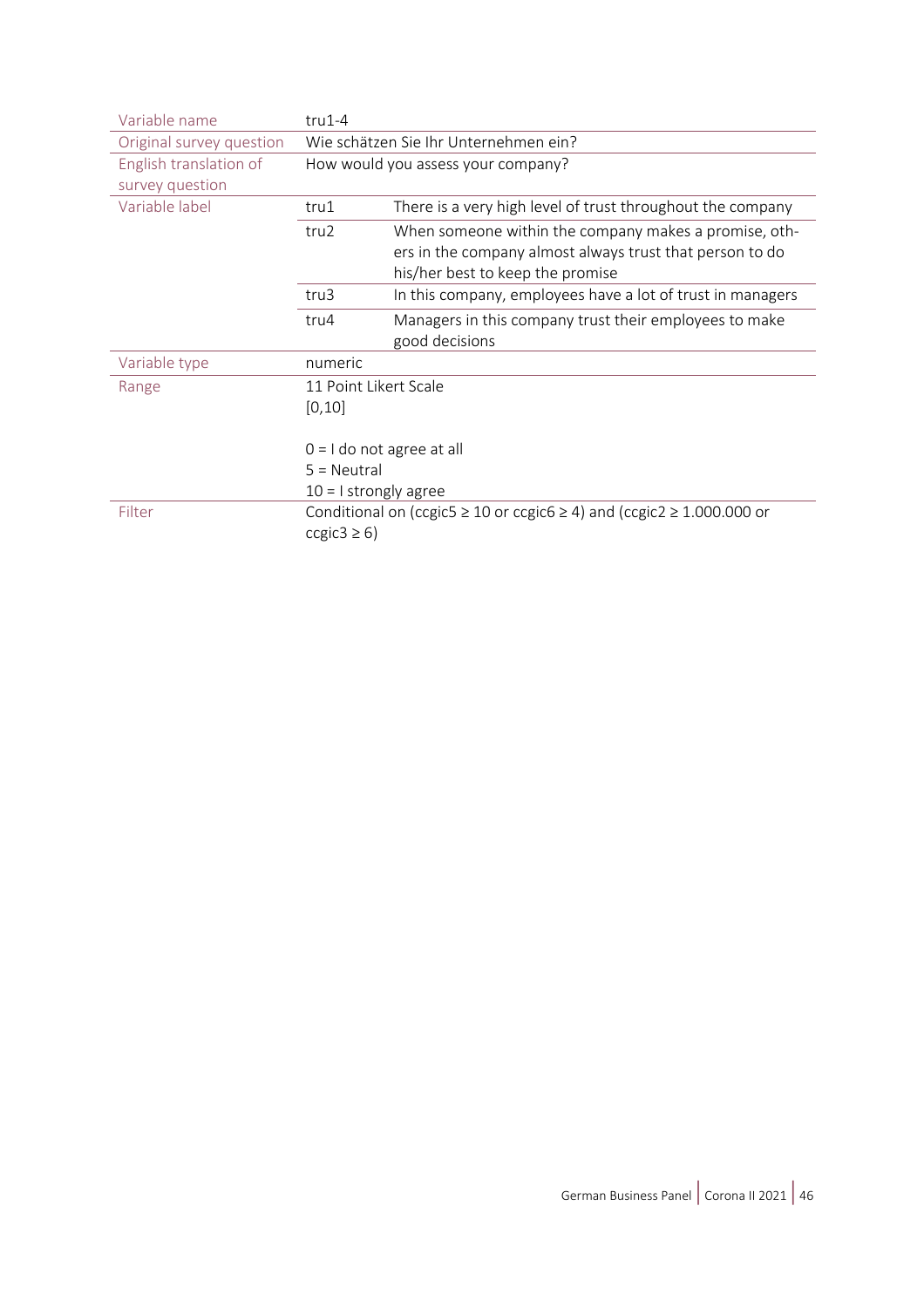| Variable name            | $tru1-4$                                                                                                 |                                                            |  |
|--------------------------|----------------------------------------------------------------------------------------------------------|------------------------------------------------------------|--|
| Original survey question | Wie schätzen Sie Ihr Unternehmen ein?                                                                    |                                                            |  |
| English translation of   | How would you assess your company?                                                                       |                                                            |  |
| survey question          |                                                                                                          |                                                            |  |
| Variable label           | tru1                                                                                                     | There is a very high level of trust throughout the company |  |
|                          | tru2                                                                                                     | When someone within the company makes a promise, oth-      |  |
|                          |                                                                                                          | ers in the company almost always trust that person to do   |  |
|                          |                                                                                                          | his/her best to keep the promise                           |  |
|                          | tru3                                                                                                     | In this company, employees have a lot of trust in managers |  |
|                          | tru4                                                                                                     | Managers in this company trust their employees to make     |  |
|                          |                                                                                                          | good decisions                                             |  |
| Variable type            | numeric                                                                                                  |                                                            |  |
| Range                    | 11 Point Likert Scale                                                                                    |                                                            |  |
|                          | [0, 10]                                                                                                  |                                                            |  |
|                          |                                                                                                          |                                                            |  |
|                          | $0 = 1$ do not agree at all<br>$5 = Neutral$                                                             |                                                            |  |
|                          |                                                                                                          |                                                            |  |
|                          | $10 = 1$ strongly agree                                                                                  |                                                            |  |
| Filter                   | Conditional on (ccgic5 $\geq$ 10 or ccgic6 $\geq$ 4) and (ccgic2 $\geq$ 1.000.000 or<br>ccgic3 $\geq$ 6) |                                                            |  |
|                          |                                                                                                          |                                                            |  |